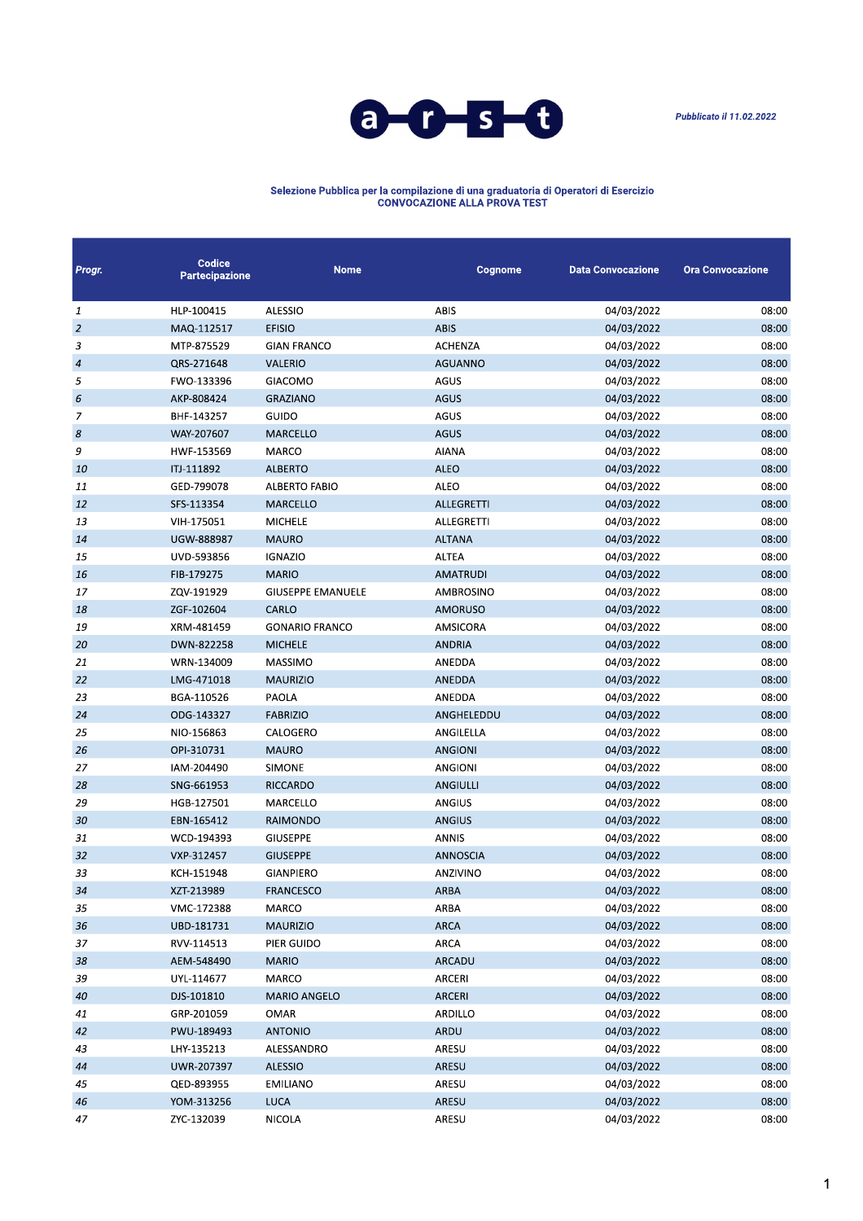



## Selezione Pubblica per la compilazione di una graduatoria di Operatori di Esercizio<br>CONVOCAZIONE ALLA PROVA TEST

| Progr.         | Codice<br>Partecipazione | <b>Nome</b>              | Cognome           | <b>Data Convocazione</b> | <b>Ora Convocazione</b> |
|----------------|--------------------------|--------------------------|-------------------|--------------------------|-------------------------|
| 1              | HLP-100415               | <b>ALESSIO</b>           | ABIS              | 04/03/2022               | 08:00                   |
| $\overline{2}$ | MAQ-112517               | <b>EFISIO</b>            | <b>ABIS</b>       | 04/03/2022               | 08:00                   |
| 3              | MTP-875529               | <b>GIAN FRANCO</b>       | <b>ACHENZA</b>    | 04/03/2022               | 08:00                   |
| $\overline{4}$ | QRS-271648               | VALERIO                  | <b>AGUANNO</b>    | 04/03/2022               | 08:00                   |
| 5              | FWO-133396               | GIACOMO                  | AGUS              | 04/03/2022               | 08:00                   |
| 6              | AKP-808424               | <b>GRAZIANO</b>          | <b>AGUS</b>       | 04/03/2022               | 08:00                   |
| 7              | BHF-143257               | GUIDO                    | AGUS              | 04/03/2022               | 08:00                   |
| 8              | WAY-207607               | MARCELLO                 | <b>AGUS</b>       | 04/03/2022               | 08:00                   |
| 9              | HWF-153569               | MARCO                    | <b>AIANA</b>      | 04/03/2022               | 08:00                   |
| 10             | ITJ-111892               | <b>ALBERTO</b>           | <b>ALEO</b>       | 04/03/2022               | 08:00                   |
| 11             | GED-799078               | <b>ALBERTO FABIO</b>     | ALEO              | 04/03/2022               | 08:00                   |
| 12             | SFS-113354               | <b>MARCELLO</b>          | <b>ALLEGRETTI</b> | 04/03/2022               | 08:00                   |
| 13             | VIH-175051               | <b>MICHELE</b>           | ALLEGRETTI        | 04/03/2022               | 08:00                   |
| 14             | UGW-888987               | <b>MAURO</b>             | <b>ALTANA</b>     | 04/03/2022               | 08:00                   |
| 15             | UVD-593856               | <b>IGNAZIO</b>           | <b>ALTEA</b>      | 04/03/2022               | 08:00                   |
| 16             | FIB-179275               | <b>MARIO</b>             | <b>AMATRUDI</b>   | 04/03/2022               | 08:00                   |
| 17             | ZQV-191929               | <b>GIUSEPPE EMANUELE</b> | <b>AMBROSINO</b>  | 04/03/2022               | 08:00                   |
| 18             | ZGF-102604               | CARLO                    | <b>AMORUSO</b>    | 04/03/2022               | 08:00                   |
| 19             | XRM-481459               | <b>GONARIO FRANCO</b>    | AMSICORA          | 04/03/2022               | 08:00                   |
| 20             | DWN-822258               | <b>MICHELE</b>           | <b>ANDRIA</b>     | 04/03/2022               | 08:00                   |
| 21             | WRN-134009               | <b>MASSIMO</b>           | ANEDDA            | 04/03/2022               | 08:00                   |
| 22             | LMG-471018               | <b>MAURIZIO</b>          | ANEDDA            | 04/03/2022               | 08:00                   |
| 23             | BGA-110526               | PAOLA                    | ANEDDA            | 04/03/2022               | 08:00                   |
| 24             | ODG-143327               | <b>FABRIZIO</b>          | ANGHELEDDU        | 04/03/2022               | 08:00                   |
| 25             | NIO-156863               | CALOGERO                 | ANGILELLA         | 04/03/2022               | 08:00                   |
| 26             | OPI-310731               | <b>MAURO</b>             | <b>ANGIONI</b>    | 04/03/2022               | 08:00                   |
| 27             | IAM-204490               | <b>SIMONE</b>            | <b>ANGIONI</b>    | 04/03/2022               | 08:00                   |
| 28             | SNG-661953               | RICCARDO                 | ANGIULLI          | 04/03/2022               | 08:00                   |
| 29             | HGB-127501               | MARCELLO                 | ANGIUS            | 04/03/2022               | 08:00                   |
| 30             | EBN-165412               | RAIMONDO                 | ANGIUS            | 04/03/2022               | 08:00                   |
| 31             | WCD-194393               | <b>GIUSEPPE</b>          | <b>ANNIS</b>      | 04/03/2022               | 08:00                   |
| 32             | VXP-312457               | <b>GIUSEPPE</b>          | <b>ANNOSCIA</b>   | 04/03/2022               | 08:00                   |
| 33             | KCH-151948               | <b>GIANPIERO</b>         | ANZIVINO          | 04/03/2022               | 08:00                   |
| 34             | XZT-213989               | <b>FRANCESCO</b>         | <b>ARBA</b>       | 04/03/2022               | 08:00                   |
| 35             | VMC-172388               | MARCO                    | ARBA              | 04/03/2022               | 08:00                   |
| 36             | UBD-181731               | <b>MAURIZIO</b>          | ARCA              | 04/03/2022               | 08:00                   |
| 37             | RVV-114513               | PIER GUIDO               | ARCA              | 04/03/2022               | 08:00                   |
| 38             | AEM-548490               | <b>MARIO</b>             | ARCADU            | 04/03/2022               | 08:00                   |
| 39             | UYL-114677               | MARCO                    | ARCERI            | 04/03/2022               | 08:00                   |
| 40             | DJS-101810               | <b>MARIO ANGELO</b>      | ARCERI            | 04/03/2022               | 08:00                   |
| 41             | GRP-201059               | OMAR                     | <b>ARDILLO</b>    | 04/03/2022               | 08:00                   |
| 42             | PWU-189493               | <b>ANTONIO</b>           | ARDU              | 04/03/2022               | 08:00                   |
| 43             | LHY-135213               | ALESSANDRO               | ARESU             | 04/03/2022               | 08:00                   |
| 44             | UWR-207397               | <b>ALESSIO</b>           | ARESU             | 04/03/2022               | 08:00                   |
| 45             | QED-893955               | <b>EMILIANO</b>          | ARESU             | 04/03/2022               | 08:00                   |
| 46             | YOM-313256               | <b>LUCA</b>              | ARESU             | 04/03/2022               | 08:00                   |
| 47             | ZYC-132039               | NICOLA                   | ARESU             | 04/03/2022               | 08:00                   |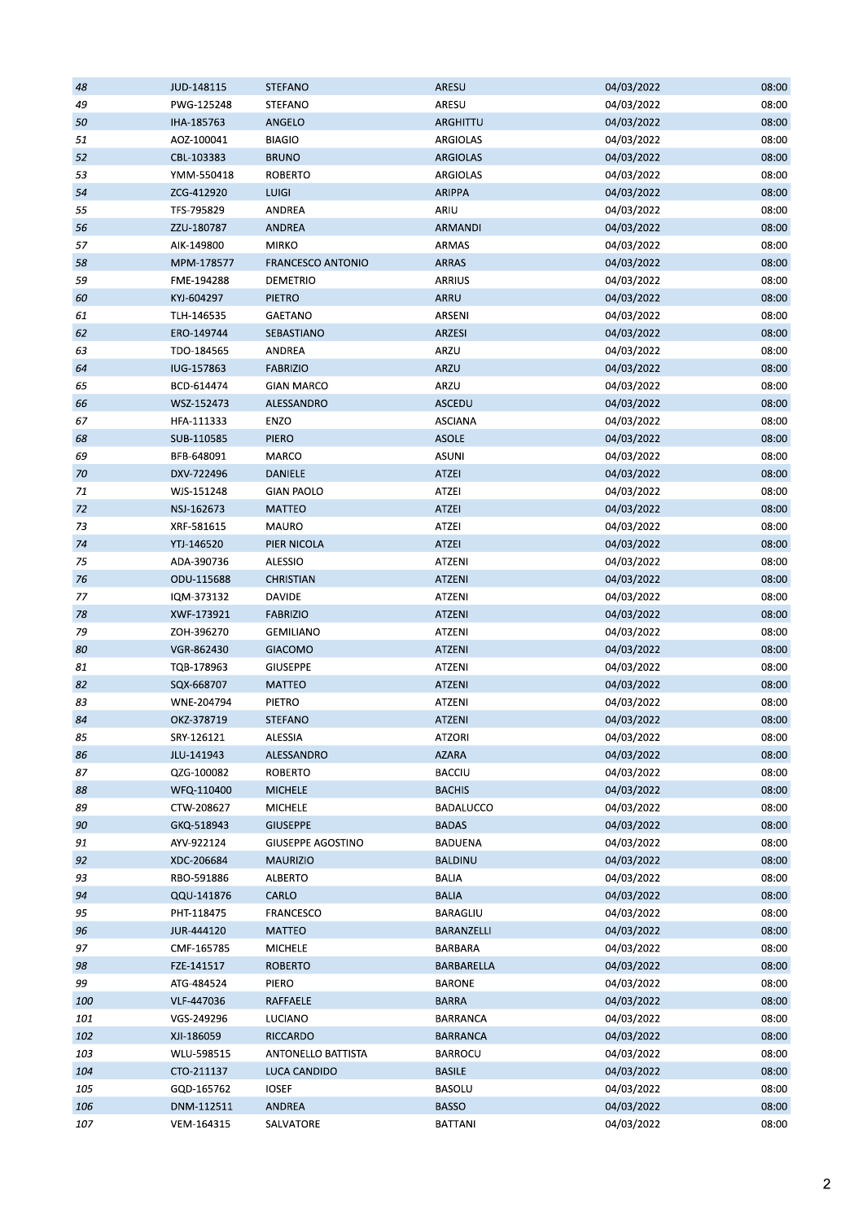| 48  | JUD-148115 | <b>STEFANO</b>           | ARESU            | 04/03/2022 | 08:00 |
|-----|------------|--------------------------|------------------|------------|-------|
| 49  | PWG-125248 | STEFANO                  | ARESU            | 04/03/2022 | 08:00 |
| 50  | IHA-185763 | ANGELO                   | ARGHITTU         | 04/03/2022 | 08:00 |
| 51  | AOZ-100041 | <b>BIAGIO</b>            | ARGIOLAS         | 04/03/2022 | 08:00 |
| 52  | CBL-103383 | <b>BRUNO</b>             | ARGIOLAS         | 04/03/2022 | 08:00 |
| 53  | YMM-550418 | ROBERTO                  | ARGIOLAS         | 04/03/2022 | 08:00 |
| 54  | ZCG-412920 | <b>LUIGI</b>             | <b>ARIPPA</b>    | 04/03/2022 | 08:00 |
| 55  | TFS-795829 | ANDREA                   | ARIU             | 04/03/2022 | 08:00 |
| 56  | ZZU-180787 | <b>ANDREA</b>            | ARMANDI          | 04/03/2022 | 08:00 |
| 57  | AIK-149800 | <b>MIRKO</b>             | ARMAS            | 04/03/2022 | 08:00 |
| 58  | MPM-178577 | <b>FRANCESCO ANTONIO</b> | <b>ARRAS</b>     | 04/03/2022 | 08:00 |
| 59  | FME-194288 | DEMETRIO                 | ARRIUS           | 04/03/2022 | 08:00 |
| 60  | KYJ-604297 | PIETRO                   | ARRU             | 04/03/2022 | 08:00 |
| 61  | TLH-146535 | GAETANO                  | ARSENI           | 04/03/2022 | 08:00 |
| 62  | ERO-149744 | SEBASTIANO               | ARZESI           | 04/03/2022 | 08:00 |
| 63  | TDO-184565 | ANDREA                   | ARZU             | 04/03/2022 | 08:00 |
| 64  | IUG-157863 | <b>FABRIZIO</b>          | ARZU             | 04/03/2022 | 08:00 |
| 65  | BCD-614474 | <b>GIAN MARCO</b>        | ARZU             | 04/03/2022 | 08:00 |
|     |            |                          |                  |            | 08:00 |
| 66  | WSZ-152473 | ALESSANDRO               | <b>ASCEDU</b>    | 04/03/2022 |       |
| 67  | HFA-111333 | ENZO                     | <b>ASCIANA</b>   | 04/03/2022 | 08:00 |
| 68  | SUB-110585 | <b>PIERO</b>             | <b>ASOLE</b>     | 04/03/2022 | 08:00 |
| 69  | BFB-648091 | MARCO                    | <b>ASUNI</b>     | 04/03/2022 | 08:00 |
| 70  | DXV-722496 | DANIELE                  | <b>ATZEI</b>     | 04/03/2022 | 08:00 |
| 71  | WJS-151248 | <b>GIAN PAOLO</b>        | ATZEI            | 04/03/2022 | 08:00 |
| 72  | NSJ-162673 | MATTEO                   | ATZEI            | 04/03/2022 | 08:00 |
| 73  | XRF-581615 | MAURO                    | ATZEI            | 04/03/2022 | 08:00 |
| 74  | YTJ-146520 | PIER NICOLA              | ATZEI            | 04/03/2022 | 08:00 |
| 75  | ADA-390736 | ALESSIO                  | ATZENI           | 04/03/2022 | 08:00 |
| 76  | ODU-115688 | CHRISTIAN                | <b>ATZENI</b>    | 04/03/2022 | 08:00 |
| 77  | IQM-373132 | <b>DAVIDE</b>            | ATZENI           | 04/03/2022 | 08:00 |
| 78  | XWF-173921 | <b>FABRIZIO</b>          | <b>ATZENI</b>    | 04/03/2022 | 08:00 |
| 79  | ZOH-396270 | GEMILIANO                | ATZENI           | 04/03/2022 | 08:00 |
| 80  | VGR-862430 | <b>GIACOMO</b>           | <b>ATZENI</b>    | 04/03/2022 | 08:00 |
| 81  | TQB-178963 | <b>GIUSEPPE</b>          | ATZENI           | 04/03/2022 | 08:00 |
| 82  | SQX-668707 | <b>MATTEO</b>            | ATZENI           | 04/03/2022 | 08:00 |
| 83  | WNE-204794 | PIETRO                   | ATZENI           | 04/03/2022 | 08:00 |
| 84  | OKZ-378719 | <b>STEFANO</b>           | <b>ATZENI</b>    | 04/03/2022 | 08:00 |
| 85  | SRY-126121 | ALESSIA                  | <b>ATZORI</b>    | 04/03/2022 | 08:00 |
| 86  | JLU-141943 | ALESSANDRO               | <b>AZARA</b>     | 04/03/2022 | 08:00 |
| 87  | QZG-100082 | <b>ROBERTO</b>           | <b>BACCIU</b>    | 04/03/2022 | 08:00 |
| 88  | WFQ-110400 | <b>MICHELE</b>           | <b>BACHIS</b>    | 04/03/2022 | 08:00 |
| 89  | CTW-208627 | MICHELE                  | <b>BADALUCCO</b> | 04/03/2022 | 08:00 |
| 90  | GKQ-518943 | <b>GIUSEPPE</b>          | <b>BADAS</b>     | 04/03/2022 | 08:00 |
| 91  | AYV-922124 | GIUSEPPE AGOSTINO        | BADUENA          | 04/03/2022 | 08:00 |
| 92  | XDC-206684 | <b>MAURIZIO</b>          | BALDINU          | 04/03/2022 | 08:00 |
| 93  | RBO-591886 | <b>ALBERTO</b>           | BALIA            | 04/03/2022 | 08:00 |
| 94  | QQU-141876 | CARLO                    | <b>BALIA</b>     | 04/03/2022 | 08:00 |
| 95  | PHT-118475 | FRANCESCO                | BARAGLIU         | 04/03/2022 | 08:00 |
| 96  | JUR-444120 | MATTEO                   | BARANZELLI       | 04/03/2022 | 08:00 |
| 97  | CMF-165785 | <b>MICHELE</b>           | BARBARA          | 04/03/2022 | 08:00 |
| 98  | FZE-141517 | ROBERTO                  | BARBARELLA       | 04/03/2022 | 08:00 |
| 99  | ATG-484524 | PIERO                    | <b>BARONE</b>    | 04/03/2022 | 08:00 |
| 100 | VLF-447036 | RAFFAELE                 | <b>BARRA</b>     | 04/03/2022 | 08:00 |
|     | VGS-249296 |                          | <b>BARRANCA</b>  | 04/03/2022 | 08:00 |
| 101 |            | LUCIANO                  |                  |            |       |
| 102 | XJI-186059 | RICCARDO                 | <b>BARRANCA</b>  | 04/03/2022 | 08:00 |
| 103 | WLU-598515 | ANTONELLO BATTISTA       | BARROCU          | 04/03/2022 | 08:00 |
| 104 | CTO-211137 | LUCA CANDIDO             | <b>BASILE</b>    | 04/03/2022 | 08:00 |
| 105 | GQD-165762 | <b>IOSEF</b>             | <b>BASOLU</b>    | 04/03/2022 | 08:00 |
| 106 | DNM-112511 | ANDREA                   | <b>BASSO</b>     | 04/03/2022 | 08:00 |
| 107 | VEM-164315 | SALVATORE                | <b>BATTANI</b>   | 04/03/2022 | 08:00 |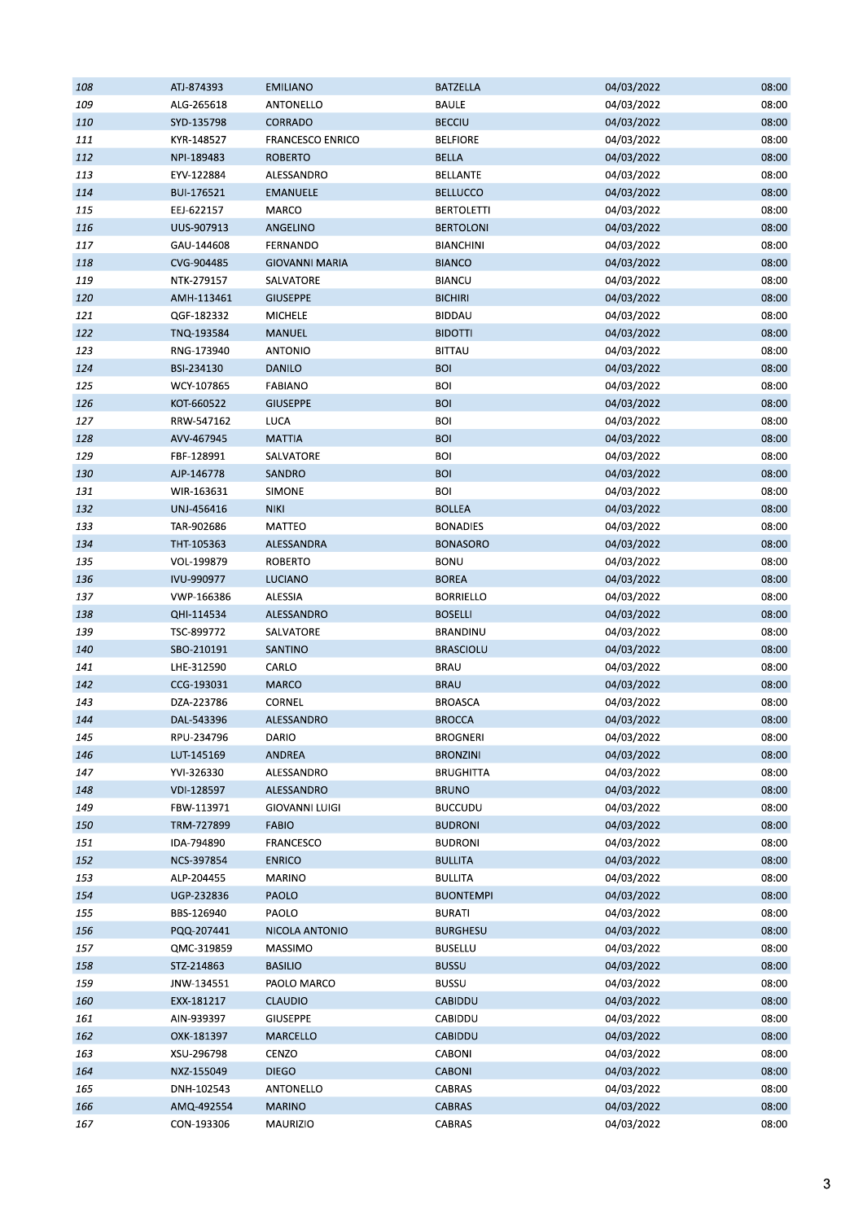| 108 | ATJ-874393 | <b>EMILIANO</b>         | <b>BATZELLA</b>   | 04/03/2022 | 08:00 |
|-----|------------|-------------------------|-------------------|------------|-------|
| 109 | ALG-265618 | ANTONELLO               | <b>BAULE</b>      | 04/03/2022 | 08:00 |
| 110 | SYD-135798 | CORRADO                 | <b>BECCIU</b>     | 04/03/2022 | 08:00 |
| 111 | KYR-148527 | <b>FRANCESCO ENRICO</b> | <b>BELFIORE</b>   | 04/03/2022 | 08:00 |
| 112 | NPI-189483 | <b>ROBERTO</b>          | <b>BELLA</b>      | 04/03/2022 | 08:00 |
| 113 | EYV-122884 | ALESSANDRO              | <b>BELLANTE</b>   | 04/03/2022 | 08:00 |
| 114 | BUI-176521 | <b>EMANUELE</b>         | <b>BELLUCCO</b>   | 04/03/2022 | 08:00 |
| 115 | EEJ-622157 | MARCO                   | <b>BERTOLETTI</b> | 04/03/2022 | 08:00 |
| 116 | UUS-907913 | ANGELINO                | <b>BERTOLONI</b>  | 04/03/2022 | 08:00 |
| 117 | GAU-144608 | FERNANDO                | <b>BIANCHINI</b>  | 04/03/2022 | 08:00 |
| 118 | CVG-904485 | <b>GIOVANNI MARIA</b>   | <b>BIANCO</b>     | 04/03/2022 | 08:00 |
| 119 | NTK-279157 | SALVATORE               | <b>BIANCU</b>     | 04/03/2022 | 08:00 |
| 120 | AMH-113461 | <b>GIUSEPPE</b>         | <b>BICHIRI</b>    | 04/03/2022 | 08:00 |
| 121 | QGF-182332 | MICHELE                 | <b>BIDDAU</b>     | 04/03/2022 | 08:00 |
| 122 | TNQ-193584 | MANUEL                  | <b>BIDOTTI</b>    | 04/03/2022 | 08:00 |
| 123 | RNG-173940 | <b>ANTONIO</b>          | <b>BITTAU</b>     | 04/03/2022 | 08:00 |
|     | BSI-234130 | <b>DANILO</b>           | <b>BOI</b>        | 04/03/2022 | 08:00 |
| 124 |            |                         |                   |            |       |
| 125 | WCY-107865 | <b>FABIANO</b>          | <b>BOI</b>        | 04/03/2022 | 08:00 |
| 126 | KOT-660522 | <b>GIUSEPPE</b>         | <b>BOI</b>        | 04/03/2022 | 08:00 |
| 127 | RRW-547162 | LUCA                    | <b>BOI</b>        | 04/03/2022 | 08:00 |
| 128 | AVV-467945 | <b>MATTIA</b>           | <b>BOI</b>        | 04/03/2022 | 08:00 |
| 129 | FBF-128991 | SALVATORE               | <b>BOI</b>        | 04/03/2022 | 08:00 |
| 130 | AJP-146778 | SANDRO                  | <b>BOI</b>        | 04/03/2022 | 08:00 |
| 131 | WIR-163631 | SIMONE                  | <b>BOI</b>        | 04/03/2022 | 08:00 |
| 132 | UNJ-456416 | <b>NIKI</b>             | <b>BOLLEA</b>     | 04/03/2022 | 08:00 |
| 133 | TAR-902686 | MATTEO                  | <b>BONADIES</b>   | 04/03/2022 | 08:00 |
| 134 | THT-105363 | ALESSANDRA              | <b>BONASORO</b>   | 04/03/2022 | 08:00 |
| 135 | VOL-199879 | <b>ROBERTO</b>          | <b>BONU</b>       | 04/03/2022 | 08:00 |
| 136 | IVU-990977 | <b>LUCIANO</b>          | <b>BOREA</b>      | 04/03/2022 | 08:00 |
| 137 | VWP-166386 | ALESSIA                 | <b>BORRIELLO</b>  | 04/03/2022 | 08:00 |
| 138 | QHI-114534 | ALESSANDRO              | <b>BOSELLI</b>    | 04/03/2022 | 08:00 |
| 139 | TSC-899772 | SALVATORE               | BRANDINU          | 04/03/2022 | 08:00 |
| 140 | SBO-210191 | SANTINO                 | <b>BRASCIOLU</b>  | 04/03/2022 | 08:00 |
| 141 | LHE-312590 | CARLO                   | <b>BRAU</b>       | 04/03/2022 | 08:00 |
| 142 | CCG-193031 | <b>MARCO</b>            | <b>BRAU</b>       | 04/03/2022 | 08:00 |
| 143 | DZA-223786 | CORNEL                  | <b>BROASCA</b>    | 04/03/2022 | 08:00 |
| 144 | DAL-543396 | ALESSANDRO              | <b>BROCCA</b>     | 04/03/2022 | 08:00 |
| 145 | RPU-234796 | DARIO                   | <b>BROGNERI</b>   | 04/03/2022 | 08:00 |
| 146 | LUT-145169 | <b>ANDREA</b>           | <b>BRONZINI</b>   | 04/03/2022 | 08:00 |
| 147 | YVI-326330 | ALESSANDRO              | <b>BRUGHITTA</b>  | 04/03/2022 | 08:00 |
| 148 | VDI-128597 | ALESSANDRO              | <b>BRUNO</b>      | 04/03/2022 | 08:00 |
| 149 | FBW-113971 | <b>GIOVANNI LUIGI</b>   | <b>BUCCUDU</b>    | 04/03/2022 | 08:00 |
| 150 | TRM-727899 | <b>FABIO</b>            | <b>BUDRONI</b>    | 04/03/2022 | 08:00 |
| 151 | IDA-794890 | <b>FRANCESCO</b>        | <b>BUDRONI</b>    | 04/03/2022 | 08:00 |
| 152 | NCS-397854 | <b>ENRICO</b>           | <b>BULLITA</b>    | 04/03/2022 | 08:00 |
| 153 | ALP-204455 | <b>MARINO</b>           | <b>BULLITA</b>    | 04/03/2022 | 08:00 |
| 154 | UGP-232836 | <b>PAOLO</b>            | <b>BUONTEMPI</b>  | 04/03/2022 | 08:00 |
| 155 | BBS-126940 | PAOLO                   | <b>BURATI</b>     | 04/03/2022 | 08:00 |
| 156 | PQQ-207441 | NICOLA ANTONIO          | <b>BURGHESU</b>   | 04/03/2022 | 08:00 |
|     |            |                         |                   |            |       |
| 157 | QMC-319859 | <b>MASSIMO</b>          | <b>BUSELLU</b>    | 04/03/2022 | 08:00 |
| 158 | STZ-214863 | <b>BASILIO</b>          | <b>BUSSU</b>      | 04/03/2022 | 08:00 |
| 159 | JNW-134551 | PAOLO MARCO             | <b>BUSSU</b>      | 04/03/2022 | 08:00 |
| 160 | EXX-181217 | <b>CLAUDIO</b>          | CABIDDU           | 04/03/2022 | 08:00 |
| 161 | AIN-939397 | <b>GIUSEPPE</b>         | CABIDDU           | 04/03/2022 | 08:00 |
| 162 | OXK-181397 | MARCELLO                | CABIDDU           | 04/03/2022 | 08:00 |
| 163 | XSU-296798 | CENZO                   | CABONI            | 04/03/2022 | 08:00 |
| 164 | NXZ-155049 | <b>DIEGO</b>            | CABONI            | 04/03/2022 | 08:00 |
| 165 | DNH-102543 | ANTONELLO               | CABRAS            | 04/03/2022 | 08:00 |
| 166 | AMQ-492554 | <b>MARINO</b>           | <b>CABRAS</b>     | 04/03/2022 | 08:00 |
| 167 | CON-193306 | MAURIZIO                | CABRAS            | 04/03/2022 | 08:00 |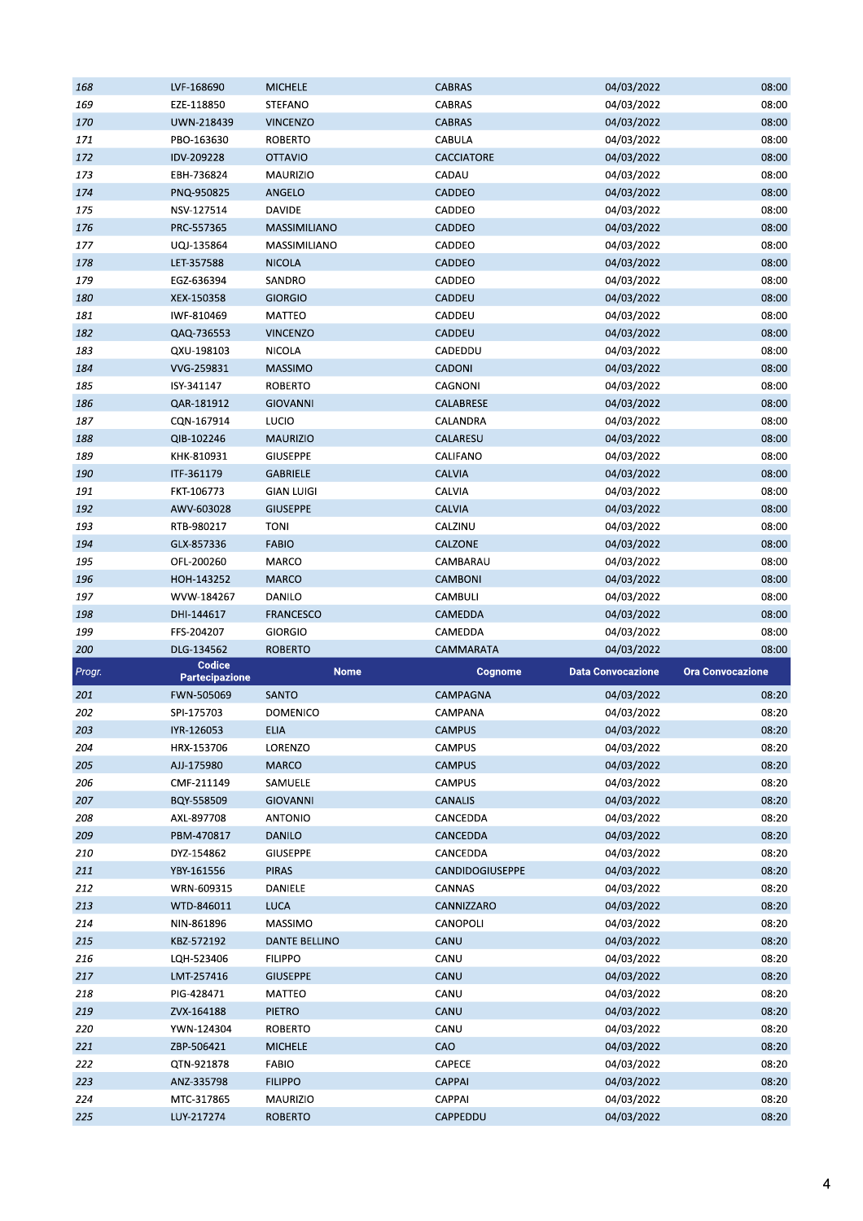| 168    | LVF-168690                      | <b>MICHELE</b>  | <b>CABRAS</b>   | 04/03/2022                                          | 08:00 |
|--------|---------------------------------|-----------------|-----------------|-----------------------------------------------------|-------|
| 169    | EZE-118850                      | STEFANO         | CABRAS          | 04/03/2022                                          | 08:00 |
| 170    | UWN-218439                      | <b>VINCENZO</b> | <b>CABRAS</b>   | 04/03/2022                                          | 08:00 |
| 171    | PBO-163630                      | ROBERTO         | CABULA          | 04/03/2022                                          | 08:00 |
| 172    | IDV-209228                      | OTTAVIO         | CACCIATORE      | 04/03/2022                                          | 08:00 |
| 173    | EBH-736824                      | MAURIZIO        | CADAU           | 04/03/2022                                          | 08:00 |
| 174    | PNQ-950825                      | ANGELO          | CADDEO          | 04/03/2022                                          | 08:00 |
| 175    | NSV-127514                      | DAVIDE          | CADDEO          | 04/03/2022                                          | 08:00 |
| 176    | PRC-557365                      | MASSIMILIANO    | CADDEO          | 04/03/2022                                          | 08:00 |
| 177    | UQJ-135864                      | MASSIMILIANO    | CADDEO          | 04/03/2022                                          | 08:00 |
| 178    |                                 | <b>NICOLA</b>   | CADDEO          | 04/03/2022                                          | 08:00 |
|        | LET-357588                      |                 |                 |                                                     |       |
| 179    | EGZ-636394                      | SANDRO          | CADDEO          | 04/03/2022                                          | 08:00 |
| 180    | XEX-150358                      | <b>GIORGIO</b>  | CADDEU          | 04/03/2022                                          | 08:00 |
| 181    | IWF-810469                      | MATTEO          | CADDEU          | 04/03/2022                                          | 08:00 |
| 182    | QAQ-736553                      | <b>VINCENZO</b> | CADDEU          | 04/03/2022                                          | 08:00 |
| 183    | QXU-198103                      | NICOLA          | CADEDDU         | 04/03/2022                                          | 08:00 |
| 184    | VVG-259831                      | <b>MASSIMO</b>  | <b>CADONI</b>   | 04/03/2022                                          | 08:00 |
| 185    | ISY-341147                      | <b>ROBERTO</b>  | CAGNONI         | 04/03/2022                                          | 08:00 |
| 186    | QAR-181912                      | <b>GIOVANNI</b> | CALABRESE       | 04/03/2022                                          | 08:00 |
| 187    | CQN-167914                      | <b>LUCIO</b>    | CALANDRA        | 04/03/2022                                          | 08:00 |
| 188    | QIB-102246                      | <b>MAURIZIO</b> | CALARESU        | 04/03/2022                                          | 08:00 |
| 189    | KHK-810931                      | GIUSEPPE        | CALIFANO        | 04/03/2022                                          | 08:00 |
| 190    | ITF-361179                      | <b>GABRIELE</b> | <b>CALVIA</b>   | 04/03/2022                                          | 08:00 |
| 191    | FKT-106773                      | GIAN LUIGI      | CALVIA          | 04/03/2022                                          | 08:00 |
| 192    | AWV-603028                      | <b>GIUSEPPE</b> | <b>CALVIA</b>   | 04/03/2022                                          | 08:00 |
| 193    | RTB-980217                      | <b>TONI</b>     | CALZINU         | 04/03/2022                                          | 08:00 |
| 194    | GLX-857336                      | <b>FABIO</b>    | CALZONE         | 04/03/2022                                          | 08:00 |
| 195    | OFL-200260                      | MARCO           | CAMBARAU        | 04/03/2022                                          | 08:00 |
| 196    | HOH-143252                      | <b>MARCO</b>    | CAMBONI         | 04/03/2022                                          | 08:00 |
| 197    | WVW-184267                      | DANILO          | CAMBULI         | 04/03/2022                                          | 08:00 |
|        |                                 |                 |                 |                                                     |       |
|        |                                 |                 |                 |                                                     |       |
| 198    | DHI-144617                      | FRANCESCO       | CAMEDDA         | 04/03/2022                                          | 08:00 |
| 199    | FFS-204207                      | GIORGIO         | CAMEDDA         | 04/03/2022                                          | 08:00 |
| 200    | DLG-134562                      | <b>ROBERTO</b>  | CAMMARATA       | 04/03/2022                                          | 08:00 |
| Progr. | Codice<br><b>Partecipazione</b> | <b>Nome</b>     | Cognome         | <b>Data Convocazione</b><br><b>Ora Convocazione</b> |       |
| 201    | FWN-505069                      | SANTO           | CAMPAGNA        | 04/03/2022                                          | 08:20 |
| 202    | SPI-175703                      | DOMENICO        | CAMPANA         | 04/03/2022                                          | 08:20 |
| 203    | IYR-126053                      | <b>ELIA</b>     | <b>CAMPUS</b>   | 04/03/2022                                          | 08:20 |
| 204    | HRX-153706                      | LORENZO         | CAMPUS          | 04/03/2022                                          | 08:20 |
|        |                                 | <b>MARCO</b>    |                 |                                                     |       |
| 205    | AJJ-175980                      |                 | <b>CAMPUS</b>   | 04/03/2022                                          | 08:20 |
| 206    | CMF-211149                      | SAMUELE         | <b>CAMPUS</b>   | 04/03/2022                                          | 08:20 |
| 207    | BQY-558509                      | GIOVANNI        | CANALIS         | 04/03/2022                                          | 08:20 |
| 208    | AXL-897708                      | <b>ANTONIO</b>  | CANCEDDA        | 04/03/2022                                          | 08:20 |
| 209    | PBM-470817                      | DANILO          | CANCEDDA        | 04/03/2022                                          | 08:20 |
| 210    | DYZ-154862                      | <b>GIUSEPPE</b> | CANCEDDA        | 04/03/2022                                          | 08:20 |
| 211    | YBY-161556                      | <b>PIRAS</b>    | CANDIDOGIUSEPPE | 04/03/2022                                          | 08:20 |
| 212    | WRN-609315                      | DANIELE         | CANNAS          | 04/03/2022                                          | 08:20 |
| 213    | WTD-846011                      | LUCA            | CANNIZZARO      | 04/03/2022                                          | 08:20 |
| 214    | NIN-861896                      | MASSIMO         | CANOPOLI        | 04/03/2022                                          | 08:20 |
| 215    | KBZ-572192                      | DANTE BELLINO   | CANU            | 04/03/2022                                          | 08:20 |
| 216    | LQH-523406                      | <b>FILIPPO</b>  | CANU            | 04/03/2022                                          | 08:20 |
| 217    | LMT-257416                      | <b>GIUSEPPE</b> | CANU            | 04/03/2022                                          | 08:20 |
| 218    | PIG-428471                      | MATTEO          | CANU            | 04/03/2022                                          | 08:20 |
| 219    | ZVX-164188                      | PIETRO          | CANU            | 04/03/2022                                          | 08:20 |
| 220    | YWN-124304                      | ROBERTO         | CANU            | 04/03/2022                                          | 08:20 |
| 221    | ZBP-506421                      | <b>MICHELE</b>  | CAO             | 04/03/2022                                          | 08:20 |
| 222    | QTN-921878                      | <b>FABIO</b>    | CAPECE          | 04/03/2022                                          | 08:20 |
| 223    | ANZ-335798                      | <b>FILIPPO</b>  | <b>CAPPAI</b>   | 04/03/2022                                          | 08:20 |
| 224    | MTC-317865                      | MAURIZIO        | CAPPAI          | 04/03/2022                                          | 08:20 |
| 225    | LUY-217274                      | <b>ROBERTO</b>  | CAPPEDDU        | 04/03/2022                                          | 08:20 |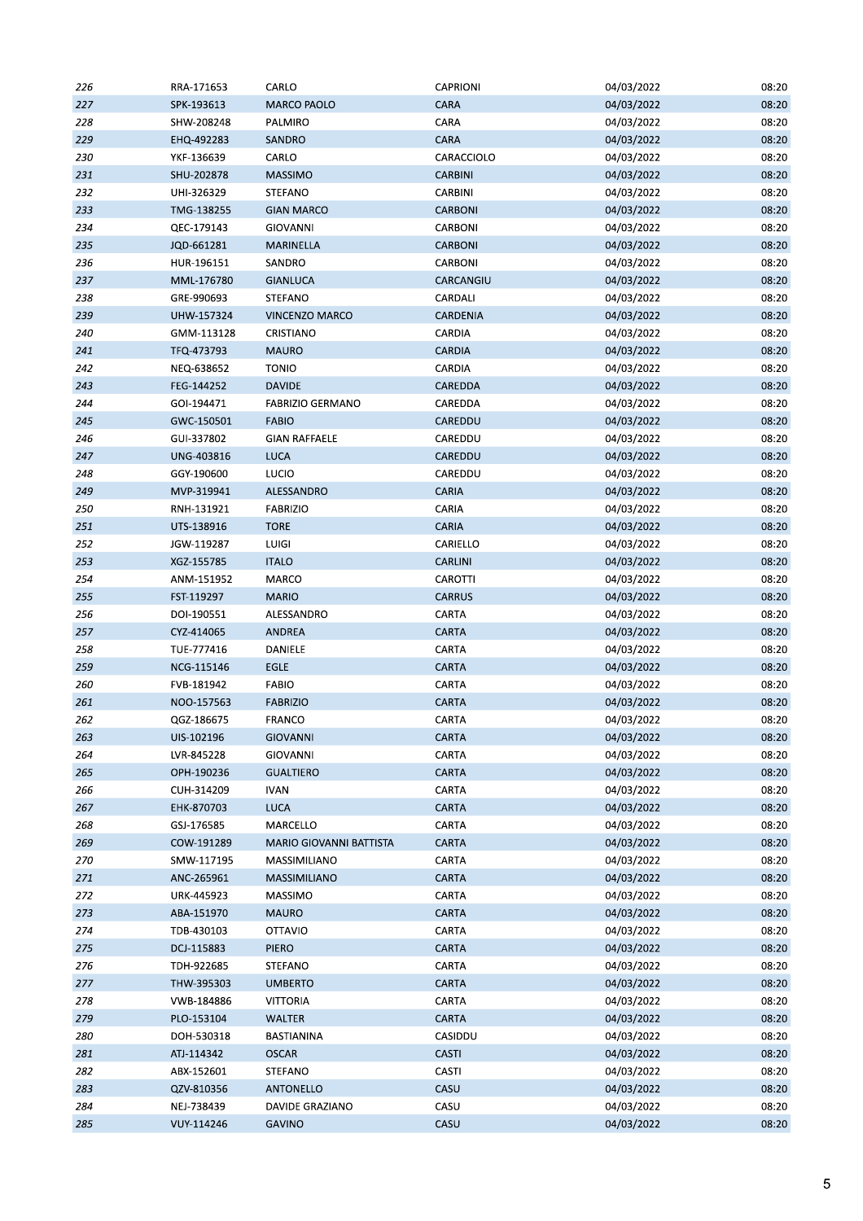| 226 | RRA-171653 | CARLO                   | <b>CAPRIONI</b> | 04/03/2022 | 08:20 |
|-----|------------|-------------------------|-----------------|------------|-------|
| 227 | SPK-193613 | <b>MARCO PAOLO</b>      | CARA            | 04/03/2022 | 08:20 |
| 228 | SHW-208248 | PALMIRO                 | CARA            | 04/03/2022 | 08:20 |
| 229 | EHQ-492283 | SANDRO                  | CARA            | 04/03/2022 | 08:20 |
| 230 | YKF-136639 | CARLO                   | CARACCIOLO      | 04/03/2022 | 08:20 |
| 231 | SHU-202878 | <b>MASSIMO</b>          | <b>CARBINI</b>  | 04/03/2022 | 08:20 |
| 232 | UHI-326329 | STEFANO                 | CARBINI         | 04/03/2022 | 08:20 |
| 233 | TMG-138255 | <b>GIAN MARCO</b>       | CARBONI         | 04/03/2022 | 08:20 |
| 234 | QEC-179143 | GIOVANNI                | CARBONI         | 04/03/2022 | 08:20 |
| 235 | JQD-661281 | MARINELLA               | <b>CARBONI</b>  | 04/03/2022 | 08:20 |
| 236 | HUR-196151 | SANDRO                  | CARBONI         | 04/03/2022 | 08:20 |
| 237 | MML-176780 | <b>GIANLUCA</b>         | CARCANGIU       | 04/03/2022 | 08:20 |
| 238 | GRE-990693 | STEFANO                 | CARDALI         | 04/03/2022 | 08:20 |
| 239 | UHW-157324 | <b>VINCENZO MARCO</b>   | CARDENIA        | 04/03/2022 | 08:20 |
| 240 | GMM-113128 | CRISTIANO               | CARDIA          | 04/03/2022 | 08:20 |
| 241 | TFQ-473793 | <b>MAURO</b>            | <b>CARDIA</b>   | 04/03/2022 | 08:20 |
| 242 | NEQ-638652 | <b>TONIO</b>            | CARDIA          | 04/03/2022 | 08:20 |
| 243 | FEG-144252 | <b>DAVIDE</b>           | CAREDDA         | 04/03/2022 | 08:20 |
| 244 | GOI-194471 | <b>FABRIZIO GERMANO</b> | CAREDDA         | 04/03/2022 | 08:20 |
| 245 | GWC-150501 | <b>FABIO</b>            | CAREDDU         | 04/03/2022 | 08:20 |
| 246 | GUI-337802 | <b>GIAN RAFFAELE</b>    | CAREDDU         | 04/03/2022 | 08:20 |
| 247 | UNG-403816 | LUCA                    | CAREDDU         | 04/03/2022 | 08:20 |
| 248 | GGY-190600 | <b>LUCIO</b>            | CAREDDU         | 04/03/2022 | 08:20 |
| 249 |            | ALESSANDRO              | CARIA           |            | 08:20 |
|     | MVP-319941 |                         | CARIA           | 04/03/2022 |       |
| 250 | RNH-131921 | FABRIZIO                |                 | 04/03/2022 | 08:20 |
| 251 | UTS-138916 | <b>TORE</b>             | CARIA           | 04/03/2022 | 08:20 |
| 252 | JGW-119287 | LUIGI                   | CARIELLO        | 04/03/2022 | 08:20 |
| 253 | XGZ-155785 | <b>ITALO</b>            | <b>CARLINI</b>  | 04/03/2022 | 08:20 |
| 254 | ANM-151952 | MARCO                   | CAROTTI         | 04/03/2022 | 08:20 |
| 255 | FST-119297 | <b>MARIO</b>            | <b>CARRUS</b>   | 04/03/2022 | 08:20 |
| 256 | DOI-190551 | ALESSANDRO              | CARTA           | 04/03/2022 | 08:20 |
| 257 | CYZ-414065 | <b>ANDREA</b>           | CARTA           | 04/03/2022 | 08:20 |
| 258 | TUE-777416 | DANIELE                 | CARTA           | 04/03/2022 | 08:20 |
| 259 | NCG-115146 | <b>EGLE</b>             | <b>CARTA</b>    | 04/03/2022 | 08:20 |
| 260 | FVB-181942 | <b>FABIO</b>            | CARTA           | 04/03/2022 | 08:20 |
| 261 | NOO-157563 | <b>FABRIZIO</b>         | <b>CARTA</b>    | 04/03/2022 | 08:20 |
| 262 | QGZ-186675 | FRANCO                  | CARTA           | 04/03/2022 | 08:20 |
| 263 | UIS-102196 | <b>GIOVANNI</b>         | CARTA           | 04/03/2022 | 08:20 |
| 264 | LVR-845228 | <b>GIOVANNI</b>         | CARTA           | 04/03/2022 | 08:20 |
| 265 | OPH-190236 | <b>GUALTIERO</b>        | CARTA           | 04/03/2022 | 08:20 |
| 266 | CUH-314209 | <b>IVAN</b>             | CARTA           | 04/03/2022 | 08:20 |
| 267 | EHK-870703 | <b>LUCA</b>             | CARTA           | 04/03/2022 | 08:20 |
| 268 | GSJ-176585 | MARCELLO                | CARTA           | 04/03/2022 | 08:20 |
| 269 | COW-191289 | MARIO GIOVANNI BATTISTA | CARTA           | 04/03/2022 | 08:20 |
| 270 | SMW-117195 | MASSIMILIANO            | CARTA           | 04/03/2022 | 08:20 |
| 271 | ANC-265961 | MASSIMILIANO            | CARTA           | 04/03/2022 | 08:20 |
| 272 | URK-445923 | MASSIMO                 | CARTA           | 04/03/2022 | 08:20 |
| 273 | ABA-151970 | MAURO                   | CARTA           | 04/03/2022 | 08:20 |
| 274 | TDB-430103 | OTTAVIO                 | CARTA           | 04/03/2022 | 08:20 |
| 275 | DCJ-115883 | <b>PIERO</b>            | <b>CARTA</b>    | 04/03/2022 | 08:20 |
| 276 | TDH-922685 | STEFANO                 | CARTA           | 04/03/2022 | 08:20 |
| 277 | THW-395303 | <b>UMBERTO</b>          | CARTA           | 04/03/2022 | 08:20 |
| 278 | VWB-184886 | <b>VITTORIA</b>         | CARTA           | 04/03/2022 | 08:20 |
| 279 | PLO-153104 | <b>WALTER</b>           | <b>CARTA</b>    | 04/03/2022 | 08:20 |
| 280 | DOH-530318 | BASTIANINA              | CASIDDU         | 04/03/2022 | 08:20 |
| 281 | ATJ-114342 | <b>OSCAR</b>            | CASTI           | 04/03/2022 | 08:20 |
| 282 | ABX-152601 | STEFANO                 | CASTI           | 04/03/2022 | 08:20 |
| 283 | QZV-810356 | ANTONELLO               | CASU            | 04/03/2022 | 08:20 |
| 284 | NEJ-738439 | DAVIDE GRAZIANO         | CASU            | 04/03/2022 | 08:20 |
| 285 | VUY-114246 | GAVINO                  | CASU            | 04/03/2022 | 08:20 |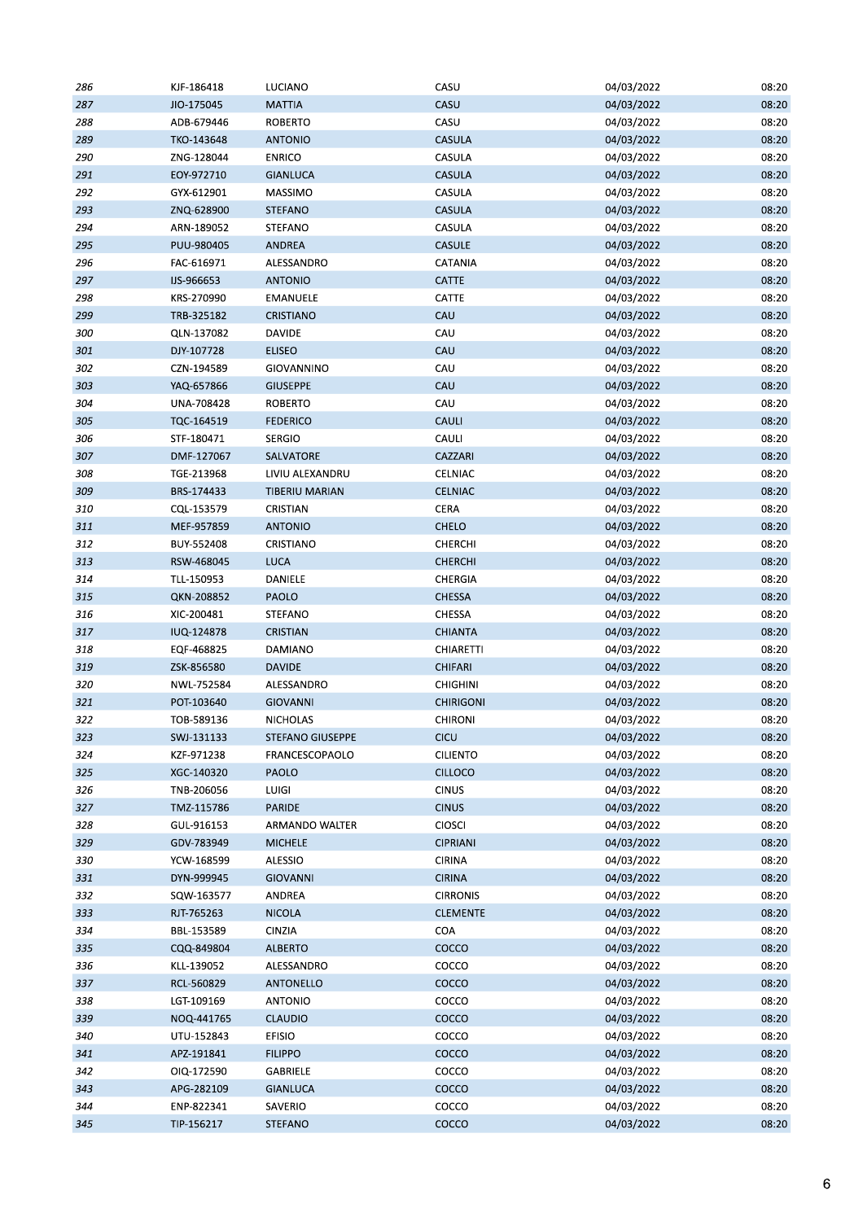| 286 | KJF-186418 | LUCIANO               | CASU             | 04/03/2022 | 08:20 |
|-----|------------|-----------------------|------------------|------------|-------|
| 287 | JIO-175045 | <b>MATTIA</b>         | CASU             | 04/03/2022 | 08:20 |
| 288 | ADB-679446 | <b>ROBERTO</b>        | CASU             | 04/03/2022 | 08:20 |
| 289 | TKO-143648 | <b>ANTONIO</b>        | CASULA           | 04/03/2022 | 08:20 |
| 290 | ZNG-128044 | <b>ENRICO</b>         | CASULA           | 04/03/2022 | 08:20 |
| 291 | EOY-972710 | <b>GIANLUCA</b>       | <b>CASULA</b>    | 04/03/2022 | 08:20 |
| 292 | GYX-612901 | MASSIMO               | CASULA           | 04/03/2022 | 08:20 |
| 293 | ZNQ-628900 | <b>STEFANO</b>        | CASULA           | 04/03/2022 | 08:20 |
| 294 | ARN-189052 | STEFANO               | CASULA           | 04/03/2022 | 08:20 |
| 295 | PUU-980405 | ANDREA                | <b>CASULE</b>    | 04/03/2022 | 08:20 |
| 296 | FAC-616971 | ALESSANDRO            | CATANIA          | 04/03/2022 | 08:20 |
| 297 | IJS-966653 | <b>ANTONIO</b>        | CATTE            | 04/03/2022 | 08:20 |
| 298 | KRS-270990 | EMANUELE              | CATTE            | 04/03/2022 | 08:20 |
| 299 | TRB-325182 | CRISTIANO             | CAU              | 04/03/2022 | 08:20 |
| 300 | QLN-137082 | DAVIDE                | CAU              | 04/03/2022 | 08:20 |
| 301 | DJY-107728 | <b>ELISEO</b>         | CAU              | 04/03/2022 | 08:20 |
| 302 | CZN-194589 | GIOVANNINO            | CAU              | 04/03/2022 | 08:20 |
| 303 |            | <b>GIUSEPPE</b>       | CAU              |            | 08:20 |
|     | YAQ-657866 |                       |                  | 04/03/2022 |       |
| 304 | UNA-708428 | ROBERTO               | CAU              | 04/03/2022 | 08:20 |
| 305 | TQC-164519 | <b>FEDERICO</b>       | CAULI            | 04/03/2022 | 08:20 |
| 306 | STF-180471 | <b>SERGIO</b>         | CAULI            | 04/03/2022 | 08:20 |
| 307 | DMF-127067 | SALVATORE             | CAZZARI          | 04/03/2022 | 08:20 |
| 308 | TGE-213968 | LIVIU ALEXANDRU       | CELNIAC          | 04/03/2022 | 08:20 |
| 309 | BRS-174433 | <b>TIBERIU MARIAN</b> | CELNIAC          | 04/03/2022 | 08:20 |
| 310 | CQL-153579 | CRISTIAN              | CERA             | 04/03/2022 | 08:20 |
| 311 | MEF-957859 | <b>ANTONIO</b>        | CHELO            | 04/03/2022 | 08:20 |
| 312 | BUY-552408 | CRISTIANO             | CHERCHI          | 04/03/2022 | 08:20 |
| 313 | RSW-468045 | LUCA                  | <b>CHERCHI</b>   | 04/03/2022 | 08:20 |
| 314 | TLL-150953 | DANIELE               | CHERGIA          | 04/03/2022 | 08:20 |
| 315 | QKN-208852 | PAOLO                 | CHESSA           | 04/03/2022 | 08:20 |
| 316 | XIC-200481 | STEFANO               | CHESSA           | 04/03/2022 | 08:20 |
| 317 | IUQ-124878 | CRISTIAN              | <b>CHIANTA</b>   | 04/03/2022 | 08:20 |
| 318 | EQF-468825 | DAMIANO               | <b>CHIARETTI</b> | 04/03/2022 | 08:20 |
| 319 | ZSK-856580 | <b>DAVIDE</b>         | CHIFARI          | 04/03/2022 | 08:20 |
| 320 | NWL-752584 | ALESSANDRO            | <b>CHIGHINI</b>  | 04/03/2022 | 08:20 |
| 321 | POT-103640 | <b>GIOVANNI</b>       | <b>CHIRIGONI</b> | 04/03/2022 | 08:20 |
| 322 | TOB-589136 | NICHOLAS              | <b>CHIRONI</b>   | 04/03/2022 | 08:20 |
| 323 | SWJ-131133 | STEFANO GIUSEPPE      | CICU             | 04/03/2022 | 08:20 |
| 324 | KZF-971238 | FRANCESCOPAOLO        | <b>CILIENTO</b>  | 04/03/2022 | 08:20 |
| 325 | XGC-140320 | PAOLO                 | <b>CILLOCO</b>   | 04/03/2022 | 08:20 |
| 326 | TNB-206056 | LUIGI                 | <b>CINUS</b>     | 04/03/2022 | 08:20 |
| 327 | TMZ-115786 | <b>PARIDE</b>         | <b>CINUS</b>     | 04/03/2022 | 08:20 |
| 328 | GUL-916153 | ARMANDO WALTER        | CIOSCI           | 04/03/2022 | 08:20 |
| 329 | GDV-783949 | <b>MICHELE</b>        | <b>CIPRIANI</b>  | 04/03/2022 | 08:20 |
| 330 | YCW-168599 | ALESSIO               | <b>CIRINA</b>    | 04/03/2022 | 08:20 |
| 331 | DYN-999945 | <b>GIOVANNI</b>       | <b>CIRINA</b>    | 04/03/2022 | 08:20 |
| 332 | SQW-163577 | ANDREA                | <b>CIRRONIS</b>  | 04/03/2022 | 08:20 |
| 333 | RJT-765263 | <b>NICOLA</b>         | <b>CLEMENTE</b>  | 04/03/2022 | 08:20 |
| 334 | BBL-153589 | CINZIA                | <b>COA</b>       | 04/03/2022 | 08:20 |
| 335 | CQQ-849804 | <b>ALBERTO</b>        | COCCO            | 04/03/2022 | 08:20 |
| 336 | KLL-139052 | ALESSANDRO            | COCCO            |            | 08:20 |
|     |            |                       |                  | 04/03/2022 |       |
| 337 | RCL-560829 | ANTONELLO             | COCCO            | 04/03/2022 | 08:20 |
| 338 | LGT-109169 | <b>ANTONIO</b>        | COCCO            | 04/03/2022 | 08:20 |
| 339 | NOQ-441765 | <b>CLAUDIO</b>        | COCCO            | 04/03/2022 | 08:20 |
| 340 | UTU-152843 | <b>EFISIO</b>         | COCCO            | 04/03/2022 | 08:20 |
| 341 | APZ-191841 | <b>FILIPPO</b>        | COCCO            | 04/03/2022 | 08:20 |
| 342 | OIQ-172590 | GABRIELE              | COCCO            | 04/03/2022 | 08:20 |
| 343 | APG-282109 | <b>GIANLUCA</b>       | COCCO            | 04/03/2022 | 08:20 |
| 344 | ENP-822341 | SAVERIO               | COCCO            | 04/03/2022 | 08:20 |
| 345 | TIP-156217 | <b>STEFANO</b>        | COCCO            | 04/03/2022 | 08:20 |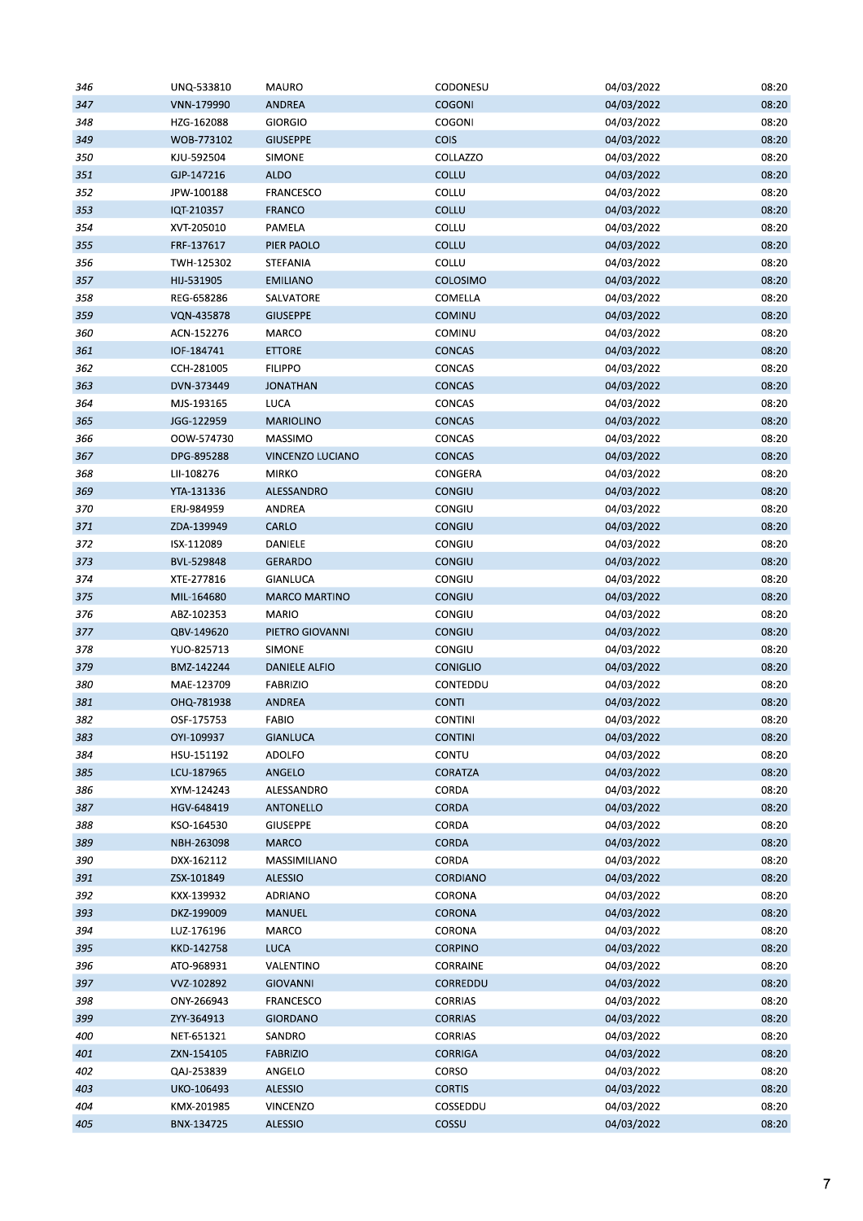| 346 | UNQ-533810 | <b>MAURO</b>         | CODONESU        | 04/03/2022 | 08:20 |
|-----|------------|----------------------|-----------------|------------|-------|
| 347 | VNN-179990 | ANDREA               | <b>COGONI</b>   | 04/03/2022 | 08:20 |
| 348 | HZG-162088 | GIORGIO              | COGONI          | 04/03/2022 | 08:20 |
| 349 | WOB-773102 | <b>GIUSEPPE</b>      | <b>COIS</b>     | 04/03/2022 | 08:20 |
| 350 | KJU-592504 | SIMONE               | COLLAZZO        | 04/03/2022 | 08:20 |
| 351 | GJP-147216 | <b>ALDO</b>          | COLLU           | 04/03/2022 | 08:20 |
| 352 | JPW-100188 | FRANCESCO            | COLLU           | 04/03/2022 | 08:20 |
| 353 | IQT-210357 | FRANCO               | COLLU           | 04/03/2022 | 08:20 |
| 354 | XVT-205010 | PAMELA               | COLLU           | 04/03/2022 | 08:20 |
| 355 | FRF-137617 | PIER PAOLO           | COLLU           | 04/03/2022 | 08:20 |
| 356 | TWH-125302 | <b>STEFANIA</b>      | COLLU           | 04/03/2022 | 08:20 |
| 357 | HIJ-531905 | <b>EMILIANO</b>      | COLOSIMO        | 04/03/2022 | 08:20 |
| 358 | REG-658286 | SALVATORE            | COMELLA         | 04/03/2022 | 08:20 |
| 359 | VQN-435878 | <b>GIUSEPPE</b>      | COMINU          | 04/03/2022 | 08:20 |
| 360 | ACN-152276 | MARCO                | COMINU          | 04/03/2022 | 08:20 |
| 361 | IOF-184741 | <b>ETTORE</b>        | <b>CONCAS</b>   | 04/03/2022 | 08:20 |
| 362 | CCH-281005 | <b>FILIPPO</b>       | CONCAS          | 04/03/2022 | 08:20 |
| 363 | DVN-373449 | <b>JONATHAN</b>      | <b>CONCAS</b>   | 04/03/2022 | 08:20 |
| 364 | MJS-193165 | LUCA                 | CONCAS          | 04/03/2022 | 08:20 |
| 365 | JGG-122959 | <b>MARIOLINO</b>     | CONCAS          | 04/03/2022 | 08:20 |
| 366 | OOW-574730 | MASSIMO              | CONCAS          | 04/03/2022 | 08:20 |
|     |            |                      |                 |            |       |
| 367 | DPG-895288 | VINCENZO LUCIANO     | <b>CONCAS</b>   | 04/03/2022 | 08:20 |
| 368 | LII-108276 | <b>MIRKO</b>         | CONGERA         | 04/03/2022 | 08:20 |
| 369 | YTA-131336 | ALESSANDRO           | <b>CONGIU</b>   | 04/03/2022 | 08:20 |
| 370 | ERJ-984959 | ANDREA               | CONGIU          | 04/03/2022 | 08:20 |
| 371 | ZDA-139949 | CARLO                | <b>CONGIU</b>   | 04/03/2022 | 08:20 |
| 372 | ISX-112089 | DANIELE              | CONGIU          | 04/03/2022 | 08:20 |
| 373 | BVL-529848 | <b>GERARDO</b>       | <b>CONGIU</b>   | 04/03/2022 | 08:20 |
| 374 | XTE-277816 | GIANLUCA             | CONGIU          | 04/03/2022 | 08:20 |
| 375 | MIL-164680 | <b>MARCO MARTINO</b> | <b>CONGIU</b>   | 04/03/2022 | 08:20 |
| 376 | ABZ-102353 | MARIO                | CONGIU          | 04/03/2022 | 08:20 |
| 377 | QBV-149620 | PIETRO GIOVANNI      | <b>CONGIU</b>   | 04/03/2022 | 08:20 |
| 378 | YUO-825713 | SIMONE               | CONGIU          | 04/03/2022 | 08:20 |
| 379 | BMZ-142244 | <b>DANIELE ALFIO</b> | <b>CONIGLIO</b> | 04/03/2022 | 08:20 |
| 380 | MAE-123709 | <b>FABRIZIO</b>      | CONTEDDU        | 04/03/2022 | 08:20 |
| 381 | OHQ-781938 | ANDREA               | <b>CONTI</b>    | 04/03/2022 | 08:20 |
| 382 | OSF-175753 | FABIO                | <b>CONTINI</b>  | 04/03/2022 | 08:20 |
| 383 | OYI-109937 | <b>GIANLUCA</b>      | <b>CONTINI</b>  | 04/03/2022 | 08:20 |
| 384 | HSU-151192 | ADOLFO               | CONTU           | 04/03/2022 | 08:20 |
| 385 | LCU-187965 | ANGELO               | CORATZA         | 04/03/2022 | 08:20 |
| 386 | XYM-124243 | ALESSANDRO           | CORDA           | 04/03/2022 | 08:20 |
| 387 | HGV-648419 | ANTONELLO            | CORDA           | 04/03/2022 | 08:20 |
| 388 | KSO-164530 | <b>GIUSEPPE</b>      | CORDA           | 04/03/2022 | 08:20 |
| 389 | NBH-263098 | <b>MARCO</b>         | CORDA           | 04/03/2022 | 08:20 |
| 390 | DXX-162112 | MASSIMILIANO         | CORDA           | 04/03/2022 | 08:20 |
| 391 | ZSX-101849 | <b>ALESSIO</b>       | <b>CORDIANO</b> | 04/03/2022 | 08:20 |
| 392 | KXX-139932 | ADRIANO              | CORONA          | 04/03/2022 | 08:20 |
| 393 | DKZ-199009 | MANUEL               | CORONA          | 04/03/2022 | 08:20 |
| 394 | LUZ-176196 | MARCO                | CORONA          | 04/03/2022 | 08:20 |
| 395 | KKD-142758 | LUCA                 | <b>CORPINO</b>  | 04/03/2022 | 08:20 |
| 396 | ATO-968931 | VALENTINO            | CORRAINE        | 04/03/2022 | 08:20 |
| 397 | VVZ-102892 | <b>GIOVANNI</b>      | CORREDDU        | 04/03/2022 | 08:20 |
| 398 | ONY-266943 | FRANCESCO            | <b>CORRIAS</b>  | 04/03/2022 | 08:20 |
| 399 | ZYY-364913 | <b>GIORDANO</b>      | <b>CORRIAS</b>  | 04/03/2022 | 08:20 |
| 400 | NET-651321 | SANDRO               | CORRIAS         | 04/03/2022 | 08:20 |
| 401 | ZXN-154105 | <b>FABRIZIO</b>      | <b>CORRIGA</b>  | 04/03/2022 | 08:20 |
| 402 | QAJ-253839 | ANGELO               | CORSO           | 04/03/2022 | 08:20 |
| 403 | UKO-106493 | <b>ALESSIO</b>       | <b>CORTIS</b>   | 04/03/2022 | 08:20 |
| 404 | KMX-201985 | VINCENZO             | COSSEDDU        | 04/03/2022 | 08:20 |
| 405 | BNX-134725 | <b>ALESSIO</b>       | COSSU           | 04/03/2022 | 08:20 |
|     |            |                      |                 |            |       |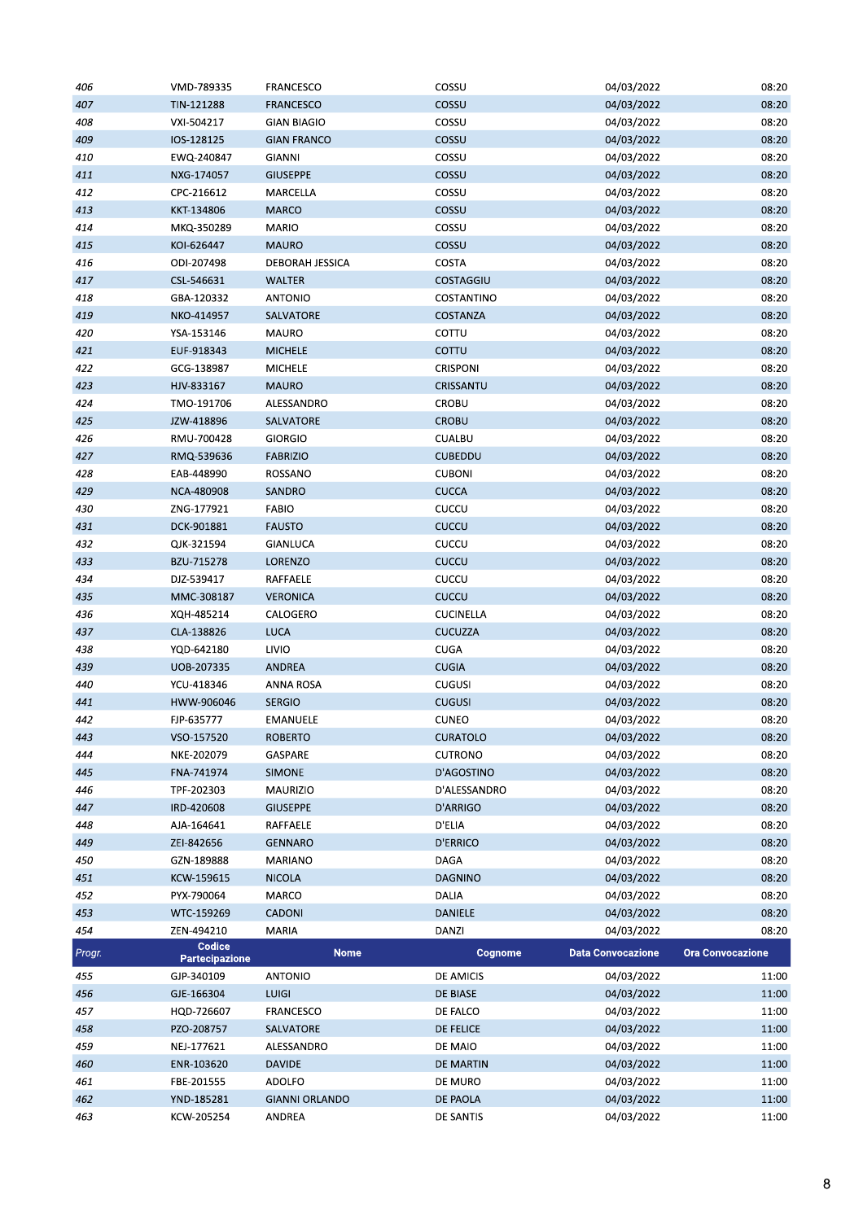| 406    | VMD-789335                  | <b>FRANCESCO</b>      | COSSU            | 04/03/2022               | 08:20                   |
|--------|-----------------------------|-----------------------|------------------|--------------------------|-------------------------|
| 407    | TIN-121288                  | <b>FRANCESCO</b>      | COSSU            | 04/03/2022               | 08:20                   |
| 408    | VXI-504217                  | <b>GIAN BIAGIO</b>    | COSSU            | 04/03/2022               | 08:20                   |
| 409    | IOS-128125                  | <b>GIAN FRANCO</b>    | COSSU            | 04/03/2022               | 08:20                   |
| 410    | EWQ-240847                  | GIANNI                | COSSU            | 04/03/2022               | 08:20                   |
| 411    | NXG-174057                  | <b>GIUSEPPE</b>       | COSSU            | 04/03/2022               | 08:20                   |
| 412    | CPC-216612                  | MARCELLA              | COSSU            | 04/03/2022               | 08:20                   |
| 413    | KKT-134806                  | <b>MARCO</b>          | COSSU            | 04/03/2022               | 08:20                   |
| 414    | MKQ-350289                  | MARIO                 | COSSU            | 04/03/2022               | 08:20                   |
| 415    | KOI-626447                  | <b>MAURO</b>          | COSSU            | 04/03/2022               | 08:20                   |
| 416    | ODI-207498                  | DEBORAH JESSICA       | <b>COSTA</b>     | 04/03/2022               | 08:20                   |
| 417    |                             |                       | COSTAGGIU        |                          | 08:20                   |
| 418    | CSL-546631                  | WALTER                |                  | 04/03/2022               | 08:20                   |
|        | GBA-120332                  | <b>ANTONIO</b>        | COSTANTINO       | 04/03/2022               |                         |
| 419    | NKO-414957                  | SALVATORE             | COSTANZA         | 04/03/2022               | 08:20                   |
| 420    | YSA-153146                  | MAURO                 | COTTU            | 04/03/2022               | 08:20                   |
| 421    | EUF-918343                  | <b>MICHELE</b>        | COTTU            | 04/03/2022               | 08:20                   |
| 422    | GCG-138987                  | <b>MICHELE</b>        | CRISPONI         | 04/03/2022               | 08:20                   |
| 423    | HJV-833167                  | <b>MAURO</b>          | CRISSANTU        | 04/03/2022               | 08:20                   |
| 424    | TMO-191706                  | ALESSANDRO            | <b>CROBU</b>     | 04/03/2022               | 08:20                   |
| 425    | JZW-418896                  | SALVATORE             | <b>CROBU</b>     | 04/03/2022               | 08:20                   |
| 426    | RMU-700428                  | <b>GIORGIO</b>        | <b>CUALBU</b>    | 04/03/2022               | 08:20                   |
| 427    | RMQ-539636                  | <b>FABRIZIO</b>       | <b>CUBEDDU</b>   | 04/03/2022               | 08:20                   |
| 428    | EAB-448990                  | ROSSANO               | <b>CUBONI</b>    | 04/03/2022               | 08:20                   |
| 429    | NCA-480908                  | SANDRO                | <b>CUCCA</b>     | 04/03/2022               | 08:20                   |
| 430    | ZNG-177921                  | <b>FABIO</b>          | CUCCU            | 04/03/2022               | 08:20                   |
| 431    | DCK-901881                  | <b>FAUSTO</b>         | CUCCU            | 04/03/2022               | 08:20                   |
| 432    | QJK-321594                  | GIANLUCA              | CUCCU            | 04/03/2022               | 08:20                   |
| 433    | BZU-715278                  | LORENZO               | CUCCU            | 04/03/2022               | 08:20                   |
| 434    | DJZ-539417                  | RAFFAELE              | CUCCU            | 04/03/2022               | 08:20                   |
| 435    | MMC-308187                  | <b>VERONICA</b>       | CUCCU            | 04/03/2022               | 08:20                   |
| 436    | XQH-485214                  | CALOGERO              | <b>CUCINELLA</b> | 04/03/2022               | 08:20                   |
| 437    | CLA-138826                  | LUCA                  | <b>CUCUZZA</b>   | 04/03/2022               | 08:20                   |
| 438    | YQD-642180                  | LIVIO                 | <b>CUGA</b>      | 04/03/2022               | 08:20                   |
| 439    | UOB-207335                  | ANDREA                | <b>CUGIA</b>     | 04/03/2022               | 08:20                   |
| 440    | YCU-418346                  | ANNA ROSA             | <b>CUGUSI</b>    | 04/03/2022               | 08:20                   |
| 441    | HWW-906046                  | <b>SERGIO</b>         | <b>CUGUSI</b>    | 04/03/2022               | 08:20                   |
| 442    | FJP-635777                  | <b>EMANUELE</b>       | <b>CUNEO</b>     | 04/03/2022               | 08:20                   |
| 443    | VSO-157520                  | <b>ROBERTO</b>        | <b>CURATOLO</b>  | 04/03/2022               | 08:20                   |
| 444    | NKE-202079                  | GASPARE               | <b>CUTRONO</b>   | 04/03/2022               | 08:20                   |
| 445    | FNA-741974                  | <b>SIMONE</b>         | D'AGOSTINO       | 04/03/2022               | 08:20                   |
| 446    | TPF-202303                  | MAURIZIO              | D'ALESSANDRO     | 04/03/2022               | 08:20                   |
| 447    | IRD-420608                  | <b>GIUSEPPE</b>       | D'ARRIGO         | 04/03/2022               | 08:20                   |
| 448    | AJA-164641                  | RAFFAELE              | D'ELIA           | 04/03/2022               | 08:20                   |
| 449    | ZEI-842656                  | <b>GENNARO</b>        | <b>D'ERRICO</b>  | 04/03/2022               | 08:20                   |
| 450    | GZN-189888                  | MARIANO               | DAGA             | 04/03/2022               | 08:20                   |
|        | KCW-159615                  |                       | <b>DAGNINO</b>   |                          | 08:20                   |
| 451    |                             | <b>NICOLA</b>         |                  | 04/03/2022               |                         |
| 452    | PYX-790064                  | MARCO                 | DALIA            | 04/03/2022               | 08:20                   |
| 453    | WTC-159269                  | CADONI                | <b>DANIELE</b>   | 04/03/2022               | 08:20                   |
| 454    | ZEN-494210<br><b>Codice</b> | MARIA                 | DANZI            | 04/03/2022               | 08:20                   |
| Progr. | <b>Partecipazione</b>       | <b>Nome</b>           | Cognome          | <b>Data Convocazione</b> | <b>Ora Convocazione</b> |
| 455    | GJP-340109                  | ANTONIO               | DE AMICIS        | 04/03/2022               | 11:00                   |
| 456    | GJE-166304                  | <b>LUIGI</b>          | DE BIASE         | 04/03/2022               | 11:00                   |
| 457    | HQD-726607                  | FRANCESCO             | DE FALCO         | 04/03/2022               | 11:00                   |
| 458    | PZO-208757                  | SALVATORE             | <b>DE FELICE</b> | 04/03/2022               | 11:00                   |
| 459    | NEJ-177621                  | ALESSANDRO            | DE MAIO          | 04/03/2022               | 11:00                   |
| 460    | ENR-103620                  | <b>DAVIDE</b>         | DE MARTIN        | 04/03/2022               | 11:00                   |
| 461    | FBE-201555                  | <b>ADOLFO</b>         | DE MURO          | 04/03/2022               | 11:00                   |
| 462    | YND-185281                  | <b>GIANNI ORLANDO</b> | DE PAOLA         | 04/03/2022               | 11:00                   |
| 463    | KCW-205254                  | ANDREA                | DE SANTIS        | 04/03/2022               | 11:00                   |
|        |                             |                       |                  |                          |                         |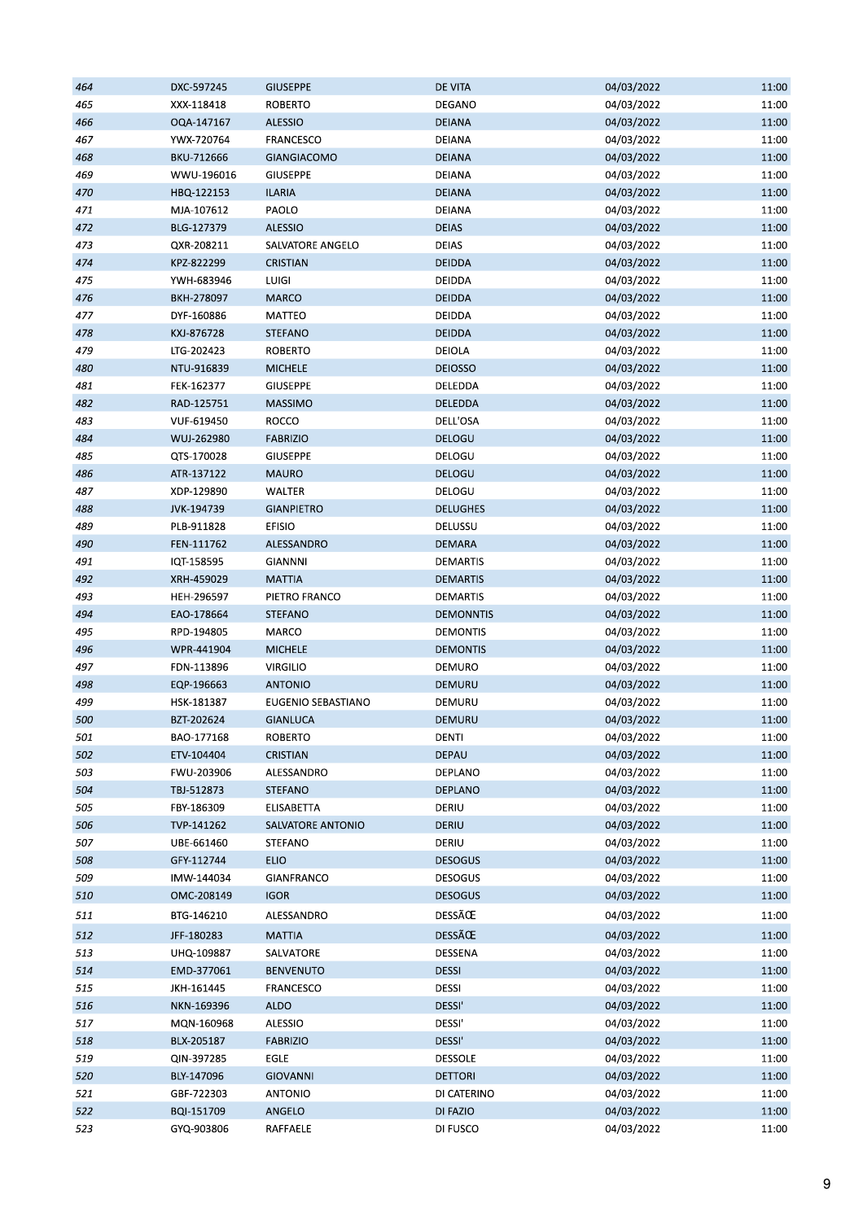| 464 | DXC-597245 | <b>GIUSEPPE</b>    | <b>DE VITA</b>                   | 04/03/2022 | 11:00 |
|-----|------------|--------------------|----------------------------------|------------|-------|
| 465 | XXX-118418 | <b>ROBERTO</b>     | DEGANO                           | 04/03/2022 | 11:00 |
| 466 | OQA-147167 | <b>ALESSIO</b>     | <b>DEIANA</b>                    | 04/03/2022 | 11:00 |
| 467 | YWX-720764 | FRANCESCO          | DEIANA                           | 04/03/2022 | 11:00 |
| 468 | BKU-712666 | <b>GIANGIACOMO</b> | <b>DEIANA</b>                    | 04/03/2022 | 11:00 |
| 469 | WWU-196016 | <b>GIUSEPPE</b>    | DEIANA                           | 04/03/2022 | 11:00 |
| 470 | HBQ-122153 | <b>ILARIA</b>      | <b>DEIANA</b>                    | 04/03/2022 | 11:00 |
| 471 | MJA-107612 | PAOLO              | DEIANA                           | 04/03/2022 | 11:00 |
| 472 | BLG-127379 | <b>ALESSIO</b>     | <b>DEIAS</b>                     | 04/03/2022 | 11:00 |
| 473 | QXR-208211 | SALVATORE ANGELO   | <b>DEIAS</b>                     | 04/03/2022 | 11:00 |
| 474 | KPZ-822299 | CRISTIAN           | DEIDDA                           | 04/03/2022 | 11:00 |
| 475 |            | LUIGI              | DEIDDA                           | 04/03/2022 | 11:00 |
|     | YWH-683946 |                    |                                  |            |       |
| 476 | BKH-278097 | <b>MARCO</b>       | <b>DEIDDA</b>                    | 04/03/2022 | 11:00 |
| 477 | DYF-160886 | MATTEO             | DEIDDA                           | 04/03/2022 | 11:00 |
| 478 | KXJ-876728 | <b>STEFANO</b>     | <b>DEIDDA</b>                    | 04/03/2022 | 11:00 |
| 479 | LTG-202423 | <b>ROBERTO</b>     | DEIOLA                           | 04/03/2022 | 11:00 |
| 480 | NTU-916839 | <b>MICHELE</b>     | <b>DEIOSSO</b>                   | 04/03/2022 | 11:00 |
| 481 | FEK-162377 | <b>GIUSEPPE</b>    | DELEDDA                          | 04/03/2022 | 11:00 |
| 482 | RAD-125751 | <b>MASSIMO</b>     | <b>DELEDDA</b>                   | 04/03/2022 | 11:00 |
| 483 | VUF-619450 | ROCCO              | DELL'OSA                         | 04/03/2022 | 11:00 |
| 484 | WUJ-262980 | <b>FABRIZIO</b>    | DELOGU                           | 04/03/2022 | 11:00 |
| 485 | QTS-170028 | <b>GIUSEPPE</b>    | DELOGU                           | 04/03/2022 | 11:00 |
| 486 | ATR-137122 | <b>MAURO</b>       | DELOGU                           | 04/03/2022 | 11:00 |
| 487 | XDP-129890 | WALTER             | DELOGU                           | 04/03/2022 | 11:00 |
| 488 | JVK-194739 | <b>GIANPIETRO</b>  | <b>DELUGHES</b>                  | 04/03/2022 | 11:00 |
| 489 | PLB-911828 | <b>EFISIO</b>      | DELUSSU                          | 04/03/2022 | 11:00 |
| 490 | FEN-111762 | ALESSANDRO         | DEMARA                           | 04/03/2022 | 11:00 |
| 491 | IQT-158595 | <b>GIANNNI</b>     | DEMARTIS                         | 04/03/2022 | 11:00 |
| 492 | XRH-459029 | <b>MATTIA</b>      | <b>DEMARTIS</b>                  | 04/03/2022 | 11:00 |
| 493 | HEH-296597 | PIETRO FRANCO      | DEMARTIS                         | 04/03/2022 | 11:00 |
| 494 | EAO-178664 | <b>STEFANO</b>     | <b>DEMONNTIS</b>                 | 04/03/2022 | 11:00 |
| 495 | RPD-194805 | MARCO              | <b>DEMONTIS</b>                  | 04/03/2022 | 11:00 |
| 496 |            |                    |                                  |            | 11:00 |
|     | WPR-441904 | <b>MICHELE</b>     | <b>DEMONTIS</b><br><b>DEMURO</b> | 04/03/2022 |       |
| 497 | FDN-113896 | <b>VIRGILIO</b>    |                                  | 04/03/2022 | 11:00 |
| 498 | EQP-196663 | <b>ANTONIO</b>     | DEMURU                           | 04/03/2022 | 11:00 |
| 499 | HSK-181387 | EUGENIO SEBASTIANO | DEMURU                           | 04/03/2022 | 11:00 |
| 500 | BZT-202624 | <b>GIANLUCA</b>    | <b>DEMURU</b>                    | 04/03/2022 | 11:00 |
| 501 | BAO-177168 | <b>ROBERTO</b>     | <b>DENTI</b>                     | 04/03/2022 | 11:00 |
| 502 | ETV-104404 | CRISTIAN           | <b>DEPAU</b>                     | 04/03/2022 | 11:00 |
| 503 | FWU-203906 | ALESSANDRO         | DEPLANO                          | 04/03/2022 | 11:00 |
| 504 | TBJ-512873 | <b>STEFANO</b>     | DEPLANO                          | 04/03/2022 | 11:00 |
| 505 | FBY-186309 | ELISABETTA         | DERIU                            | 04/03/2022 | 11:00 |
| 506 | TVP-141262 | SALVATORE ANTONIO  | <b>DERIU</b>                     | 04/03/2022 | 11:00 |
| 507 | UBE-661460 | STEFANO            | DERIU                            | 04/03/2022 | 11:00 |
| 508 | GFY-112744 | <b>ELIO</b>        | <b>DESOGUS</b>                   | 04/03/2022 | 11:00 |
| 509 | IMW-144034 | GIANFRANCO         | <b>DESOGUS</b>                   | 04/03/2022 | 11:00 |
| 510 | OMC-208149 | <b>IGOR</b>        | <b>DESOGUS</b>                   | 04/03/2022 | 11:00 |
| 511 | BTG-146210 | ALESSANDRO         | DESSÃŒ                           | 04/03/2022 | 11:00 |
| 512 | JFF-180283 | <b>MATTIA</b>      | DESSÃŒ                           | 04/03/2022 | 11:00 |
|     |            |                    |                                  |            |       |
| 513 | UHQ-109887 | SALVATORE          | DESSENA                          | 04/03/2022 | 11:00 |
| 514 | EMD-377061 | <b>BENVENUTO</b>   | <b>DESSI</b>                     | 04/03/2022 | 11:00 |
| 515 | JKH-161445 | FRANCESCO          | DESSI                            | 04/03/2022 | 11:00 |
| 516 | NKN-169396 | <b>ALDO</b>        | DESSI'                           | 04/03/2022 | 11:00 |
| 517 | MQN-160968 | ALESSIO            | DESSI'                           | 04/03/2022 | 11:00 |
| 518 |            | <b>FABRIZIO</b>    | DESSI'                           | 04/03/2022 | 11:00 |
|     | BLX-205187 |                    |                                  |            |       |
| 519 | QIN-397285 | EGLE               | <b>DESSOLE</b>                   | 04/03/2022 | 11:00 |
| 520 | BLY-147096 | <b>GIOVANNI</b>    | <b>DETTORI</b>                   | 04/03/2022 | 11:00 |
| 521 | GBF-722303 | <b>ANTONIO</b>     | DI CATERINO                      | 04/03/2022 | 11:00 |
| 522 | BQI-151709 | ANGELO             | DI FAZIO                         | 04/03/2022 | 11:00 |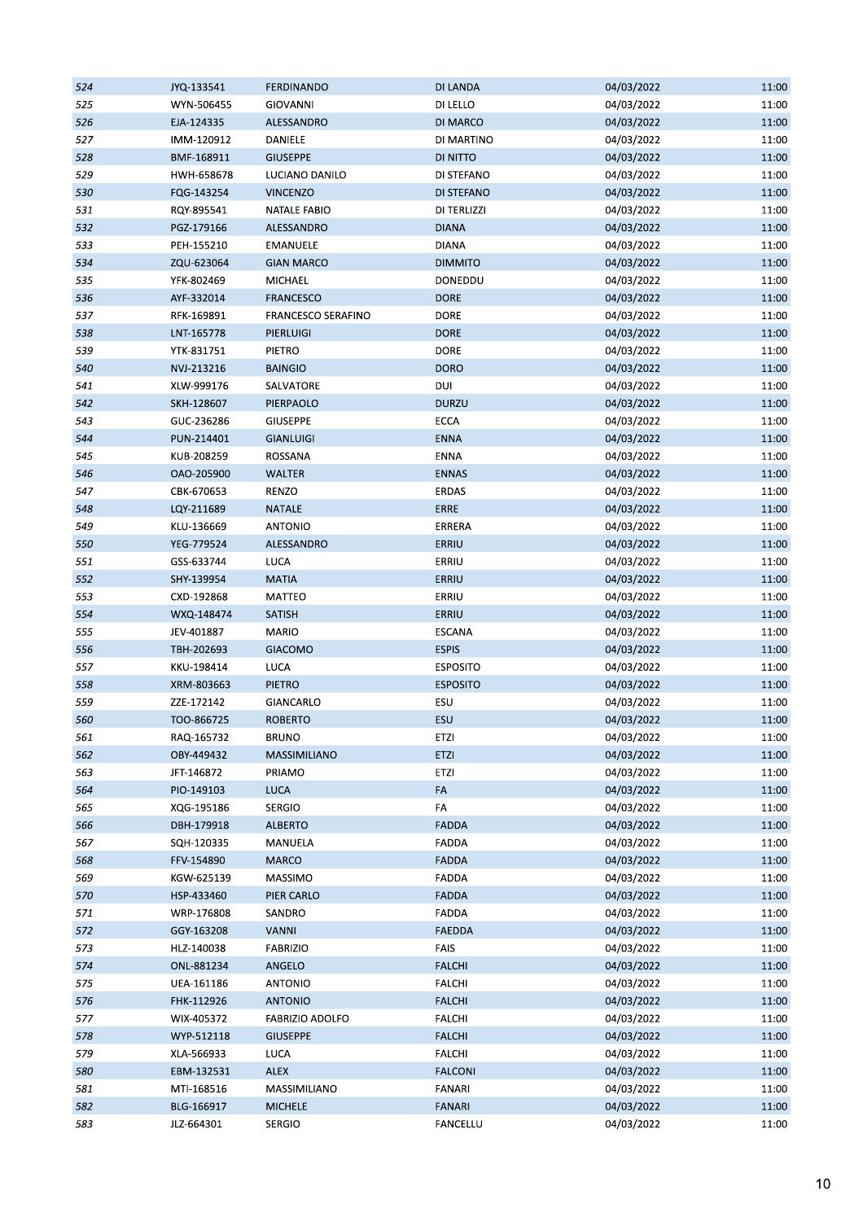| 524 | JYQ-133541 | <b>FERDINANDO</b>      | DI LANDA        | 04/03/2022 | 11:00 |
|-----|------------|------------------------|-----------------|------------|-------|
| 525 | WYN-506455 | <b>GIOVANNI</b>        | DI LELLO        | 04/03/2022 | 11:00 |
| 526 | EJA-124335 | ALESSANDRO             | <b>DI MARCO</b> | 04/03/2022 | 11:00 |
| 527 | IMM-120912 | DANIELE                | DI MARTINO      | 04/03/2022 | 11:00 |
| 528 | BMF-168911 | <b>GIUSEPPE</b>        | DI NITTO        | 04/03/2022 | 11:00 |
| 529 | HWH-658678 | LUCIANO DANILO         | DI STEFANO      | 04/03/2022 | 11:00 |
| 530 | FQG-143254 | <b>VINCENZO</b>        | DI STEFANO      | 04/03/2022 | 11:00 |
| 531 | RQY-895541 | <b>NATALE FABIO</b>    | DI TERLIZZI     | 04/03/2022 | 11:00 |
| 532 | PGZ-179166 | ALESSANDRO             | <b>DIANA</b>    | 04/03/2022 | 11:00 |
| 533 | PEH-155210 | <b>EMANUELE</b>        | <b>DIANA</b>    | 04/03/2022 | 11:00 |
| 534 | ZQU-623064 | <b>GIAN MARCO</b>      | <b>DIMMITO</b>  | 04/03/2022 | 11:00 |
| 535 | YFK-802469 | MICHAEL                | DONEDDU         | 04/03/2022 | 11:00 |
| 536 | AYF-332014 | <b>FRANCESCO</b>       | <b>DORE</b>     | 04/03/2022 | 11:00 |
| 537 | RFK-169891 | FRANCESCO SERAFINO     | <b>DORE</b>     | 04/03/2022 | 11:00 |
| 538 | LNT-165778 | PIERLUIGI              | <b>DORE</b>     | 04/03/2022 | 11:00 |
| 539 | YTK-831751 | PIETRO                 | <b>DORE</b>     | 04/03/2022 | 11:00 |
| 540 | NVJ-213216 | <b>BAINGIO</b>         | <b>DORO</b>     | 04/03/2022 | 11:00 |
|     |            |                        | DUI             | 04/03/2022 | 11:00 |
| 541 | XLW-999176 | SALVATORE              | <b>DURZU</b>    |            | 11:00 |
| 542 | SKH-128607 | PIERPAOLO              |                 | 04/03/2022 |       |
| 543 | GUC-236286 | <b>GIUSEPPE</b>        | ECCA            | 04/03/2022 | 11:00 |
| 544 | PUN-214401 | <b>GIANLUIGI</b>       | <b>ENNA</b>     | 04/03/2022 | 11:00 |
| 545 | KUB-208259 | ROSSANA                | <b>ENNA</b>     | 04/03/2022 | 11:00 |
| 546 | OAO-205900 | WALTER                 | <b>ENNAS</b>    | 04/03/2022 | 11:00 |
| 547 | CBK-670653 | RENZO                  | ERDAS           | 04/03/2022 | 11:00 |
| 548 | LQY-211689 | <b>NATALE</b>          | ERRE            | 04/03/2022 | 11:00 |
| 549 | KLU-136669 | <b>ANTONIO</b>         | ERRERA          | 04/03/2022 | 11:00 |
| 550 | YEG-779524 | ALESSANDRO             | ERRIU           | 04/03/2022 | 11:00 |
| 551 | GSS-633744 | LUCA                   | ERRIU           | 04/03/2022 | 11:00 |
| 552 | SHY-139954 | <b>MATIA</b>           | ERRIU           | 04/03/2022 | 11:00 |
| 553 | CXD-192868 | MATTEO                 | ERRIU           | 04/03/2022 | 11:00 |
| 554 | WXQ-148474 | <b>SATISH</b>          | ERRIU           | 04/03/2022 | 11:00 |
| 555 | JEV-401887 | <b>MARIO</b>           | ESCANA          | 04/03/2022 | 11:00 |
| 556 | TBH-202693 | <b>GIACOMO</b>         | <b>ESPIS</b>    | 04/03/2022 | 11:00 |
| 557 | KKU-198414 | LUCA                   | <b>ESPOSITO</b> | 04/03/2022 | 11:00 |
| 558 | XRM-803663 | <b>PIETRO</b>          | <b>ESPOSITO</b> | 04/03/2022 | 11:00 |
| 559 | ZZE-172142 | GIANCARLO              | ESU             | 04/03/2022 | 11:00 |
| 560 | TOO-866725 | <b>ROBERTO</b>         | ESU             | 04/03/2022 | 11:00 |
| 561 | RAQ-165732 | <b>BRUNO</b>           | <b>ETZI</b>     | 04/03/2022 | 11:00 |
| 562 | OBY-449432 | MASSIMILIANO           | ETZI            | 04/03/2022 | 11:00 |
| 563 | JFT-146872 | PRIAMO                 | ETZI            | 04/03/2022 | 11:00 |
| 564 | PIO-149103 | LUCA                   | FA              | 04/03/2022 | 11:00 |
| 565 | XQG-195186 | SERGIO                 | FA              | 04/03/2022 | 11:00 |
| 566 | DBH-179918 | <b>ALBERTO</b>         | <b>FADDA</b>    | 04/03/2022 | 11:00 |
| 567 | SQH-120335 | MANUELA                | <b>FADDA</b>    | 04/03/2022 | 11:00 |
| 568 | FFV-154890 | <b>MARCO</b>           | <b>FADDA</b>    | 04/03/2022 | 11:00 |
| 569 | KGW-625139 | MASSIMO                | FADDA           | 04/03/2022 | 11:00 |
| 570 | HSP-433460 | PIER CARLO             | <b>FADDA</b>    | 04/03/2022 | 11:00 |
| 571 | WRP-176808 | SANDRO                 | FADDA           | 04/03/2022 | 11:00 |
| 572 | GGY-163208 | <b>VANNI</b>           | <b>FAEDDA</b>   | 04/03/2022 | 11:00 |
| 573 | HLZ-140038 | <b>FABRIZIO</b>        | <b>FAIS</b>     | 04/03/2022 | 11:00 |
| 574 | ONL-881234 | ANGELO                 | <b>FALCHI</b>   | 04/03/2022 | 11:00 |
| 575 |            |                        |                 |            | 11:00 |
|     | UEA-161186 | <b>ANTONIO</b>         | <b>FALCHI</b>   | 04/03/2022 |       |
| 576 | FHK-112926 | <b>ANTONIO</b>         | <b>FALCHI</b>   | 04/03/2022 | 11:00 |
| 577 | WIX-405372 | <b>FABRIZIO ADOLFO</b> | <b>FALCHI</b>   | 04/03/2022 | 11:00 |
| 578 | WYP-512118 | <b>GIUSEPPE</b>        | <b>FALCHI</b>   | 04/03/2022 | 11:00 |
| 579 | XLA-566933 | LUCA                   | <b>FALCHI</b>   | 04/03/2022 | 11:00 |
| 580 | EBM-132531 | <b>ALEX</b>            | <b>FALCONI</b>  | 04/03/2022 | 11:00 |
| 581 | MTI-168516 | MASSIMILIANO           | FANARI          | 04/03/2022 | 11:00 |
| 582 | BLG-166917 | <b>MICHELE</b>         | <b>FANARI</b>   | 04/03/2022 | 11:00 |
| 583 | JLZ-664301 | SERGIO                 | FANCELLU        | 04/03/2022 | 11:00 |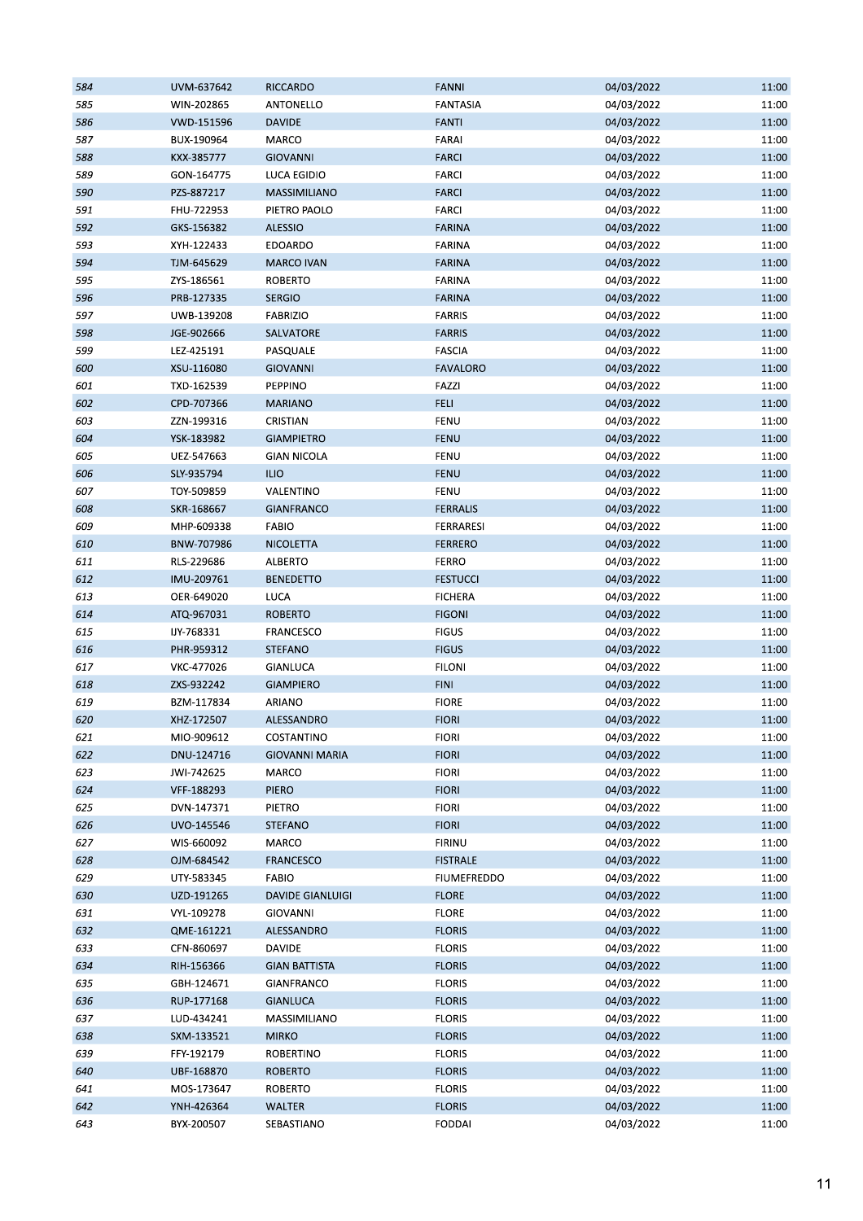| 584 | UVM-637642 | <b>RICCARDO</b>         | <b>FANNI</b>       | 04/03/2022 | 11:00 |
|-----|------------|-------------------------|--------------------|------------|-------|
| 585 | WIN-202865 | ANTONELLO               | <b>FANTASIA</b>    | 04/03/2022 | 11:00 |
| 586 | VWD-151596 | <b>DAVIDE</b>           | <b>FANTI</b>       | 04/03/2022 | 11:00 |
| 587 | BUX-190964 | MARCO                   | <b>FARAI</b>       | 04/03/2022 | 11:00 |
| 588 | KXX-385777 | <b>GIOVANNI</b>         | <b>FARCI</b>       | 04/03/2022 | 11:00 |
| 589 | GON-164775 | LUCA EGIDIO             | <b>FARCI</b>       | 04/03/2022 | 11:00 |
| 590 | PZS-887217 | MASSIMILIANO            | <b>FARCI</b>       | 04/03/2022 | 11:00 |
| 591 | FHU-722953 | PIETRO PAOLO            | <b>FARCI</b>       | 04/03/2022 | 11:00 |
| 592 | GKS-156382 | <b>ALESSIO</b>          | <b>FARINA</b>      | 04/03/2022 | 11:00 |
| 593 | XYH-122433 | <b>EDOARDO</b>          | <b>FARINA</b>      | 04/03/2022 | 11:00 |
| 594 | TJM-645629 | <b>MARCO IVAN</b>       | <b>FARINA</b>      | 04/03/2022 | 11:00 |
| 595 | ZYS-186561 | <b>ROBERTO</b>          | <b>FARINA</b>      | 04/03/2022 | 11:00 |
| 596 | PRB-127335 | <b>SERGIO</b>           | <b>FARINA</b>      | 04/03/2022 | 11:00 |
| 597 | UWB-139208 | <b>FABRIZIO</b>         | <b>FARRIS</b>      | 04/03/2022 | 11:00 |
| 598 | JGE-902666 | SALVATORE               | <b>FARRIS</b>      | 04/03/2022 | 11:00 |
| 599 | LEZ-425191 | PASQUALE                | <b>FASCIA</b>      | 04/03/2022 | 11:00 |
| 600 | XSU-116080 |                         | <b>FAVALORO</b>    | 04/03/2022 | 11:00 |
|     |            | <b>GIOVANNI</b>         |                    |            |       |
| 601 | TXD-162539 | PEPPINO                 | FAZZI              | 04/03/2022 | 11:00 |
| 602 | CPD-707366 | <b>MARIANO</b>          | <b>FELI</b>        | 04/03/2022 | 11:00 |
| 603 | ZZN-199316 | CRISTIAN                | FENU               | 04/03/2022 | 11:00 |
| 604 | YSK-183982 | <b>GIAMPIETRO</b>       | <b>FENU</b>        | 04/03/2022 | 11:00 |
| 605 | UEZ-547663 | <b>GIAN NICOLA</b>      | <b>FENU</b>        | 04/03/2022 | 11:00 |
| 606 | SLY-935794 | <b>ILIO</b>             | <b>FENU</b>        | 04/03/2022 | 11:00 |
| 607 | TOY-509859 | VALENTINO               | FENU               | 04/03/2022 | 11:00 |
| 608 | SKR-168667 | <b>GIANFRANCO</b>       | <b>FERRALIS</b>    | 04/03/2022 | 11:00 |
| 609 | MHP-609338 | <b>FABIO</b>            | FERRARESI          | 04/03/2022 | 11:00 |
| 610 | BNW-707986 | <b>NICOLETTA</b>        | <b>FERRERO</b>     | 04/03/2022 | 11:00 |
| 611 | RLS-229686 | ALBERTO                 | <b>FERRO</b>       | 04/03/2022 | 11:00 |
| 612 | IMU-209761 | <b>BENEDETTO</b>        | <b>FESTUCCI</b>    | 04/03/2022 | 11:00 |
| 613 | OER-649020 | LUCA                    | <b>FICHERA</b>     | 04/03/2022 | 11:00 |
| 614 | ATQ-967031 | <b>ROBERTO</b>          | <b>FIGONI</b>      | 04/03/2022 | 11:00 |
| 615 | IJY-768331 | FRANCESCO               | <b>FIGUS</b>       | 04/03/2022 | 11:00 |
| 616 | PHR-959312 | <b>STEFANO</b>          | <b>FIGUS</b>       | 04/03/2022 | 11:00 |
| 617 | VKC-477026 | <b>GIANLUCA</b>         | <b>FILONI</b>      | 04/03/2022 | 11:00 |
| 618 | ZXS-932242 | <b>GIAMPIERO</b>        | <b>FINI</b>        | 04/03/2022 | 11:00 |
| 619 | BZM-117834 | ARIANO                  | <b>FIORE</b>       | 04/03/2022 | 11:00 |
| 620 | XHZ-172507 | ALESSANDRO              | <b>FIORI</b>       | 04/03/2022 | 11:00 |
| 621 | MIO-909612 | COSTANTINO              | <b>FIORI</b>       | 04/03/2022 | 11:00 |
| 622 | DNU-124716 | <b>GIOVANNI MARIA</b>   | <b>FIORI</b>       | 04/03/2022 | 11:00 |
| 623 | JWI-742625 | MARCO                   | <b>FIORI</b>       | 04/03/2022 | 11:00 |
| 624 | VFF-188293 | PIERO                   | <b>FIORI</b>       | 04/03/2022 | 11:00 |
| 625 | DVN-147371 | PIETRO                  | <b>FIORI</b>       | 04/03/2022 | 11:00 |
| 626 | UVO-145546 | <b>STEFANO</b>          | <b>FIORI</b>       | 04/03/2022 | 11:00 |
| 627 | WIS-660092 | MARCO                   | <b>FIRINU</b>      | 04/03/2022 | 11:00 |
| 628 | OJM-684542 | <b>FRANCESCO</b>        | <b>FISTRALE</b>    | 04/03/2022 | 11:00 |
| 629 | UTY-583345 | <b>FABIO</b>            | <b>FIUMEFREDDO</b> | 04/03/2022 | 11:00 |
| 630 | UZD-191265 | <b>DAVIDE GIANLUIGI</b> | <b>FLORE</b>       | 04/03/2022 | 11:00 |
| 631 | VYL-109278 | <b>GIOVANNI</b>         | <b>FLORE</b>       | 04/03/2022 | 11:00 |
| 632 | QME-161221 | ALESSANDRO              | <b>FLORIS</b>      | 04/03/2022 | 11:00 |
|     |            |                         |                    |            |       |
| 633 | CFN-860697 | <b>DAVIDE</b>           | <b>FLORIS</b>      | 04/03/2022 | 11:00 |
| 634 | RIH-156366 | <b>GIAN BATTISTA</b>    | <b>FLORIS</b>      | 04/03/2022 | 11:00 |
| 635 | GBH-124671 | GIANFRANCO              | <b>FLORIS</b>      | 04/03/2022 | 11:00 |
| 636 | RUP-177168 | <b>GIANLUCA</b>         | <b>FLORIS</b>      | 04/03/2022 | 11:00 |
| 637 | LUD-434241 | MASSIMILIANO            | <b>FLORIS</b>      | 04/03/2022 | 11:00 |
| 638 | SXM-133521 | <b>MIRKO</b>            | <b>FLORIS</b>      | 04/03/2022 | 11:00 |
| 639 | FFY-192179 | <b>ROBERTINO</b>        | <b>FLORIS</b>      | 04/03/2022 | 11:00 |
| 640 | UBF-168870 | <b>ROBERTO</b>          | <b>FLORIS</b>      | 04/03/2022 | 11:00 |
| 641 | MOS-173647 | <b>ROBERTO</b>          | <b>FLORIS</b>      | 04/03/2022 | 11:00 |
| 642 | YNH-426364 | <b>WALTER</b>           | <b>FLORIS</b>      | 04/03/2022 | 11:00 |
| 643 | BYX-200507 | SEBASTIANO              | <b>FODDAI</b>      | 04/03/2022 | 11:00 |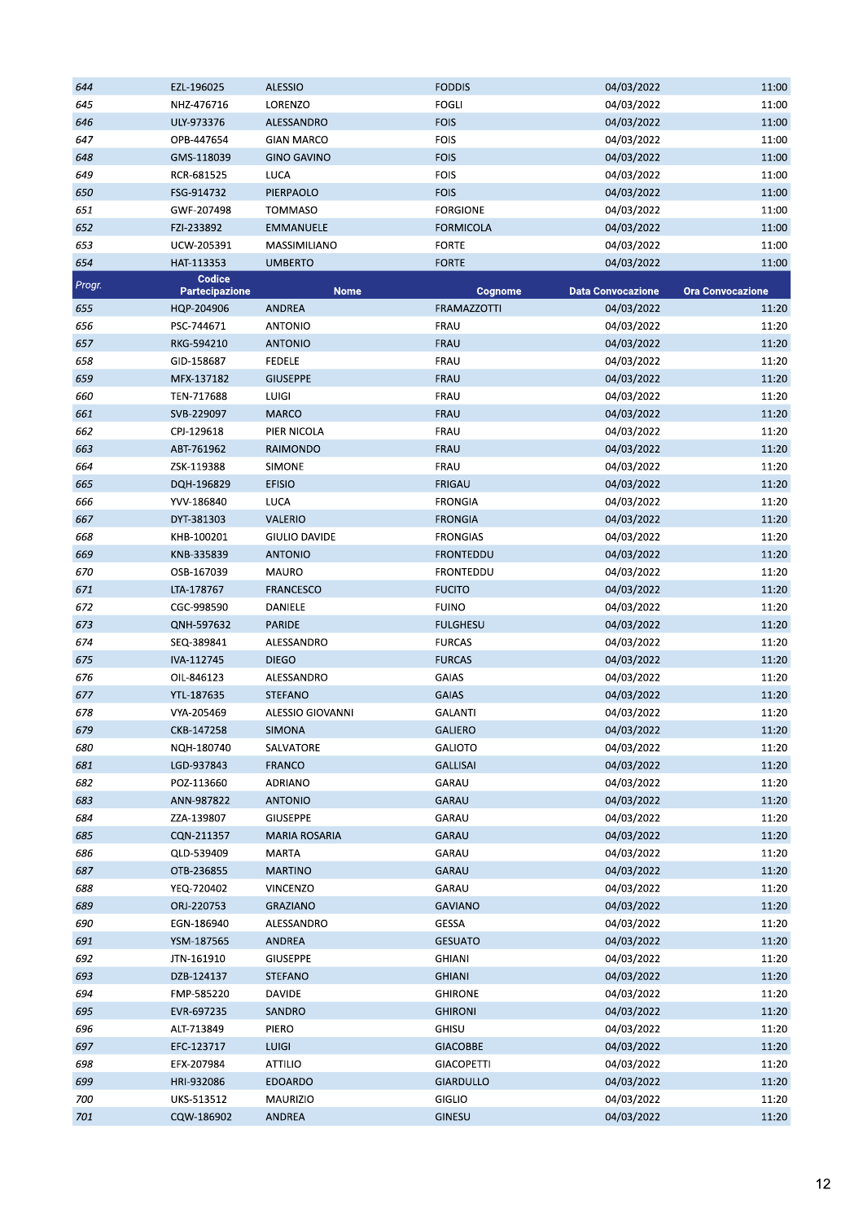| 644    | EZL-196025            | <b>ALESSIO</b>       | <b>FODDIS</b>      | 04/03/2022               | 11:00                   |
|--------|-----------------------|----------------------|--------------------|--------------------------|-------------------------|
| 645    | NHZ-476716            | LORENZO              | <b>FOGLI</b>       | 04/03/2022               | 11:00                   |
| 646    | ULY-973376            | ALESSANDRO           | <b>FOIS</b>        | 04/03/2022               | 11:00                   |
| 647    | OPB-447654            | <b>GIAN MARCO</b>    | <b>FOIS</b>        | 04/03/2022               | 11:00                   |
| 648    | GMS-118039            | <b>GINO GAVINO</b>   | <b>FOIS</b>        | 04/03/2022               | 11:00                   |
| 649    | RCR-681525            | <b>LUCA</b>          | <b>FOIS</b>        | 04/03/2022               | 11:00                   |
| 650    | FSG-914732            | PIERPAOLO            | <b>FOIS</b>        | 04/03/2022               | 11:00                   |
| 651    | GWF-207498            | <b>TOMMASO</b>       | <b>FORGIONE</b>    | 04/03/2022               | 11:00                   |
| 652    | FZI-233892            | <b>EMMANUELE</b>     | <b>FORMICOLA</b>   | 04/03/2022               | 11:00                   |
| 653    | UCW-205391            | MASSIMILIANO         | <b>FORTE</b>       | 04/03/2022               | 11:00                   |
| 654    | HAT-113353            | <b>UMBERTO</b>       | <b>FORTE</b>       | 04/03/2022               | 11:00                   |
|        | Codice                |                      |                    |                          |                         |
| Progr. | <b>Partecipazione</b> | <b>Nome</b>          | Cognome            | <b>Data Convocazione</b> | <b>Ora Convocazione</b> |
| 655    | HQP-204906            | <b>ANDREA</b>        | <b>FRAMAZZOTTI</b> | 04/03/2022               | 11:20                   |
| 656    | PSC-744671            | <b>ANTONIO</b>       | FRAU               | 04/03/2022               | 11:20                   |
| 657    | RKG-594210            | <b>ANTONIO</b>       | FRAU               | 04/03/2022               | 11:20                   |
| 658    | GID-158687            | <b>FEDELE</b>        | FRAU               | 04/03/2022               | 11:20                   |
| 659    | MFX-137182            | <b>GIUSEPPE</b>      | FRAU               | 04/03/2022               | 11:20                   |
| 660    | TEN-717688            | <b>LUIGI</b>         | FRAU               | 04/03/2022               | 11:20                   |
| 661    | SVB-229097            | <b>MARCO</b>         | FRAU               | 04/03/2022               | 11:20                   |
| 662    | CPJ-129618            | PIER NICOLA          | FRAU               | 04/03/2022               | 11:20                   |
| 663    | ABT-761962            | RAIMONDO             | FRAU               | 04/03/2022               | 11:20                   |
| 664    | ZSK-119388            | SIMONE               | FRAU               | 04/03/2022               | 11:20                   |
| 665    | DQH-196829            | <b>EFISIO</b>        | <b>FRIGAU</b>      | 04/03/2022               | 11:20                   |
| 666    | YVV-186840            | LUCA                 | <b>FRONGIA</b>     | 04/03/2022               | 11:20                   |
| 667    | DYT-381303            | <b>VALERIO</b>       | <b>FRONGIA</b>     | 04/03/2022               | 11:20                   |
| 668    | KHB-100201            | GIULIO DAVIDE        | <b>FRONGIAS</b>    | 04/03/2022               | 11:20                   |
| 669    | KNB-335839            | <b>ANTONIO</b>       | <b>FRONTEDDU</b>   | 04/03/2022               | 11:20                   |
| 670    | OSB-167039            | <b>MAURO</b>         | FRONTEDDU          | 04/03/2022               | 11:20                   |
| 671    | LTA-178767            | <b>FRANCESCO</b>     | <b>FUCITO</b>      | 04/03/2022               | 11:20                   |
| 672    | CGC-998590            | DANIELE              | <b>FUINO</b>       | 04/03/2022               | 11:20                   |
| 673    | QNH-597632            | <b>PARIDE</b>        | <b>FULGHESU</b>    | 04/03/2022               | 11:20                   |
| 674    | SEQ-389841            | ALESSANDRO           | <b>FURCAS</b>      | 04/03/2022               | 11:20                   |
| 675    | IVA-112745            | <b>DIEGO</b>         | <b>FURCAS</b>      | 04/03/2022               | 11:20                   |
| 676    | OIL-846123            | ALESSANDRO           | GAIAS              | 04/03/2022               | 11:20                   |
| 677    | YTL-187635            | <b>STEFANO</b>       | <b>GAIAS</b>       | 04/03/2022               | 11:20                   |
| 678    | VYA-205469            | ALESSIO GIOVANNI     | <b>GALANTI</b>     | 04/03/2022               | 11:20                   |
| 679    | CKB-147258            | SIMONA               | GALIERO            | 04/03/2022               | 11:20                   |
|        | NQH-180740            | SALVATORE            | <b>GALIOTO</b>     | 04/03/2022               |                         |
| 680    |                       |                      |                    | 04/03/2022               | 11:20                   |
| 681    | LGD-937843            | <b>FRANCO</b>        | <b>GALLISAI</b>    |                          | 11:20                   |
| 682    | POZ-113660            | <b>ADRIANO</b>       | GARAU              | 04/03/2022               | 11:20                   |
| 683    | ANN-987822            | <b>ANTONIO</b>       | GARAU              | 04/03/2022               | 11:20                   |
| 684    | ZZA-139807            | <b>GIUSEPPE</b>      | GARAU              | 04/03/2022               | 11:20                   |
| 685    | CQN-211357            | <b>MARIA ROSARIA</b> | GARAU              | 04/03/2022               | 11:20                   |
| 686    | QLD-539409            | <b>MARTA</b>         | GARAU              | 04/03/2022               | 11:20                   |
| 687    | OTB-236855            | <b>MARTINO</b>       | GARAU              | 04/03/2022               | 11:20                   |
| 688    | YEQ-720402            | VINCENZO             | GARAU              | 04/03/2022               | 11:20                   |
| 689    | ORJ-220753            | GRAZIANO             | <b>GAVIANO</b>     | 04/03/2022               | 11:20                   |
| 690    | EGN-186940            | ALESSANDRO           | GESSA              | 04/03/2022               | 11:20                   |
| 691    | YSM-187565            | ANDREA               | <b>GESUATO</b>     | 04/03/2022               | 11:20                   |
| 692    | JTN-161910            | <b>GIUSEPPE</b>      | <b>GHIANI</b>      | 04/03/2022               | 11:20                   |
| 693    | DZB-124137            | <b>STEFANO</b>       | <b>GHIANI</b>      | 04/03/2022               | 11:20                   |
| 694    | FMP-585220            | DAVIDE               | <b>GHIRONE</b>     | 04/03/2022               | 11:20                   |
| 695    | EVR-697235            | SANDRO               | <b>GHIRONI</b>     | 04/03/2022               | 11:20                   |
| 696    | ALT-713849            | PIERO                | GHISU              | 04/03/2022               | 11:20                   |
| 697    | EFC-123717            | <b>LUIGI</b>         | <b>GIACOBBE</b>    | 04/03/2022               | 11:20                   |
| 698    | EFX-207984            | <b>ATTILIO</b>       | <b>GIACOPETTI</b>  | 04/03/2022               | 11:20                   |
| 699    | HRI-932086            | <b>EDOARDO</b>       | <b>GIARDULLO</b>   | 04/03/2022               | 11:20                   |
| 700    | UKS-513512            | <b>MAURIZIO</b>      | GIGLIO             | 04/03/2022               | 11:20                   |
| 701    | CQW-186902            | ANDREA               | <b>GINESU</b>      | 04/03/2022               | 11:20                   |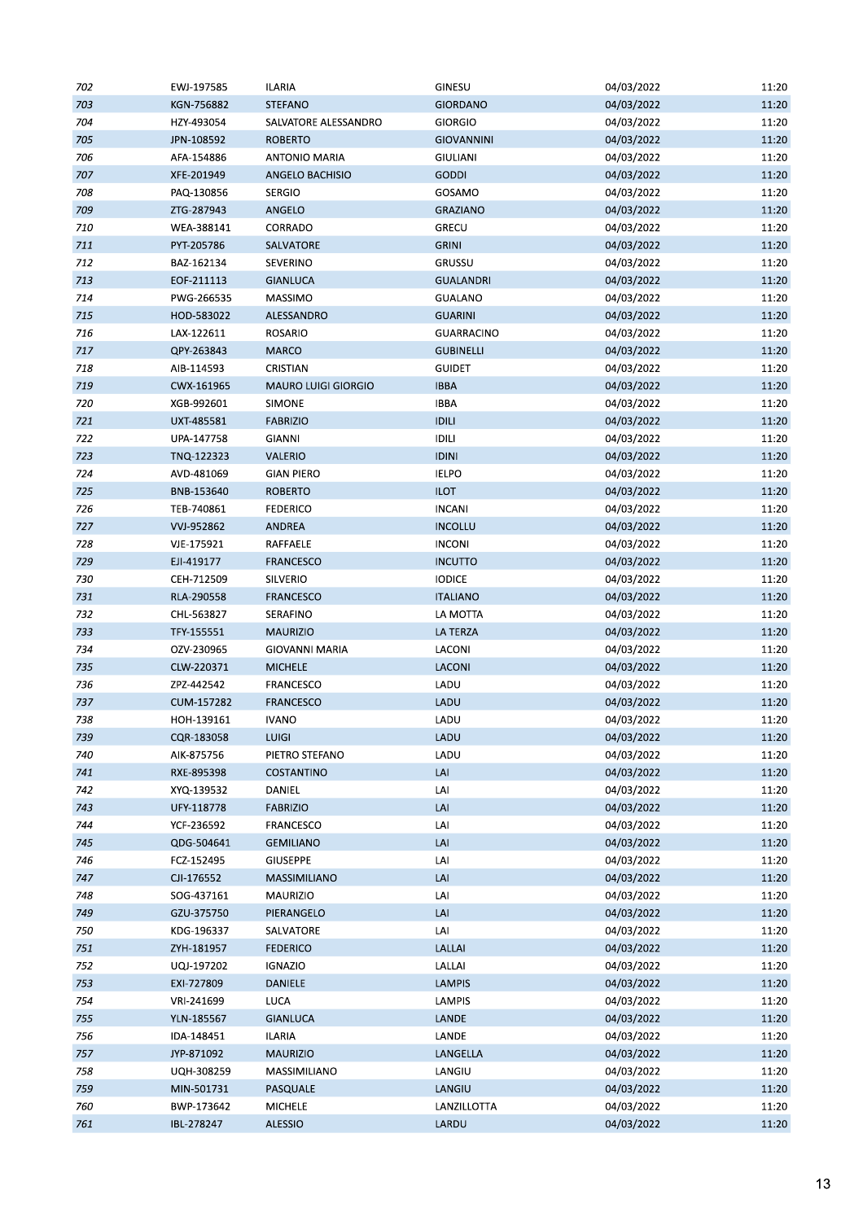| 702 | EWJ-197585 | <b>ILARIA</b>              | GINESU                     | 04/03/2022 | 11:20 |
|-----|------------|----------------------------|----------------------------|------------|-------|
| 703 | KGN-756882 | <b>STEFANO</b>             | <b>GIORDANO</b>            | 04/03/2022 | 11:20 |
| 704 | HZY-493054 | SALVATORE ALESSANDRO       | <b>GIORGIO</b>             | 04/03/2022 | 11:20 |
| 705 | JPN-108592 | <b>ROBERTO</b>             | <b>GIOVANNINI</b>          | 04/03/2022 | 11:20 |
| 706 | AFA-154886 | <b>ANTONIO MARIA</b>       | <b>GIULIANI</b>            | 04/03/2022 | 11:20 |
| 707 | XFE-201949 | ANGELO BACHISIO            | <b>GODDI</b>               | 04/03/2022 | 11:20 |
| 708 | PAQ-130856 | <b>SERGIO</b>              | GOSAMO                     | 04/03/2022 | 11:20 |
| 709 | ZTG-287943 | ANGELO                     | <b>GRAZIANO</b>            | 04/03/2022 | 11:20 |
| 710 | WEA-388141 | CORRADO                    | <b>GRECU</b>               | 04/03/2022 | 11:20 |
| 711 | PYT-205786 | SALVATORE                  | <b>GRINI</b>               | 04/03/2022 | 11:20 |
| 712 | BAZ-162134 | SEVERINO                   | GRUSSU                     | 04/03/2022 | 11:20 |
| 713 | EOF-211113 | <b>GIANLUCA</b>            | <b>GUALANDRI</b>           | 04/03/2022 | 11:20 |
| 714 | PWG-266535 | MASSIMO                    | GUALANO                    | 04/03/2022 | 11:20 |
| 715 | HOD-583022 | ALESSANDRO                 | <b>GUARINI</b>             | 04/03/2022 | 11:20 |
| 716 | LAX-122611 | <b>ROSARIO</b>             | <b>GUARRACINO</b>          | 04/03/2022 | 11:20 |
| 717 | QPY-263843 | <b>MARCO</b>               | <b>GUBINELLI</b>           | 04/03/2022 | 11:20 |
| 718 | AIB-114593 | CRISTIAN                   | <b>GUIDET</b>              | 04/03/2022 | 11:20 |
| 719 | CWX-161965 | <b>MAURO LUIGI GIORGIO</b> | <b>IBBA</b>                | 04/03/2022 | 11:20 |
| 720 | XGB-992601 | <b>SIMONE</b>              | <b>IBBA</b>                | 04/03/2022 | 11:20 |
|     |            |                            |                            |            |       |
| 721 | UXT-485581 | <b>FABRIZIO</b>            | <b>IDILI</b>               | 04/03/2022 | 11:20 |
| 722 | UPA-147758 | GIANNI                     | <b>IDILI</b>               | 04/03/2022 | 11:20 |
| 723 | TNQ-122323 | VALERIO                    | <b>IDINI</b>               | 04/03/2022 | 11:20 |
| 724 | AVD-481069 | <b>GIAN PIERO</b>          | <b>IELPO</b>               | 04/03/2022 | 11:20 |
| 725 | BNB-153640 | <b>ROBERTO</b>             | <b>ILOT</b>                | 04/03/2022 | 11:20 |
| 726 | TEB-740861 | <b>FEDERICO</b>            | <b>INCANI</b>              | 04/03/2022 | 11:20 |
| 727 | VVJ-952862 | ANDREA                     | <b>INCOLLU</b>             | 04/03/2022 | 11:20 |
| 728 | VJE-175921 | RAFFAELE                   | <b>INCONI</b>              | 04/03/2022 | 11:20 |
| 729 | EJI-419177 | <b>FRANCESCO</b>           | <b>INCUTTO</b>             | 04/03/2022 | 11:20 |
| 730 | CEH-712509 | SILVERIO                   | <b>IODICE</b>              | 04/03/2022 | 11:20 |
| 731 | RLA-290558 | <b>FRANCESCO</b>           | <b>ITALIANO</b>            | 04/03/2022 | 11:20 |
| 732 | CHL-563827 | SERAFINO                   | LA MOTTA                   | 04/03/2022 | 11:20 |
| 733 | TFY-155551 | <b>MAURIZIO</b>            | LA TERZA                   | 04/03/2022 | 11:20 |
| 734 | OZV-230965 | <b>GIOVANNI MARIA</b>      | LACONI                     | 04/03/2022 | 11:20 |
| 735 | CLW-220371 | <b>MICHELE</b>             | LACONI                     | 04/03/2022 | 11:20 |
| 736 | ZPZ-442542 | <b>FRANCESCO</b>           | LADU                       | 04/03/2022 | 11:20 |
| 737 | CUM-157282 | <b>FRANCESCO</b>           | LADU                       | 04/03/2022 | 11:20 |
| 738 | HOH-139161 | <b>IVANO</b>               | LADU                       | 04/03/2022 | 11:20 |
| 739 | CQR-183058 | LUIGI                      | LADU                       | 04/03/2022 | 11:20 |
| 740 | AIK-875756 | PIETRO STEFANO             | LADU                       | 04/03/2022 | 11:20 |
| 741 | RXE-895398 | <b>COSTANTINO</b>          | LAI                        | 04/03/2022 | 11:20 |
| 742 | XYQ-139532 | DANIEL                     | LAI                        | 04/03/2022 | 11:20 |
| 743 | UFY-118778 | <b>FABRIZIO</b>            | $\ensuremath{\mathsf{LA}}$ | 04/03/2022 | 11:20 |
| 744 | YCF-236592 | FRANCESCO                  | LAI                        | 04/03/2022 | 11:20 |
| 745 | QDG-504641 | <b>GEMILIANO</b>           | LAI                        | 04/03/2022 | 11:20 |
| 746 | FCZ-152495 | <b>GIUSEPPE</b>            | LAI                        | 04/03/2022 | 11:20 |
| 747 | CJI-176552 | MASSIMILIANO               | LAI                        | 04/03/2022 | 11:20 |
| 748 | SOG-437161 | MAURIZIO                   | LAI                        | 04/03/2022 | 11:20 |
| 749 | GZU-375750 | PIERANGELO                 | LAI                        | 04/03/2022 | 11:20 |
| 750 | KDG-196337 | SALVATORE                  | LAI                        | 04/03/2022 | 11:20 |
| 751 | ZYH-181957 | <b>FEDERICO</b>            | LALLAI                     | 04/03/2022 | 11:20 |
| 752 | UQJ-197202 | <b>IGNAZIO</b>             | LALLAI                     | 04/03/2022 | 11:20 |
| 753 | EXI-727809 | <b>DANIELE</b>             | <b>LAMPIS</b>              | 04/03/2022 | 11:20 |
| 754 | VRI-241699 | LUCA                       | LAMPIS                     | 04/03/2022 | 11:20 |
| 755 | YLN-185567 | <b>GIANLUCA</b>            | LANDE                      | 04/03/2022 | 11:20 |
| 756 | IDA-148451 | <b>ILARIA</b>              | LANDE                      | 04/03/2022 | 11:20 |
| 757 | JYP-871092 | <b>MAURIZIO</b>            | LANGELLA                   | 04/03/2022 | 11:20 |
|     |            |                            |                            |            |       |
| 758 | UQH-308259 | MASSIMILIANO               | LANGIU                     | 04/03/2022 | 11:20 |
| 759 | MIN-501731 | PASQUALE                   | LANGIU                     | 04/03/2022 | 11:20 |
| 760 | BWP-173642 | MICHELE                    | LANZILLOTTA                | 04/03/2022 | 11:20 |
| 761 | IBL-278247 | <b>ALESSIO</b>             | LARDU                      | 04/03/2022 | 11:20 |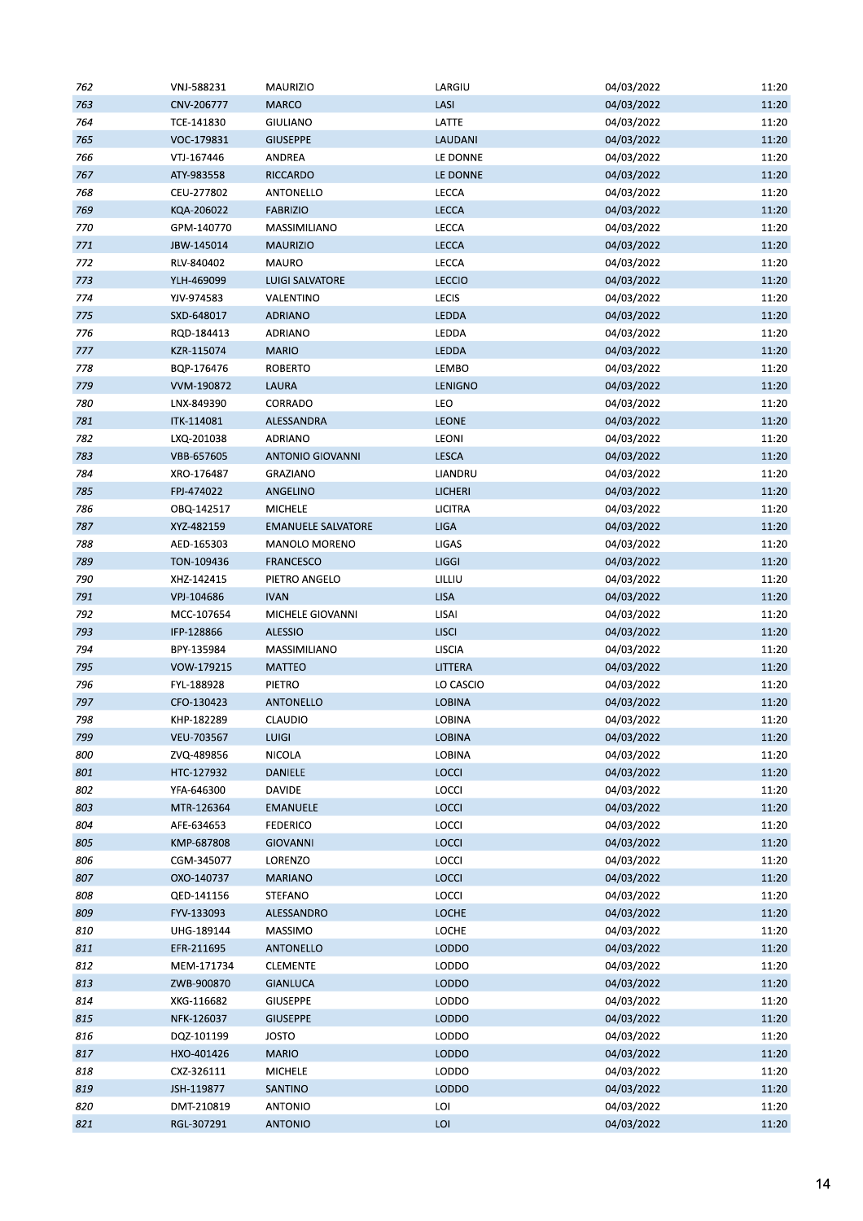| 762 | VNJ-588231 | <b>MAURIZIO</b>           | LARGIU         | 04/03/2022 | 11:20 |
|-----|------------|---------------------------|----------------|------------|-------|
| 763 | CNV-206777 | <b>MARCO</b>              | LASI           | 04/03/2022 | 11:20 |
| 764 | TCE-141830 | <b>GIULIANO</b>           | LATTE          | 04/03/2022 | 11:20 |
| 765 | VOC-179831 | <b>GIUSEPPE</b>           | LAUDANI        | 04/03/2022 | 11:20 |
| 766 | VTJ-167446 | ANDREA                    | LE DONNE       | 04/03/2022 | 11:20 |
| 767 | ATY-983558 | <b>RICCARDO</b>           | LE DONNE       | 04/03/2022 | 11:20 |
| 768 | CEU-277802 | ANTONELLO                 | LECCA          | 04/03/2022 | 11:20 |
| 769 | KQA-206022 | <b>FABRIZIO</b>           | LECCA          | 04/03/2022 | 11:20 |
| 770 | GPM-140770 | MASSIMILIANO              | LECCA          | 04/03/2022 | 11:20 |
| 771 | JBW-145014 | <b>MAURIZIO</b>           | LECCA          | 04/03/2022 | 11:20 |
| 772 | RLV-840402 | MAURO                     | LECCA          | 04/03/2022 | 11:20 |
| 773 | YLH-469099 | <b>LUIGI SALVATORE</b>    | <b>LECCIO</b>  | 04/03/2022 | 11:20 |
| 774 | YJV-974583 | VALENTINO                 | <b>LECIS</b>   | 04/03/2022 | 11:20 |
| 775 | SXD-648017 | <b>ADRIANO</b>            | LEDDA          | 04/03/2022 | 11:20 |
| 776 | RQD-184413 | ADRIANO                   | LEDDA          | 04/03/2022 | 11:20 |
| 777 | KZR-115074 | <b>MARIO</b>              | <b>LEDDA</b>   | 04/03/2022 | 11:20 |
| 778 | BQP-176476 | <b>ROBERTO</b>            | LEMBO          | 04/03/2022 | 11:20 |
| 779 |            | <b>LAURA</b>              | LENIGNO        |            |       |
|     | VVM-190872 |                           |                | 04/03/2022 | 11:20 |
| 780 | LNX-849390 | CORRADO                   | LEO            | 04/03/2022 | 11:20 |
| 781 | ITK-114081 | ALESSANDRA                | <b>LEONE</b>   | 04/03/2022 | 11:20 |
| 782 | LXQ-201038 | ADRIANO                   | LEONI          | 04/03/2022 | 11:20 |
| 783 | VBB-657605 | <b>ANTONIO GIOVANNI</b>   | <b>LESCA</b>   | 04/03/2022 | 11:20 |
| 784 | XRO-176487 | GRAZIANO                  | LIANDRU        | 04/03/2022 | 11:20 |
| 785 | FPJ-474022 | ANGELINO                  | <b>LICHERI</b> | 04/03/2022 | 11:20 |
| 786 | OBQ-142517 | <b>MICHELE</b>            | <b>LICITRA</b> | 04/03/2022 | 11:20 |
| 787 | XYZ-482159 | <b>EMANUELE SALVATORE</b> | <b>LIGA</b>    | 04/03/2022 | 11:20 |
| 788 | AED-165303 | MANOLO MORENO             | LIGAS          | 04/03/2022 | 11:20 |
| 789 | TON-109436 | <b>FRANCESCO</b>          | <b>LIGGI</b>   | 04/03/2022 | 11:20 |
| 790 | XHZ-142415 | PIETRO ANGELO             | LILLIU         | 04/03/2022 | 11:20 |
| 791 | VPJ-104686 | <b>IVAN</b>               | <b>LISA</b>    | 04/03/2022 | 11:20 |
| 792 | MCC-107654 | MICHELE GIOVANNI          | LISAI          | 04/03/2022 | 11:20 |
| 793 | IFP-128866 | <b>ALESSIO</b>            | <b>LISCI</b>   | 04/03/2022 | 11:20 |
| 794 | BPY-135984 | MASSIMILIANO              | LISCIA         | 04/03/2022 | 11:20 |
| 795 | VOW-179215 | <b>MATTEO</b>             | LITTERA        | 04/03/2022 | 11:20 |
| 796 | FYL-188928 | PIETRO                    | LO CASCIO      | 04/03/2022 | 11:20 |
| 797 | CFO-130423 | ANTONELLO                 | <b>LOBINA</b>  | 04/03/2022 | 11:20 |
| 798 | KHP-182289 | CLAUDIO                   | LOBINA         | 04/03/2022 | 11:20 |
| 799 | VEU-703567 | LUIGI                     | <b>LOBINA</b>  | 04/03/2022 | 11:20 |
| 800 | ZVQ-489856 | NICOLA                    | <b>LOBINA</b>  | 04/03/2022 | 11:20 |
| 801 | HTC-127932 | DANIELE                   | <b>LOCCI</b>   | 04/03/2022 | 11:20 |
| 802 | YFA-646300 | <b>DAVIDE</b>             | LOCCI          | 04/03/2022 | 11:20 |
| 803 | MTR-126364 | <b>EMANUELE</b>           | <b>LOCCI</b>   | 04/03/2022 | 11:20 |
| 804 | AFE-634653 | <b>FEDERICO</b>           | <b>LOCCI</b>   | 04/03/2022 | 11:20 |
| 805 | KMP-687808 | <b>GIOVANNI</b>           | <b>LOCCI</b>   | 04/03/2022 | 11:20 |
| 806 | CGM-345077 | LORENZO                   | <b>LOCCI</b>   | 04/03/2022 | 11:20 |
| 807 | OXO-140737 | <b>MARIANO</b>            | <b>LOCCI</b>   | 04/03/2022 | 11:20 |
|     |            |                           |                |            |       |
| 808 | QED-141156 | STEFANO                   | <b>LOCCI</b>   | 04/03/2022 | 11:20 |
| 809 | FYV-133093 | ALESSANDRO                | <b>LOCHE</b>   | 04/03/2022 | 11:20 |
| 810 | UHG-189144 | MASSIMO                   | <b>LOCHE</b>   | 04/03/2022 | 11:20 |
| 811 |            |                           |                |            | 11:20 |
| 812 | EFR-211695 | ANTONELLO                 | <b>LODDO</b>   | 04/03/2022 |       |
|     | MEM-171734 | <b>CLEMENTE</b>           | <b>LODDO</b>   | 04/03/2022 | 11:20 |
| 813 | ZWB-900870 | <b>GIANLUCA</b>           | <b>LODDO</b>   | 04/03/2022 | 11:20 |
| 814 | XKG-116682 | <b>GIUSEPPE</b>           | <b>LODDO</b>   | 04/03/2022 | 11:20 |
| 815 | NFK-126037 | <b>GIUSEPPE</b>           | <b>LODDO</b>   | 04/03/2022 | 11:20 |
| 816 | DQZ-101199 | <b>JOSTO</b>              | LODDO          | 04/03/2022 | 11:20 |
| 817 | HXO-401426 | <b>MARIO</b>              | <b>LODDO</b>   | 04/03/2022 | 11:20 |
| 818 | CXZ-326111 | MICHELE                   | LODDO          | 04/03/2022 | 11:20 |
| 819 | JSH-119877 | SANTINO                   | <b>LODDO</b>   | 04/03/2022 | 11:20 |
| 820 | DMT-210819 | <b>ANTONIO</b>            | LOI            | 04/03/2022 | 11:20 |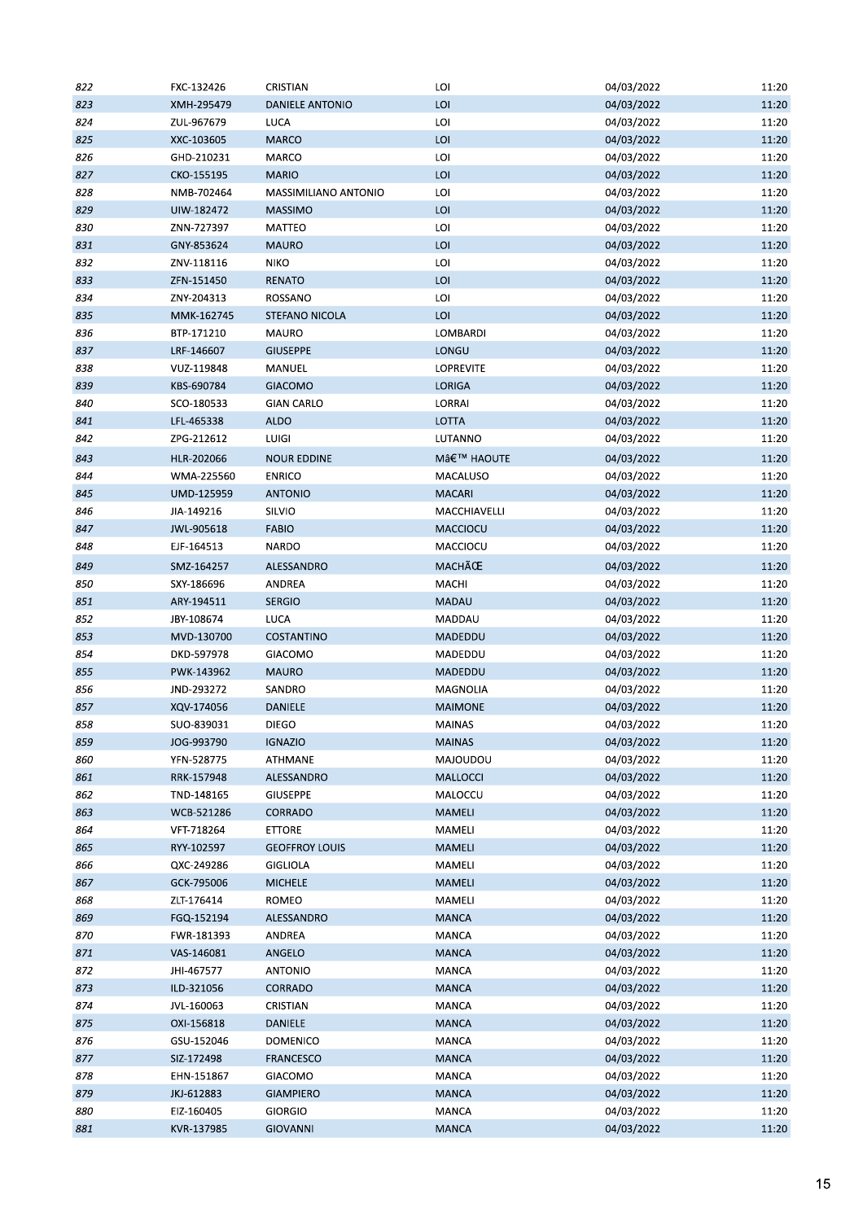| 822 | FXC-132426 | CRISTIAN              | LOI             | 04/03/2022 | 11:20 |
|-----|------------|-----------------------|-----------------|------------|-------|
| 823 | XMH-295479 | DANIELE ANTONIO       | LOI             | 04/03/2022 | 11:20 |
| 824 | ZUL-967679 | LUCA                  | LOI             | 04/03/2022 | 11:20 |
| 825 | XXC-103605 | <b>MARCO</b>          | LOI             | 04/03/2022 | 11:20 |
| 826 | GHD-210231 | MARCO                 | LOI             | 04/03/2022 | 11:20 |
| 827 | CKO-155195 | <b>MARIO</b>          | LOI             | 04/03/2022 | 11:20 |
| 828 | NMB-702464 | MASSIMILIANO ANTONIO  | LOI             | 04/03/2022 | 11:20 |
| 829 | UIW-182472 | <b>MASSIMO</b>        | LOI             | 04/03/2022 | 11:20 |
| 830 | ZNN-727397 | MATTEO                | LOI             | 04/03/2022 | 11:20 |
| 831 | GNY-853624 | <b>MAURO</b>          | LOI             | 04/03/2022 | 11:20 |
| 832 | ZNV-118116 | <b>NIKO</b>           | LOI             | 04/03/2022 | 11:20 |
| 833 | ZFN-151450 | <b>RENATO</b>         | LOI             | 04/03/2022 | 11:20 |
| 834 | ZNY-204313 | ROSSANO               | LOI             | 04/03/2022 | 11:20 |
| 835 | MMK-162745 | STEFANO NICOLA        | LOI             | 04/03/2022 | 11:20 |
| 836 | BTP-171210 | MAURO                 | LOMBARDI        | 04/03/2022 | 11:20 |
| 837 | LRF-146607 | <b>GIUSEPPE</b>       | LONGU           | 04/03/2022 | 11:20 |
| 838 | VUZ-119848 | MANUEL                | LOPREVITE       | 04/03/2022 | 11:20 |
| 839 | KBS-690784 | <b>GIACOMO</b>        | <b>LORIGA</b>   | 04/03/2022 | 11:20 |
| 840 | SCO-180533 | <b>GIAN CARLO</b>     | LORRAI          | 04/03/2022 | 11:20 |
| 841 | LFL-465338 | <b>ALDO</b>           | LOTTA           | 04/03/2022 | 11:20 |
| 842 | ZPG-212612 | LUIGI                 | LUTANNO         | 04/03/2022 | 11:20 |
|     |            |                       |                 |            |       |
| 843 | HLR-202066 | <b>NOUR EDDINE</b>    | M' HAOUTE       | 04/03/2022 | 11:20 |
| 844 | WMA-225560 | <b>ENRICO</b>         | MACALUSO        | 04/03/2022 | 11:20 |
| 845 | UMD-125959 | <b>ANTONIO</b>        | <b>MACARI</b>   | 04/03/2022 | 11:20 |
| 846 | JIA-149216 | SILVIO                | MACCHIAVELLI    | 04/03/2022 | 11:20 |
| 847 | JWL-905618 | <b>FABIO</b>          | MACCIOCU        | 04/03/2022 | 11:20 |
| 848 | EJF-164513 | <b>NARDO</b>          | MACCIOCU        | 04/03/2022 | 11:20 |
| 849 | SMZ-164257 | ALESSANDRO            | MACHÃCE         | 04/03/2022 | 11:20 |
| 850 | SXY-186696 | ANDREA                | MACHI           | 04/03/2022 | 11:20 |
| 851 | ARY-194511 | <b>SERGIO</b>         | MADAU           | 04/03/2022 | 11:20 |
| 852 | JBY-108674 | LUCA                  | MADDAU          | 04/03/2022 | 11:20 |
| 853 | MVD-130700 | <b>COSTANTINO</b>     | MADEDDU         | 04/03/2022 | 11:20 |
| 854 | DKD-597978 | GIACOMO               | MADEDDU         | 04/03/2022 | 11:20 |
| 855 | PWK-143962 | <b>MAURO</b>          | MADEDDU         | 04/03/2022 | 11:20 |
| 856 | JND-293272 | SANDRO                | MAGNOLIA        | 04/03/2022 | 11:20 |
| 857 | XQV-174056 | DANIELE               | <b>MAIMONE</b>  | 04/03/2022 | 11:20 |
| 858 | SUO-839031 | <b>DIEGO</b>          | <b>MAINAS</b>   | 04/03/2022 | 11:20 |
| 859 | JOG-993790 | <b>IGNAZIO</b>        | <b>MAINAS</b>   | 04/03/2022 | 11:20 |
| 860 | YFN-528775 | <b>ATHMANE</b>        | MAJOUDOU        | 04/03/2022 | 11:20 |
| 861 | RRK-157948 | ALESSANDRO            | <b>MALLOCCI</b> | 04/03/2022 | 11:20 |
| 862 | TND-148165 | <b>GIUSEPPE</b>       | MALOCCU         | 04/03/2022 | 11:20 |
| 863 | WCB-521286 | CORRADO               | MAMELI          | 04/03/2022 | 11:20 |
| 864 | VFT-718264 | <b>ETTORE</b>         | MAMELI          | 04/03/2022 | 11:20 |
| 865 | RYY-102597 | <b>GEOFFROY LOUIS</b> | <b>MAMELI</b>   | 04/03/2022 | 11:20 |
| 866 | QXC-249286 | <b>GIGLIOLA</b>       | MAMELI          | 04/03/2022 | 11:20 |
| 867 | GCK-795006 | <b>MICHELE</b>        | <b>MAMELI</b>   | 04/03/2022 | 11:20 |
| 868 | ZLT-176414 | ROMEO                 | MAMELI          | 04/03/2022 | 11:20 |
| 869 | FGQ-152194 | ALESSANDRO            | <b>MANCA</b>    | 04/03/2022 | 11:20 |
| 870 | FWR-181393 | ANDREA                | MANCA           | 04/03/2022 | 11:20 |
| 871 | VAS-146081 | ANGELO                | <b>MANCA</b>    | 04/03/2022 | 11:20 |
| 872 | JHI-467577 | <b>ANTONIO</b>        | MANCA           | 04/03/2022 | 11:20 |
| 873 | ILD-321056 | CORRADO               | <b>MANCA</b>    | 04/03/2022 | 11:20 |
| 874 | JVL-160063 | CRISTIAN              | <b>MANCA</b>    | 04/03/2022 | 11:20 |
| 875 | OXI-156818 | <b>DANIELE</b>        | <b>MANCA</b>    | 04/03/2022 | 11:20 |
| 876 | GSU-152046 | <b>DOMENICO</b>       | MANCA           | 04/03/2022 | 11:20 |
| 877 | SIZ-172498 | <b>FRANCESCO</b>      | <b>MANCA</b>    | 04/03/2022 | 11:20 |
| 878 | EHN-151867 | GIACOMO               | MANCA           | 04/03/2022 | 11:20 |
| 879 | JKJ-612883 | <b>GIAMPIERO</b>      | <b>MANCA</b>    | 04/03/2022 | 11:20 |
| 880 | EIZ-160405 | <b>GIORGIO</b>        | MANCA           | 04/03/2022 | 11:20 |
| 881 | KVR-137985 | <b>GIOVANNI</b>       | <b>MANCA</b>    | 04/03/2022 | 11:20 |
|     |            |                       |                 |            |       |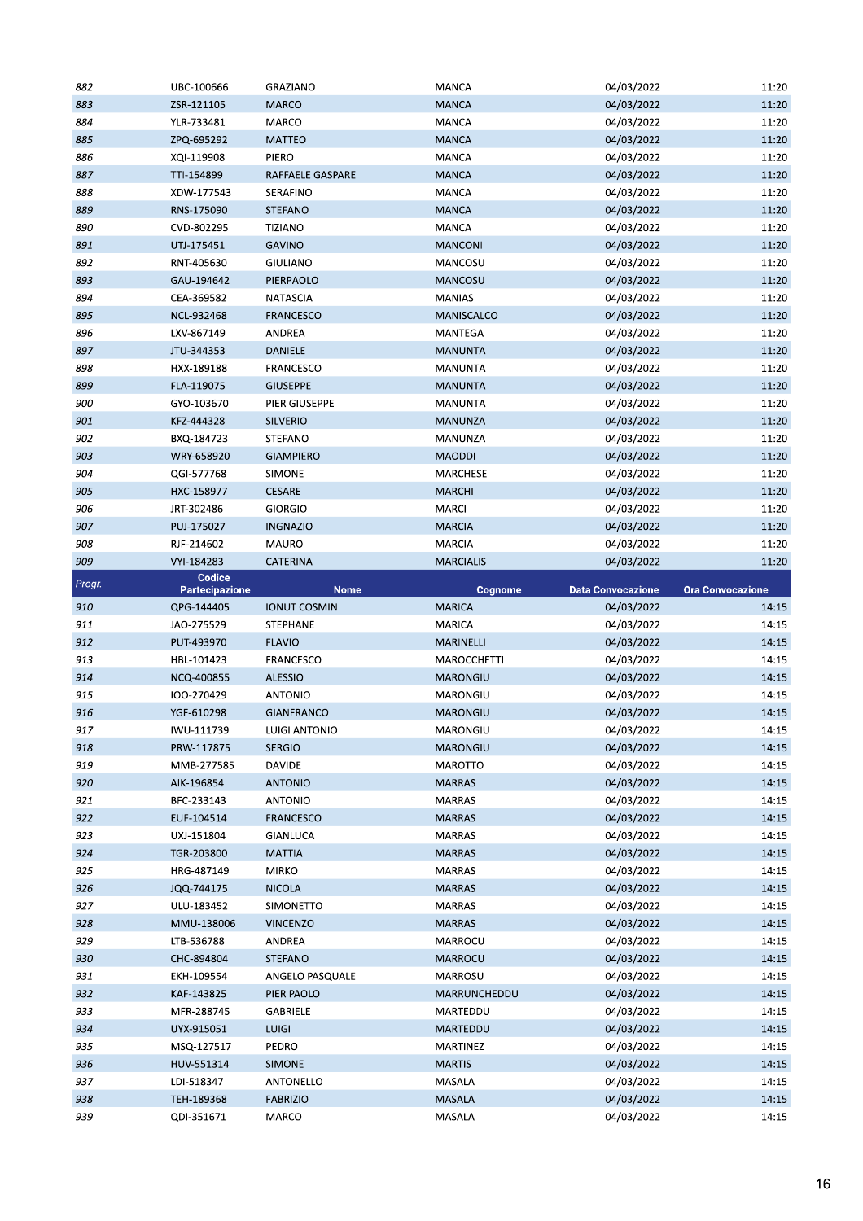| 882        | UBC-100666               | <b>GRAZIANO</b>          | MANCA            | 04/03/2022               | 11:20                   |
|------------|--------------------------|--------------------------|------------------|--------------------------|-------------------------|
| 883        | ZSR-121105               | <b>MARCO</b>             | <b>MANCA</b>     | 04/03/2022               | 11:20                   |
| 884        | YLR-733481               | <b>MARCO</b>             | <b>MANCA</b>     | 04/03/2022               | 11:20                   |
| 885        | ZPQ-695292               | <b>MATTEO</b>            | <b>MANCA</b>     | 04/03/2022               | 11:20                   |
| 886        | XQI-119908               | PIERO                    | MANCA            | 04/03/2022               | 11:20                   |
| 887        | TTI-154899               | RAFFAELE GASPARE         | <b>MANCA</b>     | 04/03/2022               | 11:20                   |
| 888        | XDW-177543               | SERAFINO                 | <b>MANCA</b>     | 04/03/2022               | 11:20                   |
| 889        | RNS-175090               | <b>STEFANO</b>           | <b>MANCA</b>     | 04/03/2022               | 11:20                   |
| 890        | CVD-802295               | <b>TIZIANO</b>           | MANCA            | 04/03/2022               | 11:20                   |
| 891        | UTJ-175451               | <b>GAVINO</b>            | <b>MANCONI</b>   | 04/03/2022               | 11:20                   |
| 892        |                          | <b>GIULIANO</b>          | MANCOSU          | 04/03/2022               | 11:20                   |
|            | RNT-405630               |                          |                  |                          |                         |
| 893        | GAU-194642               | PIERPAOLO                | <b>MANCOSU</b>   | 04/03/2022               | 11:20                   |
| 894        | CEA-369582               | <b>NATASCIA</b>          | <b>MANIAS</b>    | 04/03/2022               | 11:20                   |
| 895        | NCL-932468               | <b>FRANCESCO</b>         | MANISCALCO       | 04/03/2022               | 11:20                   |
| 896        | LXV-867149               | ANDREA                   | <b>MANTEGA</b>   | 04/03/2022               | 11:20                   |
| 897        | JTU-344353               | DANIELE                  | <b>MANUNTA</b>   | 04/03/2022               | 11:20                   |
| 898        | HXX-189188               | FRANCESCO                | <b>MANUNTA</b>   | 04/03/2022               | 11:20                   |
| 899        | FLA-119075               | <b>GIUSEPPE</b>          | <b>MANUNTA</b>   | 04/03/2022               | 11:20                   |
| 900        | GYO-103670               | PIER GIUSEPPE            | <b>MANUNTA</b>   | 04/03/2022               | 11:20                   |
| 901        | KFZ-444328               | <b>SILVERIO</b>          | MANUNZA          | 04/03/2022               | 11:20                   |
| 902        | BXQ-184723               | STEFANO                  | MANUNZA          | 04/03/2022               | 11:20                   |
| 903        | WRY-658920               | <b>GIAMPIERO</b>         | <b>MAODDI</b>    | 04/03/2022               | 11:20                   |
| 904        | QGI-577768               | <b>SIMONE</b>            | MARCHESE         | 04/03/2022               | 11:20                   |
| 905        | HXC-158977               | <b>CESARE</b>            | <b>MARCHI</b>    | 04/03/2022               | 11:20                   |
| 906        | JRT-302486               | <b>GIORGIO</b>           | <b>MARCI</b>     | 04/03/2022               | 11:20                   |
| 907        | PUJ-175027               | <b>INGNAZIO</b>          | <b>MARCIA</b>    | 04/03/2022               | 11:20                   |
| 908        | RJF-214602               | <b>MAURO</b>             | <b>MARCIA</b>    | 04/03/2022               | 11:20                   |
| 909        |                          |                          |                  |                          |                         |
|            | VYI-184283<br>Codice     | <b>CATERINA</b>          | <b>MARCIALIS</b> | 04/03/2022               | 11:20                   |
| Progr.     | <b>Partecipazione</b>    | <b>Nome</b>              | Cognome          | <b>Data Convocazione</b> | <b>Ora Convocazione</b> |
|            |                          |                          |                  |                          |                         |
| 910        | QPG-144405               | <b>IONUT COSMIN</b>      | <b>MARICA</b>    | 04/03/2022               | 14:15                   |
| 911        | JAO-275529               | <b>STEPHANE</b>          | <b>MARICA</b>    | 04/03/2022               | 14:15                   |
| 912        | PUT-493970               | <b>FLAVIO</b>            | MARINELLI        | 04/03/2022               | 14:15                   |
| 913        | HBL-101423               | <b>FRANCESCO</b>         | MAROCCHETTI      |                          | 14:15                   |
|            | NCQ-400855               |                          | <b>MARONGIU</b>  | 04/03/2022               |                         |
| 914        | 100-270429               | <b>ALESSIO</b>           |                  | 04/03/2022<br>04/03/2022 | 14:15                   |
| 915        |                          | <b>ANTONIO</b>           | MARONGIU         |                          | 14:15                   |
| 916        | YGF-610298               | <b>GIANFRANCO</b>        | <b>MARONGIU</b>  | 04/03/2022               | 14:15                   |
| 917        | IWU-111739               | LUIGI ANTONIO            | MARONGIU         | 04/03/2022               | 14:15                   |
| 918        | PRW-117875               | <b>SERGIO</b>            | MARONGIU         | 04/03/2022               | 14:15                   |
| 919        | MMB-277585               | <b>DAVIDE</b>            | MAROTTO          | 04/03/2022               | 14:15                   |
| 920        | AIK-196854               | <b>ANTONIO</b>           | <b>MARRAS</b>    | 04/03/2022               | 14:15                   |
| 921        | BFC-233143               | <b>ANTONIO</b>           | <b>MARRAS</b>    | 04/03/2022               | 14:15                   |
| 922        | EUF-104514               | <b>FRANCESCO</b>         | <b>MARRAS</b>    | 04/03/2022               | 14:15                   |
| 923        | UXJ-151804               | GIANLUCA                 | <b>MARRAS</b>    | 04/03/2022               | 14:15                   |
| 924        | TGR-203800               | <b>MATTIA</b>            | <b>MARRAS</b>    | 04/03/2022               | 14:15                   |
| 925        | HRG-487149               | <b>MIRKO</b>             | MARRAS           | 04/03/2022               | 14:15                   |
| 926        | JQQ-744175               | <b>NICOLA</b>            | <b>MARRAS</b>    | 04/03/2022               | 14:15                   |
| 927        | ULU-183452               | <b>SIMONETTO</b>         | MARRAS           | 04/03/2022               | 14:15                   |
| 928        | MMU-138006               | <b>VINCENZO</b>          | <b>MARRAS</b>    | 04/03/2022               | 14:15                   |
| 929        | LTB-536788               | ANDREA                   | MARROCU          | 04/03/2022               | 14:15                   |
| 930        | CHC-894804               | <b>STEFANO</b>           | MARROCU          | 04/03/2022               | 14:15                   |
| 931        | EKH-109554               | ANGELO PASQUALE          | MARROSU          | 04/03/2022               | 14:15                   |
| 932        | KAF-143825               | PIER PAOLO               | MARRUNCHEDDU     | 04/03/2022               | 14:15                   |
| 933        | MFR-288745               | <b>GABRIELE</b>          | MARTEDDU         | 04/03/2022               | 14:15                   |
|            |                          |                          |                  |                          |                         |
| 934        | UYX-915051               | <b>LUIGI</b>             | MARTEDDU         | 04/03/2022               | 14:15                   |
| 935        | MSQ-127517               | PEDRO                    | MARTINEZ         | 04/03/2022               | 14:15                   |
| 936        | HUV-551314               | SIMONE                   | <b>MARTIS</b>    | 04/03/2022               | 14:15                   |
| 937        | LDI-518347               | ANTONELLO                | MASALA           | 04/03/2022               | 14:15                   |
| 938<br>939 | TEH-189368<br>QDI-351671 | <b>FABRIZIO</b><br>MARCO | MASALA<br>MASALA | 04/03/2022<br>04/03/2022 | 14:15<br>14:15          |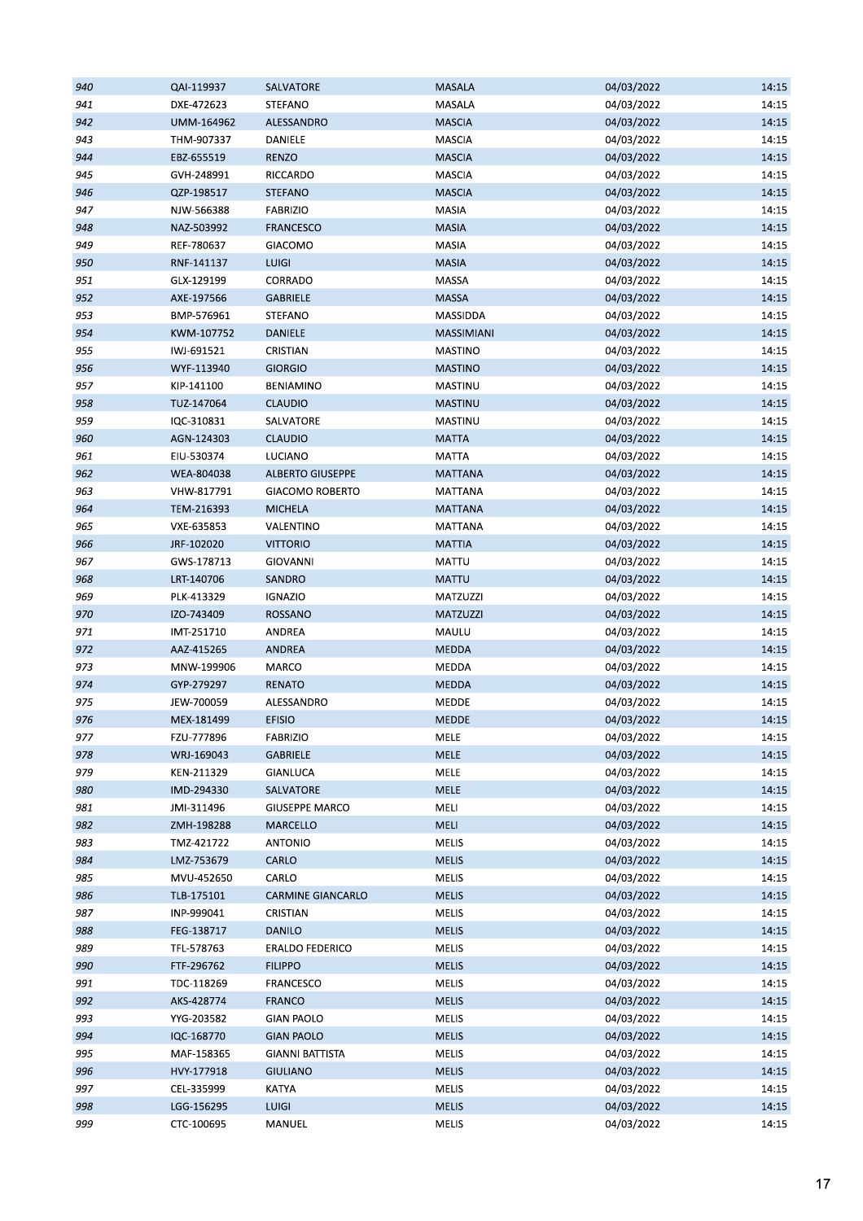| 940 | QAI-119937 | SALVATORE                | <b>MASALA</b>   | 04/03/2022 | 14:15 |
|-----|------------|--------------------------|-----------------|------------|-------|
| 941 | DXE-472623 | <b>STEFANO</b>           | MASALA          | 04/03/2022 | 14:15 |
| 942 | UMM-164962 | ALESSANDRO               | <b>MASCIA</b>   | 04/03/2022 | 14:15 |
| 943 | THM-907337 | DANIELE                  | <b>MASCIA</b>   | 04/03/2022 | 14:15 |
| 944 | EBZ-655519 | <b>RENZO</b>             | <b>MASCIA</b>   | 04/03/2022 | 14:15 |
| 945 | GVH-248991 | RICCARDO                 | MASCIA          | 04/03/2022 | 14:15 |
| 946 | QZP-198517 | <b>STEFANO</b>           | <b>MASCIA</b>   | 04/03/2022 | 14:15 |
| 947 | NJW-566388 | <b>FABRIZIO</b>          | MASIA           | 04/03/2022 | 14:15 |
| 948 | NAZ-503992 | <b>FRANCESCO</b>         | MASIA           | 04/03/2022 | 14:15 |
| 949 | REF-780637 | GIACOMO                  | MASIA           | 04/03/2022 | 14:15 |
| 950 | RNF-141137 | <b>LUIGI</b>             | MASIA           | 04/03/2022 | 14:15 |
| 951 | GLX-129199 | CORRADO                  | MASSA           | 04/03/2022 | 14:15 |
| 952 | AXE-197566 | <b>GABRIELE</b>          | <b>MASSA</b>    | 04/03/2022 | 14:15 |
| 953 | BMP-576961 | STEFANO                  | MASSIDDA        | 04/03/2022 | 14:15 |
| 954 | KWM-107752 | DANIELE                  | MASSIMIANI      | 04/03/2022 | 14:15 |
| 955 | IWJ-691521 | CRISTIAN                 | <b>MASTINO</b>  | 04/03/2022 | 14:15 |
| 956 | WYF-113940 | <b>GIORGIO</b>           | <b>MASTINO</b>  | 04/03/2022 | 14:15 |
| 957 |            |                          |                 | 04/03/2022 | 14:15 |
|     | KIP-141100 | <b>BENIAMINO</b>         | MASTINU         |            |       |
| 958 | TUZ-147064 | <b>CLAUDIO</b>           | <b>MASTINU</b>  | 04/03/2022 | 14:15 |
| 959 | IQC-310831 | SALVATORE                | MASTINU         | 04/03/2022 | 14:15 |
| 960 | AGN-124303 | <b>CLAUDIO</b>           | <b>MATTA</b>    | 04/03/2022 | 14:15 |
| 961 | EIU-530374 | LUCIANO                  | <b>MATTA</b>    | 04/03/2022 | 14:15 |
| 962 | WEA-804038 | <b>ALBERTO GIUSEPPE</b>  | <b>MATTANA</b>  | 04/03/2022 | 14:15 |
| 963 | VHW-817791 | <b>GIACOMO ROBERTO</b>   | MATTANA         | 04/03/2022 | 14:15 |
| 964 | TEM-216393 | <b>MICHELA</b>           | <b>MATTANA</b>  | 04/03/2022 | 14:15 |
| 965 | VXE-635853 | VALENTINO                | MATTANA         | 04/03/2022 | 14:15 |
| 966 | JRF-102020 | <b>VITTORIO</b>          | <b>MATTIA</b>   | 04/03/2022 | 14:15 |
| 967 | GWS-178713 | <b>GIOVANNI</b>          | <b>MATTU</b>    | 04/03/2022 | 14:15 |
| 968 | LRT-140706 | SANDRO                   | <b>MATTU</b>    | 04/03/2022 | 14:15 |
| 969 | PLK-413329 | <b>IGNAZIO</b>           | MATZUZZI        | 04/03/2022 | 14:15 |
| 970 | IZO-743409 | <b>ROSSANO</b>           | <b>MATZUZZI</b> | 04/03/2022 | 14:15 |
| 971 | IMT-251710 | ANDREA                   | MAULU           | 04/03/2022 | 14:15 |
| 972 | AAZ-415265 | ANDREA                   | <b>MEDDA</b>    | 04/03/2022 | 14:15 |
| 973 | MNW-199906 | MARCO                    | MEDDA           | 04/03/2022 | 14:15 |
| 974 | GYP-279297 | <b>RENATO</b>            | <b>MEDDA</b>    | 04/03/2022 | 14:15 |
| 975 | JEW-700059 | ALESSANDRO               | MEDDE           | 04/03/2022 | 14:15 |
| 976 | MEX-181499 | <b>EFISIO</b>            | <b>MEDDE</b>    | 04/03/2022 | 14:15 |
| 977 | FZU-777896 | <b>FABRIZIO</b>          | <b>MELE</b>     | 04/03/2022 | 14:15 |
| 978 | WRJ-169043 | GABRIELE                 | MELE            | 04/03/2022 | 14:15 |
| 979 | KEN-211329 | <b>GIANLUCA</b>          | MELE            | 04/03/2022 | 14:15 |
| 980 | IMD-294330 | SALVATORE                | <b>MELE</b>     | 04/03/2022 | 14:15 |
| 981 | JMI-311496 | <b>GIUSEPPE MARCO</b>    | MELI            | 04/03/2022 | 14:15 |
| 982 | ZMH-198288 | MARCELLO                 | <b>MELI</b>     | 04/03/2022 | 14:15 |
| 983 | TMZ-421722 | <b>ANTONIO</b>           | <b>MELIS</b>    | 04/03/2022 | 14:15 |
| 984 | LMZ-753679 | CARLO                    | <b>MELIS</b>    | 04/03/2022 | 14:15 |
| 985 | MVU-452650 | CARLO                    | MELIS           | 04/03/2022 | 14:15 |
| 986 | TLB-175101 | <b>CARMINE GIANCARLO</b> | <b>MELIS</b>    | 04/03/2022 | 14:15 |
| 987 | INP-999041 | CRISTIAN                 | MELIS           | 04/03/2022 | 14:15 |
| 988 | FEG-138717 | <b>DANILO</b>            | <b>MELIS</b>    | 04/03/2022 | 14:15 |
| 989 | TFL-578763 | <b>ERALDO FEDERICO</b>   | <b>MELIS</b>    | 04/03/2022 | 14:15 |
| 990 | FTF-296762 | <b>FILIPPO</b>           | <b>MELIS</b>    | 04/03/2022 | 14:15 |
| 991 | TDC-118269 | FRANCESCO                | MELIS           | 04/03/2022 | 14:15 |
|     |            |                          |                 |            |       |
| 992 | AKS-428774 | <b>FRANCO</b>            | <b>MELIS</b>    | 04/03/2022 | 14:15 |
| 993 | YYG-203582 | <b>GIAN PAOLO</b>        | MELIS           | 04/03/2022 | 14:15 |
| 994 | IQC-168770 | <b>GIAN PAOLO</b>        | <b>MELIS</b>    | 04/03/2022 | 14:15 |
| 995 | MAF-158365 | <b>GIANNI BATTISTA</b>   | MELIS           | 04/03/2022 | 14:15 |
| 996 | HVY-177918 | <b>GIULIANO</b>          | <b>MELIS</b>    | 04/03/2022 | 14:15 |
| 997 | CEL-335999 | <b>KATYA</b>             | MELIS           | 04/03/2022 | 14:15 |
| 998 | LGG-156295 | <b>LUIGI</b>             | <b>MELIS</b>    | 04/03/2022 | 14:15 |
| 999 | CTC-100695 | MANUEL                   | MELIS           | 04/03/2022 | 14:15 |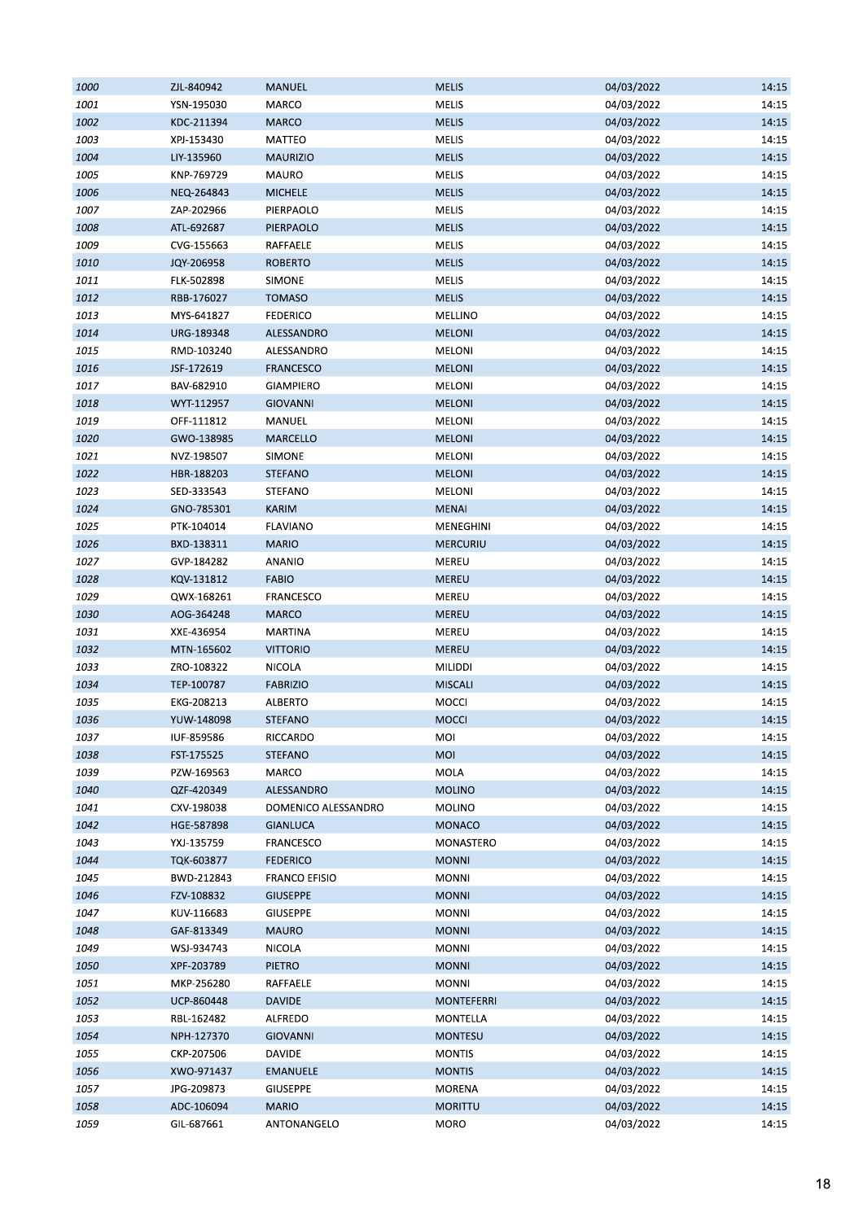| 1000 | ZJL-840942 | <b>MANUEL</b>        | <b>MELIS</b>      | 04/03/2022 | 14:15 |
|------|------------|----------------------|-------------------|------------|-------|
| 1001 | YSN-195030 | MARCO                | <b>MELIS</b>      | 04/03/2022 | 14:15 |
| 1002 | KDC-211394 | <b>MARCO</b>         | <b>MELIS</b>      | 04/03/2022 | 14:15 |
| 1003 | XPJ-153430 | MATTEO               | MELIS             | 04/03/2022 | 14:15 |
| 1004 | LIY-135960 | <b>MAURIZIO</b>      | <b>MELIS</b>      | 04/03/2022 | 14:15 |
| 1005 | KNP-769729 | MAURO                | MELIS             | 04/03/2022 | 14:15 |
| 1006 | NEQ-264843 | <b>MICHELE</b>       | <b>MELIS</b>      | 04/03/2022 | 14:15 |
| 1007 | ZAP-202966 | PIERPAOLO            | MELIS             | 04/03/2022 | 14:15 |
| 1008 | ATL-692687 | PIERPAOLO            | <b>MELIS</b>      | 04/03/2022 | 14:15 |
| 1009 | CVG-155663 | RAFFAELE             | MELIS             | 04/03/2022 | 14:15 |
| 1010 | JQY-206958 | <b>ROBERTO</b>       | <b>MELIS</b>      | 04/03/2022 | 14:15 |
| 1011 | FLK-502898 | SIMONE               | MELIS             | 04/03/2022 | 14:15 |
| 1012 |            |                      | <b>MELIS</b>      |            |       |
|      | RBB-176027 | <b>TOMASO</b>        |                   | 04/03/2022 | 14:15 |
| 1013 | MYS-641827 | <b>FEDERICO</b>      | MELLINO           | 04/03/2022 | 14:15 |
| 1014 | URG-189348 | ALESSANDRO           | <b>MELONI</b>     | 04/03/2022 | 14:15 |
| 1015 | RMD-103240 | ALESSANDRO           | <b>MELONI</b>     | 04/03/2022 | 14:15 |
| 1016 | JSF-172619 | <b>FRANCESCO</b>     | MELONI            | 04/03/2022 | 14:15 |
| 1017 | BAV-682910 | GIAMPIERO            | MELONI            | 04/03/2022 | 14:15 |
| 1018 | WYT-112957 | <b>GIOVANNI</b>      | <b>MELONI</b>     | 04/03/2022 | 14:15 |
| 1019 | OFF-111812 | MANUEL               | MELONI            | 04/03/2022 | 14:15 |
| 1020 | GWO-138985 | <b>MARCELLO</b>      | <b>MELONI</b>     | 04/03/2022 | 14:15 |
| 1021 | NVZ-198507 | SIMONE               | <b>MELONI</b>     | 04/03/2022 | 14:15 |
| 1022 | HBR-188203 | <b>STEFANO</b>       | <b>MELONI</b>     | 04/03/2022 | 14:15 |
| 1023 | SED-333543 | STEFANO              | MELONI            | 04/03/2022 | 14:15 |
| 1024 | GNO-785301 | <b>KARIM</b>         | <b>MENAI</b>      | 04/03/2022 | 14:15 |
| 1025 | PTK-104014 | <b>FLAVIANO</b>      | MENEGHINI         | 04/03/2022 | 14:15 |
| 1026 | BXD-138311 | <b>MARIO</b>         | MERCURIU          | 04/03/2022 | 14:15 |
| 1027 | GVP-184282 | ANANIO               | MEREU             | 04/03/2022 | 14:15 |
| 1028 | KQV-131812 | <b>FABIO</b>         | <b>MEREU</b>      | 04/03/2022 | 14:15 |
| 1029 | QWX-168261 | FRANCESCO            | MEREU             | 04/03/2022 | 14:15 |
| 1030 | AOG-364248 | <b>MARCO</b>         | <b>MEREU</b>      | 04/03/2022 | 14:15 |
| 1031 | XXE-436954 | MARTINA              | MEREU             | 04/03/2022 | 14:15 |
| 1032 | MTN-165602 | <b>VITTORIO</b>      | <b>MEREU</b>      | 04/03/2022 | 14:15 |
| 1033 | ZRO-108322 | <b>NICOLA</b>        | MILIDDI           | 04/03/2022 | 14:15 |
| 1034 | TEP-100787 | <b>FABRIZIO</b>      | <b>MISCALI</b>    | 04/03/2022 | 14:15 |
| 1035 | EKG-208213 | ALBERTO              | MOCCI             | 04/03/2022 | 14:15 |
| 1036 | YUW-148098 | <b>STEFANO</b>       | <b>MOCCI</b>      | 04/03/2022 | 14:15 |
| 1037 | IUF-859586 | RICCARDO             | MOI               | 04/03/2022 | 14:15 |
|      |            |                      |                   |            |       |
| 1038 | FST-175525 | <b>STEFANO</b>       | MOI               | 04/03/2022 | 14:15 |
| 1039 | PZW-169563 | MARCO                | MOLA              | 04/03/2022 | 14:15 |
| 1040 | QZF-420349 | ALESSANDRO           | <b>MOLINO</b>     | 04/03/2022 | 14:15 |
| 1041 | CXV-198038 | DOMENICO ALESSANDRO  | <b>MOLINO</b>     | 04/03/2022 | 14:15 |
| 1042 | HGE-587898 | <b>GIANLUCA</b>      | <b>MONACO</b>     | 04/03/2022 | 14:15 |
| 1043 | YXJ-135759 | <b>FRANCESCO</b>     | MONASTERO         | 04/03/2022 | 14:15 |
| 1044 | TQK-603877 | <b>FEDERICO</b>      | <b>MONNI</b>      | 04/03/2022 | 14:15 |
| 1045 | BWD-212843 | <b>FRANCO EFISIO</b> | <b>MONNI</b>      | 04/03/2022 | 14:15 |
| 1046 | FZV-108832 | <b>GIUSEPPE</b>      | <b>MONNI</b>      | 04/03/2022 | 14:15 |
| 1047 | KUV-116683 | <b>GIUSEPPE</b>      | <b>MONNI</b>      | 04/03/2022 | 14:15 |
| 1048 | GAF-813349 | <b>MAURO</b>         | <b>MONNI</b>      | 04/03/2022 | 14:15 |
| 1049 | WSJ-934743 | <b>NICOLA</b>        | <b>MONNI</b>      | 04/03/2022 | 14:15 |
| 1050 | XPF-203789 | <b>PIETRO</b>        | <b>MONNI</b>      | 04/03/2022 | 14:15 |
| 1051 | MKP-256280 | RAFFAELE             | <b>MONNI</b>      | 04/03/2022 | 14:15 |
| 1052 | UCP-860448 | <b>DAVIDE</b>        | <b>MONTEFERRI</b> | 04/03/2022 | 14:15 |
| 1053 | RBL-162482 | ALFREDO              | MONTELLA          | 04/03/2022 | 14:15 |
| 1054 | NPH-127370 | <b>GIOVANNI</b>      | <b>MONTESU</b>    | 04/03/2022 | 14:15 |
| 1055 | CKP-207506 | DAVIDE               | <b>MONTIS</b>     | 04/03/2022 | 14:15 |
| 1056 | XWO-971437 | <b>EMANUELE</b>      | <b>MONTIS</b>     | 04/03/2022 | 14:15 |
| 1057 | JPG-209873 | <b>GIUSEPPE</b>      | MORENA            | 04/03/2022 | 14:15 |
| 1058 | ADC-106094 | <b>MARIO</b>         | <b>MORITTU</b>    | 04/03/2022 | 14:15 |
| 1059 | GIL-687661 | ANTONANGELO          | MORO              | 04/03/2022 | 14:15 |
|      |            |                      |                   |            |       |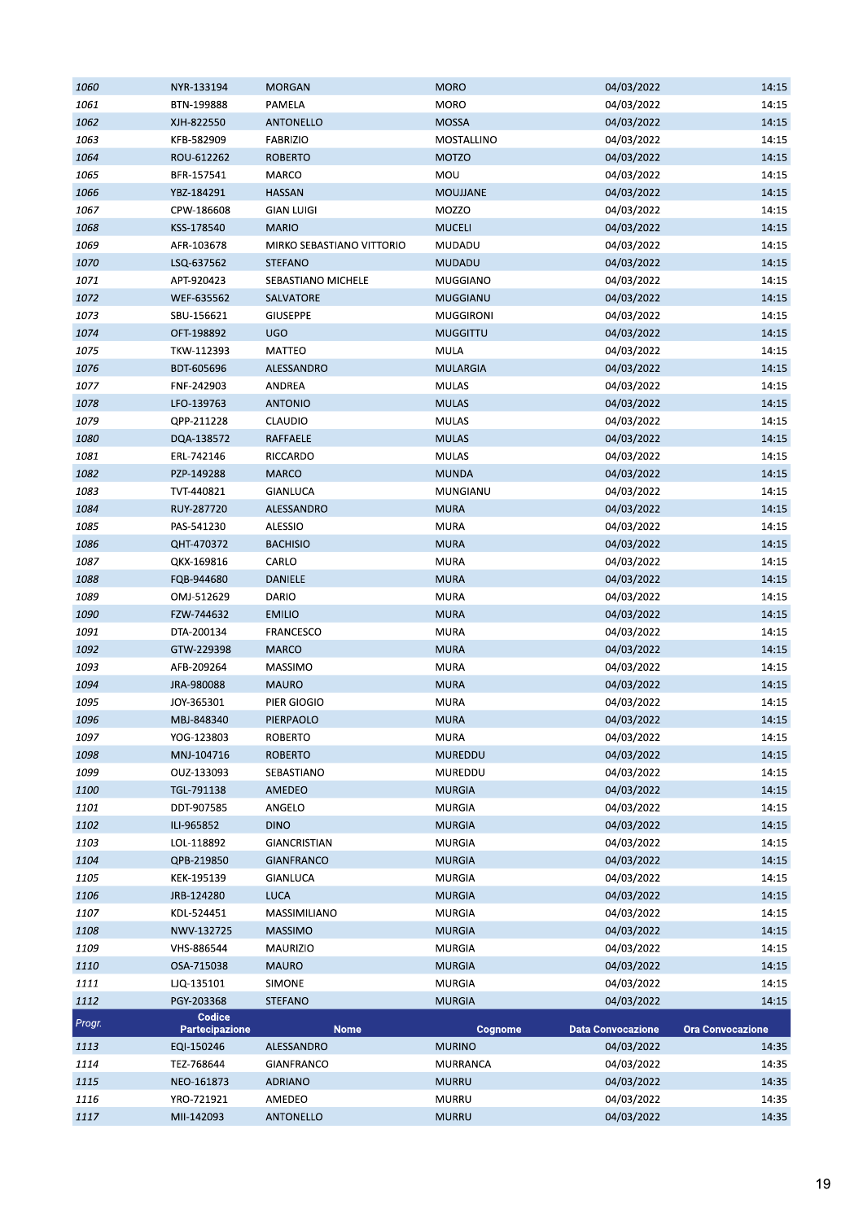| 1060   | NYR-133194            | <b>MORGAN</b>             | <b>MORO</b>      | 04/03/2022               | 14:15                   |
|--------|-----------------------|---------------------------|------------------|--------------------------|-------------------------|
| 1061   | BTN-199888            | PAMELA                    | <b>MORO</b>      | 04/03/2022               | 14:15                   |
| 1062   | XJH-822550            | <b>ANTONELLO</b>          | <b>MOSSA</b>     | 04/03/2022               | 14:15                   |
| 1063   | KFB-582909            | <b>FABRIZIO</b>           | MOSTALLINO       | 04/03/2022               | 14:15                   |
| 1064   | ROU-612262            | <b>ROBERTO</b>            | <b>MOTZO</b>     | 04/03/2022               | 14:15                   |
| 1065   | BFR-157541            | MARCO                     | MOU              | 04/03/2022               | 14:15                   |
| 1066   | YBZ-184291            | <b>HASSAN</b>             | <b>MOUJJANE</b>  | 04/03/2022               | 14:15                   |
| 1067   | CPW-186608            | <b>GIAN LUIGI</b>         | MOZZO            | 04/03/2022               | 14:15                   |
| 1068   | KSS-178540            | <b>MARIO</b>              | <b>MUCELI</b>    | 04/03/2022               | 14:15                   |
| 1069   | AFR-103678            | MIRKO SEBASTIANO VITTORIO | MUDADU           | 04/03/2022               | 14:15                   |
| 1070   | LSQ-637562            | <b>STEFANO</b>            | <b>MUDADU</b>    | 04/03/2022               | 14:15                   |
| 1071   | APT-920423            | SEBASTIANO MICHELE        | <b>MUGGIANO</b>  | 04/03/2022               | 14:15                   |
| 1072   | WEF-635562            | SALVATORE                 | <b>MUGGIANU</b>  | 04/03/2022               | 14:15                   |
| 1073   | SBU-156621            | <b>GIUSEPPE</b>           | <b>MUGGIRONI</b> | 04/03/2022               | 14:15                   |
| 1074   | OFT-198892            | <b>UGO</b>                | <b>MUGGITTU</b>  | 04/03/2022               | 14:15                   |
| 1075   | TKW-112393            | MATTEO                    | MULA             | 04/03/2022               | 14:15                   |
| 1076   | BDT-605696            | ALESSANDRO                | <b>MULARGIA</b>  | 04/03/2022               | 14:15                   |
|        |                       |                           | <b>MULAS</b>     |                          | 14:15                   |
| 1077   | FNF-242903            | ANDREA                    |                  | 04/03/2022               |                         |
| 1078   | LFO-139763            | <b>ANTONIO</b>            | <b>MULAS</b>     | 04/03/2022               | 14:15                   |
| 1079   | QPP-211228            | CLAUDIO                   | <b>MULAS</b>     | 04/03/2022               | 14:15                   |
| 1080   | DQA-138572            | <b>RAFFAELE</b>           | <b>MULAS</b>     | 04/03/2022               | 14:15                   |
| 1081   | ERL-742146            | RICCARDO                  | <b>MULAS</b>     | 04/03/2022               | 14:15                   |
| 1082   | PZP-149288            | <b>MARCO</b>              | <b>MUNDA</b>     | 04/03/2022               | 14:15                   |
| 1083   | TVT-440821            | GIANLUCA                  | MUNGIANU         | 04/03/2022               | 14:15                   |
| 1084   | RUY-287720            | ALESSANDRO                | <b>MURA</b>      | 04/03/2022               | 14:15                   |
| 1085   | PAS-541230            | ALESSIO                   | <b>MURA</b>      | 04/03/2022               | 14:15                   |
| 1086   | QHT-470372            | <b>BACHISIO</b>           | <b>MURA</b>      | 04/03/2022               | 14:15                   |
| 1087   | QKX-169816            | CARLO                     | <b>MURA</b>      | 04/03/2022               | 14:15                   |
| 1088   | FQB-944680            | <b>DANIELE</b>            | <b>MURA</b>      | 04/03/2022               | 14:15                   |
| 1089   | OMJ-512629            | DARIO                     | <b>MURA</b>      | 04/03/2022               | 14:15                   |
| 1090   | FZW-744632            | <b>EMILIO</b>             | <b>MURA</b>      | 04/03/2022               | 14:15                   |
| 1091   | DTA-200134            | FRANCESCO                 | <b>MURA</b>      | 04/03/2022               | 14:15                   |
| 1092   | GTW-229398            | <b>MARCO</b>              | <b>MURA</b>      | 04/03/2022               | 14:15                   |
| 1093   | AFB-209264            | MASSIMO                   | MURA             | 04/03/2022               | 14:15                   |
| 1094   | JRA-980088            | <b>MAURO</b>              | <b>MURA</b>      | 04/03/2022               | 14:15                   |
| 1095   | JOY-365301            | PIER GIOGIO               | <b>MURA</b>      | 04/03/2022               | 14:15                   |
| 1096   | MBJ-848340            | PIERPAOLO                 | <b>MURA</b>      | 04/03/2022               | 14:15                   |
| 1097   | YOG-123803            | <b>ROBERTO</b>            | <b>MURA</b>      | 04/03/2022               | 14:15                   |
| 1098   | MNJ-104716            | <b>ROBERTO</b>            | MUREDDU          | 04/03/2022               | 14:15                   |
| 1099   | OUZ-133093            | SEBASTIANO                | MUREDDU          | 04/03/2022               | 14:15                   |
| 1100   | TGL-791138            | AMEDEO                    | <b>MURGIA</b>    | 04/03/2022               | 14:15                   |
| 1101   | DDT-907585            | ANGELO                    | <b>MURGIA</b>    | 04/03/2022               | 14:15                   |
| 1102   | ILI-965852            | <b>DINO</b>               | <b>MURGIA</b>    | 04/03/2022               | 14:15                   |
| 1103   | LOL-118892            | GIANCRISTIAN              | <b>MURGIA</b>    | 04/03/2022               | 14:15                   |
| 1104   | QPB-219850            | <b>GIANFRANCO</b>         | <b>MURGIA</b>    | 04/03/2022               | 14:15                   |
| 1105   | KEK-195139            | <b>GIANLUCA</b>           | <b>MURGIA</b>    | 04/03/2022               | 14:15                   |
| 1106   | JRB-124280            | <b>LUCA</b>               | <b>MURGIA</b>    | 04/03/2022               | 14:15                   |
| 1107   | KDL-524451            | MASSIMILIANO              | <b>MURGIA</b>    | 04/03/2022               | 14:15                   |
| 1108   | NWV-132725            | <b>MASSIMO</b>            | <b>MURGIA</b>    | 04/03/2022               | 14:15                   |
| 1109   | VHS-886544            | MAURIZIO                  | <b>MURGIA</b>    | 04/03/2022               | 14:15                   |
| 1110   | OSA-715038            | <b>MAURO</b>              | <b>MURGIA</b>    | 04/03/2022               | 14:15                   |
| 1111   | LJQ-135101            | SIMONE                    | <b>MURGIA</b>    | 04/03/2022               | 14:15                   |
| 1112   | PGY-203368            | <b>STEFANO</b>            | <b>MURGIA</b>    | 04/03/2022               | 14:15                   |
|        | Codice                |                           |                  |                          |                         |
| Progr. | <b>Partecipazione</b> | <b>Nome</b>               | Cognome          | <b>Data Convocazione</b> | <b>Ora Convocazione</b> |
| 1113   | EQI-150246            | ALESSANDRO                | <b>MURINO</b>    | 04/03/2022               | 14:35                   |
| 1114   | TEZ-768644            | GIANFRANCO                | MURRANCA         | 04/03/2022               | 14:35                   |
| 1115   | NEO-161873            | <b>ADRIANO</b>            | <b>MURRU</b>     | 04/03/2022               | 14:35                   |
| 1116   | YRO-721921            | AMEDEO                    | MURRU            | 04/03/2022               | 14:35                   |
| 1117   | MII-142093            | ANTONELLO                 | <b>MURRU</b>     | 04/03/2022               | 14:35                   |
|        |                       |                           |                  |                          |                         |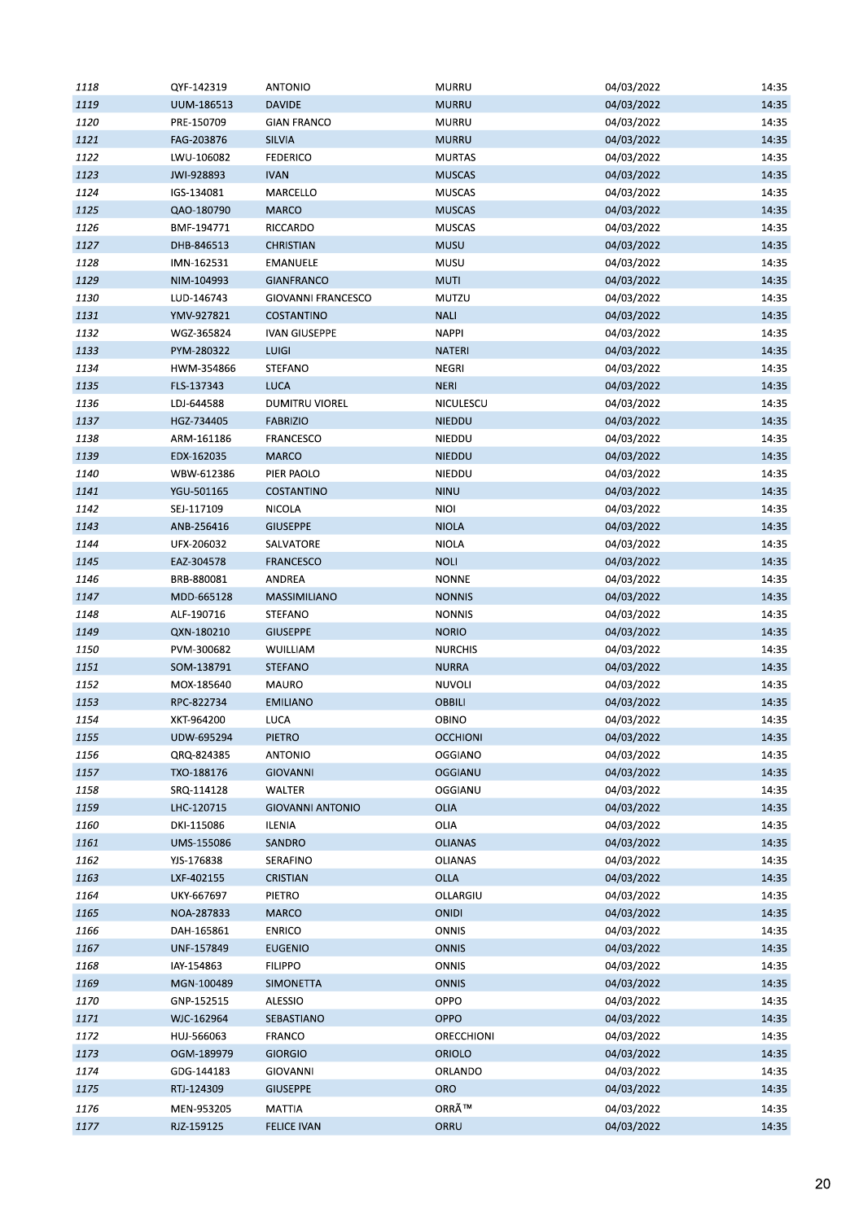| 1118 | QYF-142319 | <b>ANTONIO</b>            | MURRU           | 04/03/2022 | 14:35 |
|------|------------|---------------------------|-----------------|------------|-------|
| 1119 | UUM-186513 | <b>DAVIDE</b>             | <b>MURRU</b>    | 04/03/2022 | 14:35 |
| 1120 | PRE-150709 | <b>GIAN FRANCO</b>        | <b>MURRU</b>    | 04/03/2022 | 14:35 |
| 1121 | FAG-203876 | <b>SILVIA</b>             | <b>MURRU</b>    | 04/03/2022 | 14:35 |
| 1122 | LWU-106082 | <b>FEDERICO</b>           | <b>MURTAS</b>   | 04/03/2022 | 14:35 |
| 1123 | JWI-928893 | <b>IVAN</b>               | <b>MUSCAS</b>   | 04/03/2022 | 14:35 |
| 1124 | IGS-134081 | MARCELLO                  | <b>MUSCAS</b>   | 04/03/2022 | 14:35 |
| 1125 | QAO-180790 | <b>MARCO</b>              | <b>MUSCAS</b>   | 04/03/2022 | 14:35 |
| 1126 | BMF-194771 | RICCARDO                  | <b>MUSCAS</b>   | 04/03/2022 | 14:35 |
| 1127 | DHB-846513 | <b>CHRISTIAN</b>          | <b>MUSU</b>     | 04/03/2022 | 14:35 |
| 1128 | IMN-162531 | EMANUELE                  | MUSU            | 04/03/2022 | 14:35 |
| 1129 | NIM-104993 | <b>GIANFRANCO</b>         | <b>MUTI</b>     | 04/03/2022 | 14:35 |
| 1130 | LUD-146743 | <b>GIOVANNI FRANCESCO</b> | MUTZU           | 04/03/2022 | 14:35 |
| 1131 | YMV-927821 | COSTANTINO                | <b>NALI</b>     | 04/03/2022 | 14:35 |
| 1132 | WGZ-365824 | <b>IVAN GIUSEPPE</b>      | <b>NAPPI</b>    | 04/03/2022 | 14:35 |
|      |            |                           |                 |            |       |
| 1133 | PYM-280322 | <b>LUIGI</b>              | <b>NATERI</b>   | 04/03/2022 | 14:35 |
| 1134 | HWM-354866 | STEFANO                   | NEGRI           | 04/03/2022 | 14:35 |
| 1135 | FLS-137343 | LUCA                      | <b>NERI</b>     | 04/03/2022 | 14:35 |
| 1136 | LDJ-644588 | <b>DUMITRU VIOREL</b>     | NICULESCU       | 04/03/2022 | 14:35 |
| 1137 | HGZ-734405 | <b>FABRIZIO</b>           | <b>NIEDDU</b>   | 04/03/2022 | 14:35 |
| 1138 | ARM-161186 | FRANCESCO                 | NIEDDU          | 04/03/2022 | 14:35 |
| 1139 | EDX-162035 | <b>MARCO</b>              | <b>NIEDDU</b>   | 04/03/2022 | 14:35 |
| 1140 | WBW-612386 | PIER PAOLO                | NIEDDU          | 04/03/2022 | 14:35 |
| 1141 | YGU-501165 | <b>COSTANTINO</b>         | <b>NINU</b>     | 04/03/2022 | 14:35 |
| 1142 | SEJ-117109 | <b>NICOLA</b>             | <b>NIOI</b>     | 04/03/2022 | 14:35 |
| 1143 | ANB-256416 | <b>GIUSEPPE</b>           | <b>NIOLA</b>    | 04/03/2022 | 14:35 |
| 1144 | UFX-206032 | SALVATORE                 | <b>NIOLA</b>    | 04/03/2022 | 14:35 |
| 1145 | EAZ-304578 | <b>FRANCESCO</b>          | <b>NOLI</b>     | 04/03/2022 | 14:35 |
| 1146 | BRB-880081 | ANDREA                    | <b>NONNE</b>    | 04/03/2022 | 14:35 |
| 1147 | MDD-665128 | MASSIMILIANO              | <b>NONNIS</b>   | 04/03/2022 | 14:35 |
| 1148 | ALF-190716 | STEFANO                   | <b>NONNIS</b>   | 04/03/2022 | 14:35 |
| 1149 | QXN-180210 | <b>GIUSEPPE</b>           | <b>NORIO</b>    | 04/03/2022 | 14:35 |
| 1150 | PVM-300682 | WUILLIAM                  | <b>NURCHIS</b>  | 04/03/2022 | 14:35 |
| 1151 | SOM-138791 | <b>STEFANO</b>            | <b>NURRA</b>    | 04/03/2022 | 14:35 |
| 1152 | MOX-185640 | MAURO                     | <b>NUVOLI</b>   | 04/03/2022 | 14:35 |
| 1153 | RPC-822734 | <b>EMILIANO</b>           | OBBILI          | 04/03/2022 | 14:35 |
| 1154 | XKT-964200 | LUCA                      | <b>OBINO</b>    | 04/03/2022 | 14:35 |
| 1155 | UDW-695294 | PIETRO                    | <b>OCCHIONI</b> | 04/03/2022 | 14:35 |
| 1156 | QRQ-824385 | <b>ANTONIO</b>            | <b>OGGIANO</b>  | 04/03/2022 | 14:35 |
| 1157 | TXO-188176 | <b>GIOVANNI</b>           | OGGIANU         | 04/03/2022 | 14:35 |
| 1158 | SRQ-114128 | WALTER                    | OGGIANU         | 04/03/2022 | 14:35 |
| 1159 | LHC-120715 | <b>GIOVANNI ANTONIO</b>   | OLIA            | 04/03/2022 | 14:35 |
| 1160 |            |                           | OLIA            |            | 14:35 |
|      | DKI-115086 | ILENIA                    | <b>OLIANAS</b>  | 04/03/2022 |       |
| 1161 | UMS-155086 | SANDRO                    |                 | 04/03/2022 | 14:35 |
| 1162 | YJS-176838 | SERAFINO                  | <b>OLIANAS</b>  | 04/03/2022 | 14:35 |
| 1163 | LXF-402155 | <b>CRISTIAN</b>           | OLLA            | 04/03/2022 | 14:35 |
| 1164 | UKY-667697 | <b>PIETRO</b>             | OLLARGIU        | 04/03/2022 | 14:35 |
| 1165 | NOA-287833 | <b>MARCO</b>              | ONIDI           | 04/03/2022 | 14:35 |
| 1166 | DAH-165861 | <b>ENRICO</b>             | <b>ONNIS</b>    | 04/03/2022 | 14:35 |
| 1167 | UNF-157849 | <b>EUGENIO</b>            | <b>ONNIS</b>    | 04/03/2022 | 14:35 |
| 1168 | IAY-154863 | <b>FILIPPO</b>            | <b>ONNIS</b>    | 04/03/2022 | 14:35 |
| 1169 | MGN-100489 | SIMONETTA                 | <b>ONNIS</b>    | 04/03/2022 | 14:35 |
| 1170 | GNP-152515 | ALESSIO                   | OPPO            | 04/03/2022 | 14:35 |
| 1171 | WJC-162964 | SEBASTIANO                | OPPO            | 04/03/2022 | 14:35 |
| 1172 | HUJ-566063 | <b>FRANCO</b>             | ORECCHIONI      | 04/03/2022 | 14:35 |
| 1173 | OGM-189979 | <b>GIORGIO</b>            | <b>ORIOLO</b>   | 04/03/2022 | 14:35 |
| 1174 | GDG-144183 | <b>GIOVANNI</b>           | ORLANDO         | 04/03/2022 | 14:35 |
| 1175 | RTJ-124309 | <b>GIUSEPPE</b>           | <b>ORO</b>      | 04/03/2022 | 14:35 |
| 1176 | MEN-953205 | <b>MATTIA</b>             | ORRÙ            | 04/03/2022 | 14:35 |
| 1177 | RJZ-159125 | <b>FELICE IVAN</b>        | ORRU            | 04/03/2022 | 14:35 |
|      |            |                           |                 |            |       |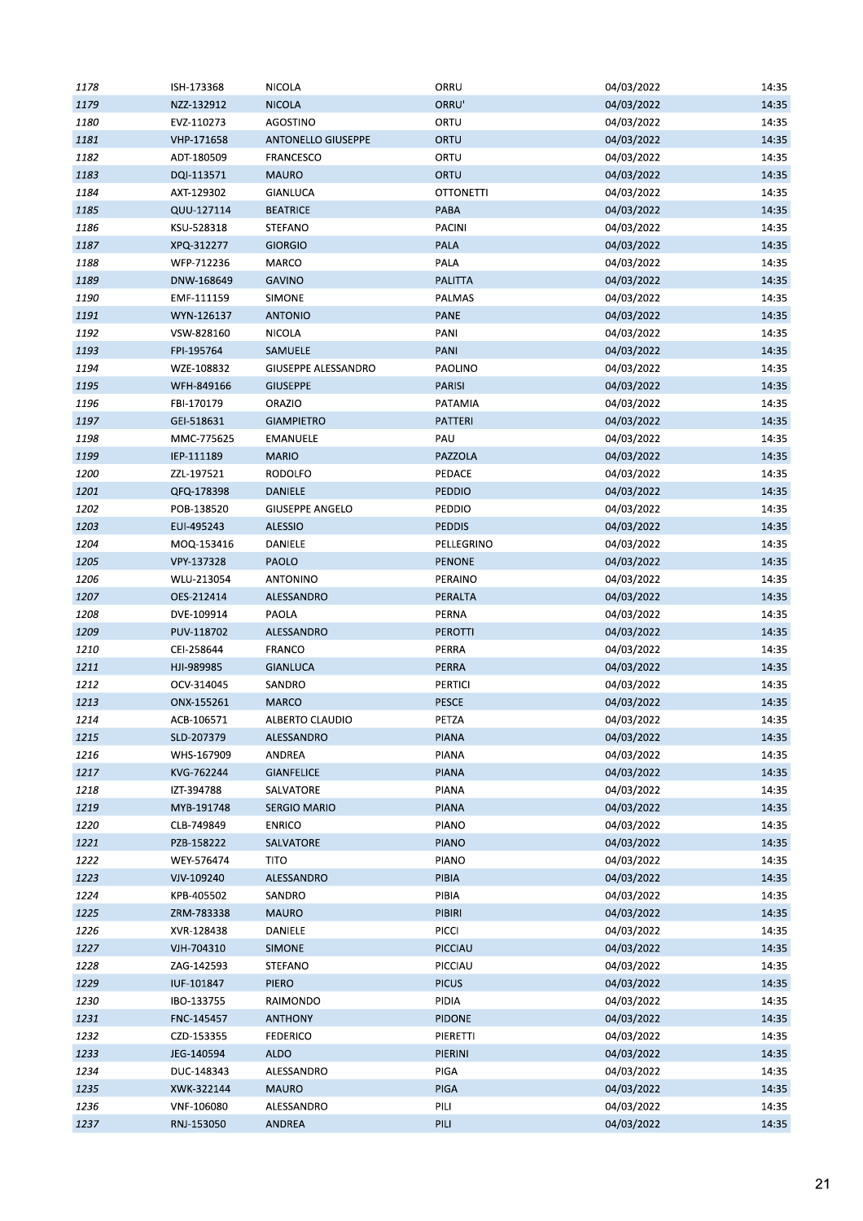| 1178 | ISH-173368 | <b>NICOLA</b>              | ORRU             | 04/03/2022 | 14:35 |
|------|------------|----------------------------|------------------|------------|-------|
| 1179 | NZZ-132912 | <b>NICOLA</b>              | ORRU'            | 04/03/2022 | 14:35 |
| 1180 | EVZ-110273 | AGOSTINO                   | ORTU             | 04/03/2022 | 14:35 |
| 1181 | VHP-171658 | <b>ANTONELLO GIUSEPPE</b>  | ORTU             | 04/03/2022 | 14:35 |
| 1182 | ADT-180509 | <b>FRANCESCO</b>           | ORTU             | 04/03/2022 | 14:35 |
| 1183 | DQI-113571 | <b>MAURO</b>               | ORTU             | 04/03/2022 | 14:35 |
| 1184 | AXT-129302 | GIANLUCA                   | <b>OTTONETTI</b> | 04/03/2022 | 14:35 |
| 1185 | QUU-127114 | <b>BEATRICE</b>            | PABA             | 04/03/2022 | 14:35 |
| 1186 | KSU-528318 | STEFANO                    | PACINI           | 04/03/2022 | 14:35 |
| 1187 | XPQ-312277 | <b>GIORGIO</b>             | <b>PALA</b>      | 04/03/2022 | 14:35 |
| 1188 | WFP-712236 | MARCO                      | PALA             | 04/03/2022 | 14:35 |
| 1189 | DNW-168649 | GAVINO                     | <b>PALITTA</b>   | 04/03/2022 | 14:35 |
| 1190 | EMF-111159 | SIMONE                     | PALMAS           | 04/03/2022 | 14:35 |
| 1191 | WYN-126137 | <b>ANTONIO</b>             | <b>PANE</b>      | 04/03/2022 | 14:35 |
| 1192 | VSW-828160 | NICOLA                     | PANI             | 04/03/2022 | 14:35 |
| 1193 | FPI-195764 | SAMUELE                    | PANI             | 04/03/2022 | 14:35 |
| 1194 | WZE-108832 | <b>GIUSEPPE ALESSANDRO</b> | PAOLINO          | 04/03/2022 | 14:35 |
| 1195 | WFH-849166 | <b>GIUSEPPE</b>            | <b>PARISI</b>    | 04/03/2022 | 14:35 |
|      |            |                            |                  |            |       |
| 1196 | FBI-170179 | <b>ORAZIO</b>              | PATAMIA          | 04/03/2022 | 14:35 |
| 1197 | GEI-518631 | <b>GIAMPIETRO</b>          | PATTERI          | 04/03/2022 | 14:35 |
| 1198 | MMC-775625 | EMANUELE                   | PAU              | 04/03/2022 | 14:35 |
| 1199 | IEP-111189 | <b>MARIO</b>               | PAZZOLA          | 04/03/2022 | 14:35 |
| 1200 | ZZL-197521 | <b>RODOLFO</b>             | PEDACE           | 04/03/2022 | 14:35 |
| 1201 | QFQ-178398 | DANIELE                    | <b>PEDDIO</b>    | 04/03/2022 | 14:35 |
| 1202 | POB-138520 | <b>GIUSEPPE ANGELO</b>     | PEDDIO           | 04/03/2022 | 14:35 |
| 1203 | EUI-495243 | <b>ALESSIO</b>             | <b>PEDDIS</b>    | 04/03/2022 | 14:35 |
| 1204 | MOQ-153416 | DANIELE                    | PELLEGRINO       | 04/03/2022 | 14:35 |
| 1205 | VPY-137328 | PAOLO                      | <b>PENONE</b>    | 04/03/2022 | 14:35 |
| 1206 | WLU-213054 | ANTONINO                   | PERAINO          | 04/03/2022 | 14:35 |
| 1207 | OES-212414 | ALESSANDRO                 | PERALTA          | 04/03/2022 | 14:35 |
| 1208 | DVE-109914 | PAOLA                      | PERNA            | 04/03/2022 | 14:35 |
| 1209 | PUV-118702 | ALESSANDRO                 | <b>PEROTTI</b>   | 04/03/2022 | 14:35 |
| 1210 | CEI-258644 | FRANCO                     | PERRA            | 04/03/2022 | 14:35 |
| 1211 | HJI-989985 | <b>GIANLUCA</b>            | PERRA            | 04/03/2022 | 14:35 |
| 1212 | OCV-314045 | SANDRO                     | PERTICI          | 04/03/2022 | 14:35 |
| 1213 | ONX-155261 | <b>MARCO</b>               | PESCE            | 04/03/2022 | 14:35 |
| 1214 | ACB-106571 | ALBERTO CLAUDIO            | PETZA            | 04/03/2022 | 14:35 |
| 1215 | SLD-207379 | ALESSANDRO                 | <b>PIANA</b>     | 04/03/2022 | 14:35 |
| 1216 | WHS-167909 | ANDREA                     | PIANA            | 04/03/2022 | 14:35 |
| 1217 | KVG-762244 | <b>GIANFELICE</b>          | <b>PIANA</b>     | 04/03/2022 | 14:35 |
| 1218 | IZT-394788 | SALVATORE                  | PIANA            | 04/03/2022 | 14:35 |
| 1219 | MYB-191748 | <b>SERGIO MARIO</b>        | PIANA            | 04/03/2022 | 14:35 |
| 1220 | CLB-749849 | <b>ENRICO</b>              | <b>PIANO</b>     | 04/03/2022 | 14:35 |
| 1221 | PZB-158222 | SALVATORE                  | <b>PIANO</b>     | 04/03/2022 | 14:35 |
| 1222 | WEY-576474 | <b>TITO</b>                | <b>PIANO</b>     | 04/03/2022 | 14:35 |
| 1223 | VJV-109240 | ALESSANDRO                 | <b>PIBIA</b>     | 04/03/2022 | 14:35 |
| 1224 | KPB-405502 | SANDRO                     | PIBIA            | 04/03/2022 | 14:35 |
| 1225 | ZRM-783338 | <b>MAURO</b>               | PIBIRI           | 04/03/2022 | 14:35 |
| 1226 | XVR-128438 | DANIELE                    | PICCI            | 04/03/2022 | 14:35 |
| 1227 | VJH-704310 | <b>SIMONE</b>              | PICCIAU          | 04/03/2022 | 14:35 |
| 1228 | ZAG-142593 | STEFANO                    | PICCIAU          | 04/03/2022 | 14:35 |
| 1229 | IUF-101847 | <b>PIERO</b>               | <b>PICUS</b>     | 04/03/2022 | 14:35 |
| 1230 | IBO-133755 | RAIMONDO                   | PIDIA            | 04/03/2022 | 14:35 |
|      |            |                            |                  |            |       |
| 1231 | FNC-145457 | <b>ANTHONY</b>             | <b>PIDONE</b>    | 04/03/2022 | 14:35 |
| 1232 | CZD-153355 | <b>FEDERICO</b>            | PIERETTI         | 04/03/2022 | 14:35 |
| 1233 | JEG-140594 | <b>ALDO</b>                | PIERINI          | 04/03/2022 | 14:35 |
| 1234 | DUC-148343 | ALESSANDRO                 | PIGA             | 04/03/2022 | 14:35 |
| 1235 | XWK-322144 | <b>MAURO</b>               | <b>PIGA</b>      | 04/03/2022 | 14:35 |
| 1236 | VNF-106080 | ALESSANDRO                 | PILI             | 04/03/2022 | 14:35 |
| 1237 | RNJ-153050 | ANDREA                     | PILI             | 04/03/2022 | 14:35 |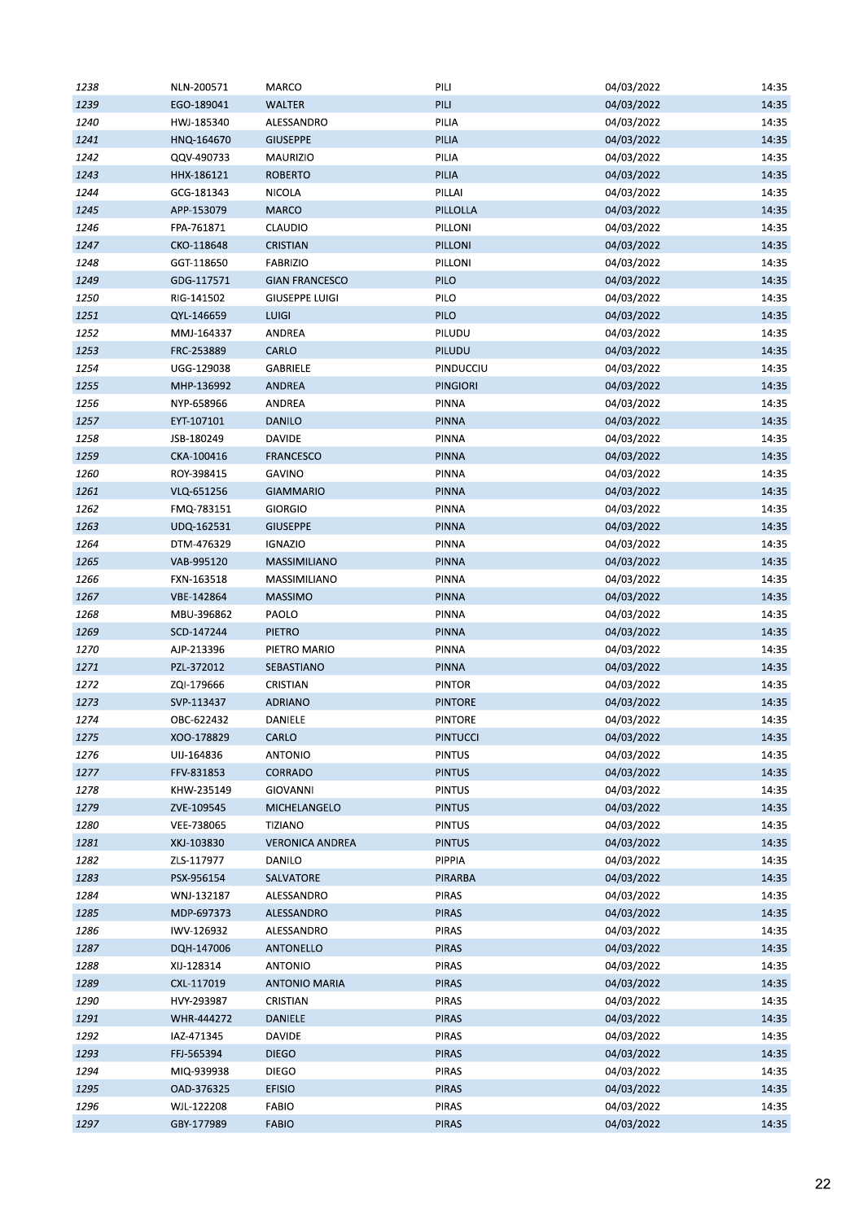| 1238 | NLN-200571 | MARCO                  | PILI            | 04/03/2022 | 14:35 |
|------|------------|------------------------|-----------------|------------|-------|
| 1239 | EGO-189041 | <b>WALTER</b>          | PILI            | 04/03/2022 | 14:35 |
| 1240 | HWJ-185340 | ALESSANDRO             | PILIA           | 04/03/2022 | 14:35 |
| 1241 | HNQ-164670 | <b>GIUSEPPE</b>        | PILIA           | 04/03/2022 | 14:35 |
| 1242 | QQV-490733 | MAURIZIO               | PILIA           | 04/03/2022 | 14:35 |
| 1243 | HHX-186121 | <b>ROBERTO</b>         | PILIA           | 04/03/2022 | 14:35 |
| 1244 | GCG-181343 | <b>NICOLA</b>          | PILLAI          | 04/03/2022 | 14:35 |
| 1245 | APP-153079 | <b>MARCO</b>           | PILLOLLA        | 04/03/2022 | 14:35 |
| 1246 | FPA-761871 | <b>CLAUDIO</b>         | PILLONI         | 04/03/2022 | 14:35 |
| 1247 | CKO-118648 | CRISTIAN               | PILLONI         | 04/03/2022 | 14:35 |
| 1248 | GGT-118650 | <b>FABRIZIO</b>        | PILLONI         | 04/03/2022 | 14:35 |
| 1249 | GDG-117571 | <b>GIAN FRANCESCO</b>  | PILO            | 04/03/2022 | 14:35 |
| 1250 | RIG-141502 | <b>GIUSEPPE LUIGI</b>  | PILO            | 04/03/2022 | 14:35 |
| 1251 | QYL-146659 | <b>LUIGI</b>           | PILO            | 04/03/2022 | 14:35 |
| 1252 | MMJ-164337 | ANDREA                 | PILUDU          | 04/03/2022 | 14:35 |
| 1253 | FRC-253889 | CARLO                  | PILUDU          | 04/03/2022 | 14:35 |
| 1254 | UGG-129038 | GABRIELE               | PINDUCCIU       | 04/03/2022 | 14:35 |
| 1255 | MHP-136992 | ANDREA                 | <b>PINGIORI</b> | 04/03/2022 | 14:35 |
| 1256 | NYP-658966 | ANDREA                 | PINNA           | 04/03/2022 | 14:35 |
|      |            |                        |                 | 04/03/2022 |       |
| 1257 | EYT-107101 | <b>DANILO</b>          | <b>PINNA</b>    |            | 14:35 |
| 1258 | JSB-180249 | <b>DAVIDE</b>          | PINNA           | 04/03/2022 | 14:35 |
| 1259 | CKA-100416 | <b>FRANCESCO</b>       | <b>PINNA</b>    | 04/03/2022 | 14:35 |
| 1260 | ROY-398415 | <b>GAVINO</b>          | <b>PINNA</b>    | 04/03/2022 | 14:35 |
| 1261 | VLQ-651256 | <b>GIAMMARIO</b>       | <b>PINNA</b>    | 04/03/2022 | 14:35 |
| 1262 | FMQ-783151 | <b>GIORGIO</b>         | PINNA           | 04/03/2022 | 14:35 |
| 1263 | UDQ-162531 | <b>GIUSEPPE</b>        | <b>PINNA</b>    | 04/03/2022 | 14:35 |
| 1264 | DTM-476329 | <b>IGNAZIO</b>         | PINNA           | 04/03/2022 | 14:35 |
| 1265 | VAB-995120 | MASSIMILIANO           | <b>PINNA</b>    | 04/03/2022 | 14:35 |
| 1266 | FXN-163518 | MASSIMILIANO           | PINNA           | 04/03/2022 | 14:35 |
| 1267 | VBE-142864 | <b>MASSIMO</b>         | <b>PINNA</b>    | 04/03/2022 | 14:35 |
| 1268 | MBU-396862 | PAOLO                  | PINNA           | 04/03/2022 | 14:35 |
| 1269 | SCD-147244 | <b>PIETRO</b>          | <b>PINNA</b>    | 04/03/2022 | 14:35 |
| 1270 | AJP-213396 | PIETRO MARIO           | PINNA           | 04/03/2022 | 14:35 |
| 1271 | PZL-372012 | SEBASTIANO             | <b>PINNA</b>    | 04/03/2022 | 14:35 |
| 1272 | ZQI-179666 | CRISTIAN               | <b>PINTOR</b>   | 04/03/2022 | 14:35 |
| 1273 | SVP-113437 | <b>ADRIANO</b>         | <b>PINTORE</b>  | 04/03/2022 | 14:35 |
| 1274 | OBC-622432 | DANIELE                | <b>PINTORE</b>  | 04/03/2022 | 14:35 |
| 1275 | XOO-178829 | CARLO                  | <b>PINTUCCI</b> | 04/03/2022 | 14:35 |
| 1276 | UIJ-164836 | <b>ANTONIO</b>         | <b>PINTUS</b>   | 04/03/2022 | 14:35 |
| 1277 | FFV-831853 | CORRADO                | <b>PINTUS</b>   | 04/03/2022 | 14:35 |
| 1278 | KHW-235149 | <b>GIOVANNI</b>        | <b>PINTUS</b>   | 04/03/2022 | 14:35 |
| 1279 | ZVE-109545 | MICHELANGELO           | <b>PINTUS</b>   | 04/03/2022 | 14:35 |
| 1280 | VEE-738065 | <b>TIZIANO</b>         | <b>PINTUS</b>   | 04/03/2022 | 14:35 |
| 1281 | XKJ-103830 | <b>VERONICA ANDREA</b> | <b>PINTUS</b>   | 04/03/2022 | 14:35 |
| 1282 | ZLS-117977 | DANILO                 | PIPPIA          | 04/03/2022 | 14:35 |
| 1283 | PSX-956154 | SALVATORE              | PIRARBA         | 04/03/2022 | 14:35 |
| 1284 | WNJ-132187 | ALESSANDRO             | <b>PIRAS</b>    | 04/03/2022 | 14:35 |
| 1285 | MDP-697373 | ALESSANDRO             | <b>PIRAS</b>    | 04/03/2022 | 14:35 |
| 1286 | IWV-126932 | ALESSANDRO             | PIRAS           | 04/03/2022 | 14:35 |
| 1287 | DQH-147006 | ANTONELLO              | <b>PIRAS</b>    | 04/03/2022 | 14:35 |
| 1288 | XIJ-128314 | <b>ANTONIO</b>         | PIRAS           | 04/03/2022 | 14:35 |
| 1289 | CXL-117019 | <b>ANTONIO MARIA</b>   | <b>PIRAS</b>    | 04/03/2022 | 14:35 |
| 1290 | HVY-293987 | CRISTIAN               | <b>PIRAS</b>    | 04/03/2022 | 14:35 |
| 1291 | WHR-444272 | DANIELE                | <b>PIRAS</b>    | 04/03/2022 | 14:35 |
| 1292 | IAZ-471345 | DAVIDE                 | PIRAS           | 04/03/2022 | 14:35 |
|      | FFJ-565394 | <b>DIEGO</b>           | <b>PIRAS</b>    | 04/03/2022 | 14:35 |
| 1293 |            |                        |                 |            |       |
| 1294 | MIQ-939938 | <b>DIEGO</b>           | PIRAS           | 04/03/2022 | 14:35 |
| 1295 | OAD-376325 | <b>EFISIO</b>          | <b>PIRAS</b>    | 04/03/2022 | 14:35 |
| 1296 | WJL-122208 | <b>FABIO</b>           | PIRAS           | 04/03/2022 | 14:35 |
| 1297 | GBY-177989 | <b>FABIO</b>           | <b>PIRAS</b>    | 04/03/2022 | 14:35 |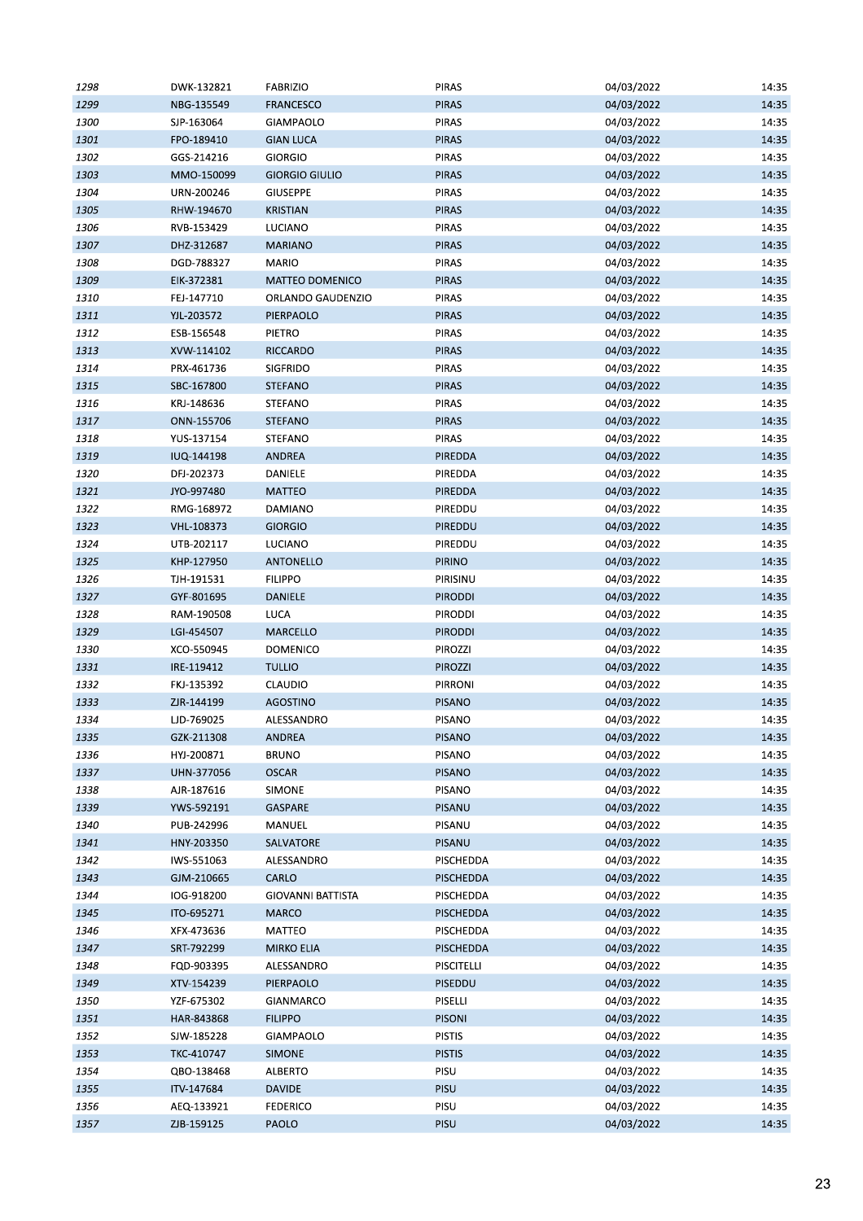| 1298 | DWK-132821 | <b>FABRIZIO</b>        | <b>PIRAS</b>   | 04/03/2022 | 14:35 |
|------|------------|------------------------|----------------|------------|-------|
| 1299 | NBG-135549 | <b>FRANCESCO</b>       | <b>PIRAS</b>   | 04/03/2022 | 14:35 |
| 1300 | SJP-163064 | GIAMPAOLO              | PIRAS          | 04/03/2022 | 14:35 |
| 1301 | FPO-189410 | <b>GIAN LUCA</b>       | <b>PIRAS</b>   | 04/03/2022 | 14:35 |
| 1302 | GGS-214216 | <b>GIORGIO</b>         | PIRAS          | 04/03/2022 | 14:35 |
| 1303 | MMO-150099 | <b>GIORGIO GIULIO</b>  | <b>PIRAS</b>   | 04/03/2022 | 14:35 |
| 1304 | URN-200246 | <b>GIUSEPPE</b>        | <b>PIRAS</b>   | 04/03/2022 | 14:35 |
| 1305 | RHW-194670 | KRISTIAN               | <b>PIRAS</b>   | 04/03/2022 | 14:35 |
| 1306 | RVB-153429 | LUCIANO                | PIRAS          | 04/03/2022 | 14:35 |
| 1307 | DHZ-312687 | <b>MARIANO</b>         | <b>PIRAS</b>   | 04/03/2022 | 14:35 |
| 1308 | DGD-788327 | <b>MARIO</b>           | PIRAS          | 04/03/2022 | 14:35 |
| 1309 | EIK-372381 | <b>MATTEO DOMENICO</b> | <b>PIRAS</b>   | 04/03/2022 | 14:35 |
| 1310 | FEJ-147710 | ORLANDO GAUDENZIO      | <b>PIRAS</b>   | 04/03/2022 | 14:35 |
| 1311 | YJL-203572 | PIERPAOLO              | <b>PIRAS</b>   | 04/03/2022 | 14:35 |
| 1312 | ESB-156548 | PIETRO                 | <b>PIRAS</b>   | 04/03/2022 | 14:35 |
| 1313 | XVW-114102 | <b>RICCARDO</b>        | <b>PIRAS</b>   | 04/03/2022 | 14:35 |
| 1314 | PRX-461736 | SIGFRIDO               | PIRAS          | 04/03/2022 | 14:35 |
| 1315 | SBC-167800 | <b>STEFANO</b>         | <b>PIRAS</b>   | 04/03/2022 | 14:35 |
| 1316 | KRJ-148636 | STEFANO                | <b>PIRAS</b>   | 04/03/2022 | 14:35 |
| 1317 | ONN-155706 | <b>STEFANO</b>         | PIRAS          | 04/03/2022 | 14:35 |
|      |            |                        | PIRAS          | 04/03/2022 | 14:35 |
| 1318 | YUS-137154 | STEFANO                |                |            |       |
| 1319 | IUQ-144198 | <b>ANDREA</b>          | PIREDDA        | 04/03/2022 | 14:35 |
| 1320 | DFJ-202373 | DANIELE                | PIREDDA        | 04/03/2022 | 14:35 |
| 1321 | JYO-997480 | <b>MATTEO</b>          | PIREDDA        | 04/03/2022 | 14:35 |
| 1322 | RMG-168972 | DAMIANO                | PIREDDU        | 04/03/2022 | 14:35 |
| 1323 | VHL-108373 | <b>GIORGIO</b>         | PIREDDU        | 04/03/2022 | 14:35 |
| 1324 | UTB-202117 | LUCIANO                | PIREDDU        | 04/03/2022 | 14:35 |
| 1325 | KHP-127950 | ANTONELLO              | <b>PIRINO</b>  | 04/03/2022 | 14:35 |
| 1326 | TJH-191531 | <b>FILIPPO</b>         | PIRISINU       | 04/03/2022 | 14:35 |
| 1327 | GYF-801695 | <b>DANIELE</b>         | <b>PIRODDI</b> | 04/03/2022 | 14:35 |
| 1328 | RAM-190508 | LUCA                   | <b>PIRODDI</b> | 04/03/2022 | 14:35 |
| 1329 | LGI-454507 | MARCELLO               | <b>PIRODDI</b> | 04/03/2022 | 14:35 |
| 1330 | XCO-550945 | <b>DOMENICO</b>        | PIROZZI        | 04/03/2022 | 14:35 |
| 1331 | IRE-119412 | <b>TULLIO</b>          | PIROZZI        | 04/03/2022 | 14:35 |
| 1332 | FKJ-135392 | <b>CLAUDIO</b>         | PIRRONI        | 04/03/2022 | 14:35 |
| 1333 | ZJR-144199 | AGOSTINO               | <b>PISANO</b>  | 04/03/2022 | 14:35 |
| 1334 | LJD-769025 | ALESSANDRO             | <b>PISANO</b>  | 04/03/2022 | 14:35 |
| 1335 | GZK-211308 | ANDREA                 | PISANO         | 04/03/2022 | 14:35 |
| 1336 | HYJ-200871 | <b>BRUNO</b>           | PISANO         | 04/03/2022 | 14:35 |
| 1337 | UHN-377056 | <b>OSCAR</b>           | <b>PISANO</b>  | 04/03/2022 | 14:35 |
| 1338 | AJR-187616 | SIMONE                 | PISANO         | 04/03/2022 | 14:35 |
| 1339 | YWS-592191 | GASPARE                | PISANU         | 04/03/2022 | 14:35 |
| 1340 | PUB-242996 | MANUEL                 | PISANU         | 04/03/2022 | 14:35 |
| 1341 | HNY-203350 | SALVATORE              | PISANU         | 04/03/2022 | 14:35 |
| 1342 | IWS-551063 | ALESSANDRO             | PISCHEDDA      | 04/03/2022 | 14:35 |
| 1343 | GJM-210665 | CARLO                  | PISCHEDDA      | 04/03/2022 | 14:35 |
| 1344 | IOG-918200 | GIOVANNI BATTISTA      | PISCHEDDA      | 04/03/2022 | 14:35 |
| 1345 | ITO-695271 | <b>MARCO</b>           | PISCHEDDA      | 04/03/2022 | 14:35 |
| 1346 | XFX-473636 | MATTEO                 | PISCHEDDA      | 04/03/2022 | 14:35 |
| 1347 | SRT-792299 | <b>MIRKO ELIA</b>      | PISCHEDDA      | 04/03/2022 | 14:35 |
| 1348 | FQD-903395 | ALESSANDRO             | PISCITELLI     | 04/03/2022 | 14:35 |
| 1349 | XTV-154239 | PIERPAOLO              | PISEDDU        | 04/03/2022 | 14:35 |
| 1350 | YZF-675302 | GIANMARCO              | PISELLI        | 04/03/2022 | 14:35 |
| 1351 | HAR-843868 | <b>FILIPPO</b>         | <b>PISONI</b>  | 04/03/2022 | 14:35 |
| 1352 | SJW-185228 | GIAMPAOLO              | <b>PISTIS</b>  | 04/03/2022 | 14:35 |
| 1353 | TKC-410747 | <b>SIMONE</b>          | <b>PISTIS</b>  | 04/03/2022 | 14:35 |
| 1354 | QBO-138468 | ALBERTO                | PISU           | 04/03/2022 | 14:35 |
| 1355 | ITV-147684 | <b>DAVIDE</b>          | PISU           | 04/03/2022 | 14:35 |
| 1356 | AEQ-133921 | <b>FEDERICO</b>        | PISU           | 04/03/2022 | 14:35 |
| 1357 | ZJB-159125 | PAOLO                  | PISU           | 04/03/2022 | 14:35 |
|      |            |                        |                |            |       |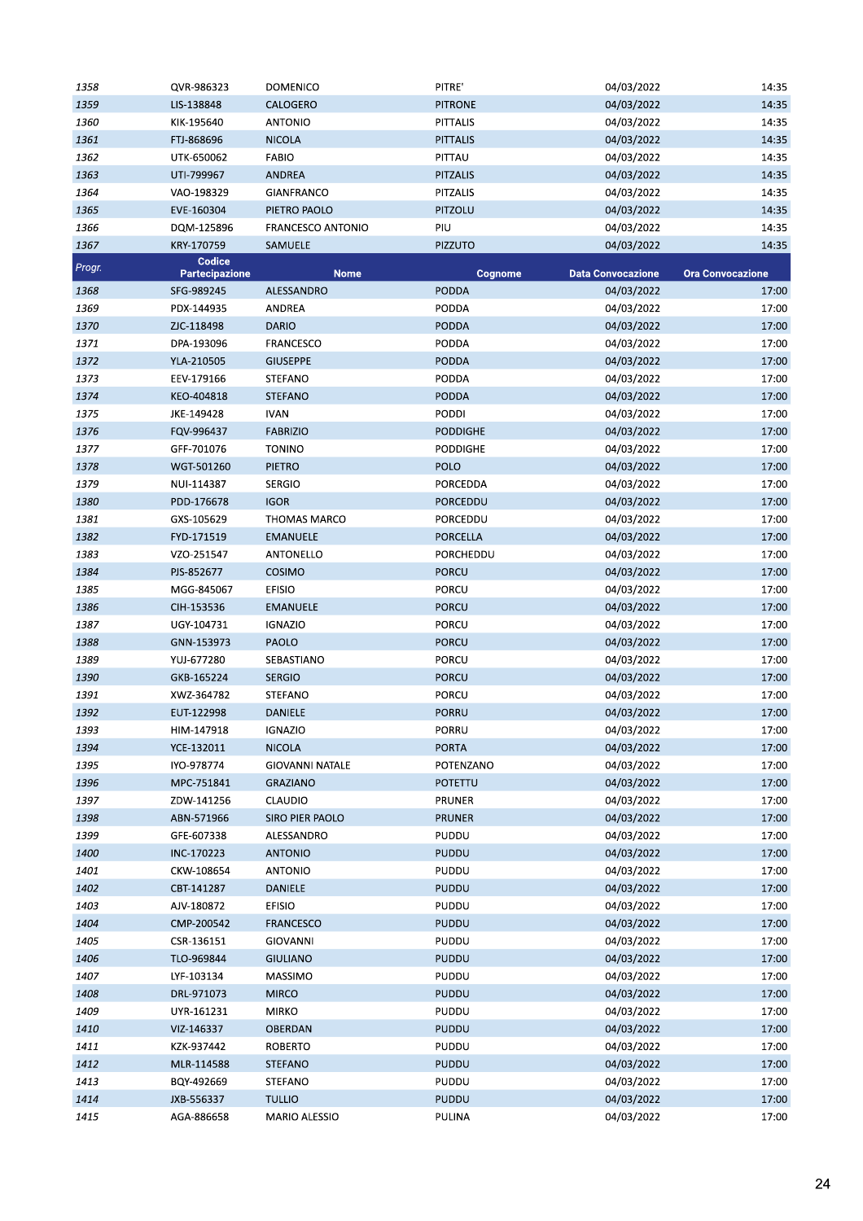| 1358   | QVR-986323                      | <b>DOMENICO</b>        | PITRE'          | 04/03/2022               | 14:35                   |
|--------|---------------------------------|------------------------|-----------------|--------------------------|-------------------------|
| 1359   | LIS-138848                      | CALOGERO               | <b>PITRONE</b>  | 04/03/2022               | 14:35                   |
| 1360   | KIK-195640                      | <b>ANTONIO</b>         | <b>PITTALIS</b> | 04/03/2022               | 14:35                   |
| 1361   | FTJ-868696                      | <b>NICOLA</b>          | <b>PITTALIS</b> | 04/03/2022               | 14:35                   |
| 1362   | UTK-650062                      | <b>FABIO</b>           | PITTAU          | 04/03/2022               | 14:35                   |
| 1363   | UTI-799967                      | <b>ANDREA</b>          | <b>PITZALIS</b> | 04/03/2022               | 14:35                   |
| 1364   | VAO-198329                      | <b>GIANFRANCO</b>      | <b>PITZALIS</b> | 04/03/2022               | 14:35                   |
| 1365   | EVE-160304                      | PIETRO PAOLO           | PITZOLU         | 04/03/2022               | 14:35                   |
| 1366   | DQM-125896                      | FRANCESCO ANTONIO      | PIU             | 04/03/2022               | 14:35                   |
| 1367   | KRY-170759                      | SAMUELE                | <b>PIZZUTO</b>  | 04/03/2022               | 14:35                   |
| Progr. | Codice<br><b>Partecipazione</b> | <b>Nome</b>            | Cognome         | <b>Data Convocazione</b> | <b>Ora Convocazione</b> |
| 1368   | SFG-989245                      | ALESSANDRO             | <b>PODDA</b>    | 04/03/2022               | 17:00                   |
| 1369   | PDX-144935                      | ANDREA                 | PODDA           | 04/03/2022               | 17:00                   |
| 1370   | ZJC-118498                      | <b>DARIO</b>           | <b>PODDA</b>    | 04/03/2022               | 17:00                   |
| 1371   | DPA-193096                      | <b>FRANCESCO</b>       | PODDA           | 04/03/2022               | 17:00                   |
| 1372   | YLA-210505                      | <b>GIUSEPPE</b>        | <b>PODDA</b>    | 04/03/2022               | 17:00                   |
| 1373   | EEV-179166                      | <b>STEFANO</b>         | PODDA           | 04/03/2022               | 17:00                   |
| 1374   | KEO-404818                      | <b>STEFANO</b>         | <b>PODDA</b>    | 04/03/2022               | 17:00                   |
| 1375   | JKE-149428                      | <b>IVAN</b>            | PODDI           | 04/03/2022               | 17:00                   |
| 1376   | FQV-996437                      | <b>FABRIZIO</b>        | <b>PODDIGHE</b> | 04/03/2022               | 17:00                   |
| 1377   | GFF-701076                      | <b>TONINO</b>          | <b>PODDIGHE</b> | 04/03/2022               | 17:00                   |
| 1378   | WGT-501260                      | <b>PIETRO</b>          | <b>POLO</b>     | 04/03/2022               | 17:00                   |
| 1379   | NUI-114387                      | <b>SERGIO</b>          | PORCEDDA        | 04/03/2022               | 17:00                   |
| 1380   | PDD-176678                      | <b>IGOR</b>            | PORCEDDU        | 04/03/2022               | 17:00                   |
| 1381   | GXS-105629                      | <b>THOMAS MARCO</b>    | PORCEDDU        | 04/03/2022               | 17:00                   |
| 1382   | FYD-171519                      | <b>EMANUELE</b>        | PORCELLA        | 04/03/2022               | 17:00                   |
| 1383   | VZO-251547                      | ANTONELLO              | PORCHEDDU       | 04/03/2022               | 17:00                   |
| 1384   | PJS-852677                      | <b>COSIMO</b>          | <b>PORCU</b>    | 04/03/2022               | 17:00                   |
| 1385   | MGG-845067                      | <b>EFISIO</b>          | PORCU           | 04/03/2022               | 17:00                   |
| 1386   | CIH-153536                      | <b>EMANUELE</b>        | <b>PORCU</b>    | 04/03/2022               | 17:00                   |
| 1387   | UGY-104731                      | <b>IGNAZIO</b>         | <b>PORCU</b>    | 04/03/2022               | 17:00                   |
| 1388   | GNN-153973                      | PAOLO                  | <b>PORCU</b>    | 04/03/2022               | 17:00                   |
| 1389   | YUJ-677280                      | SEBASTIANO             | <b>PORCU</b>    | 04/03/2022               | 17:00                   |
| 1390   | GKB-165224                      | <b>SERGIO</b>          | <b>PORCU</b>    | 04/03/2022               | 17:00                   |
| 1391   | XWZ-364782                      | <b>STEFANO</b>         | <b>PORCU</b>    | 04/03/2022               | 17:00                   |
| 1392   | EUT-122998                      | DANIELE                | <b>PORRU</b>    | 04/03/2022               | 17:00                   |
| 1393   | HIM-147918                      | <b>IGNAZIO</b>         | PORRU           | 04/03/2022               | 17:00                   |
| 1394   | YCE-132011                      | <b>NICOLA</b>          | <b>PORTA</b>    | 04/03/2022               | 17:00                   |
| 1395   | IYO-978774                      | <b>GIOVANNI NATALE</b> | POTENZANO       | 04/03/2022               | 17:00                   |
| 1396   | MPC-751841                      | <b>GRAZIANO</b>        | <b>POTETTU</b>  | 04/03/2022               | 17:00                   |
| 1397   | ZDW-141256                      | <b>CLAUDIO</b>         | PRUNER          | 04/03/2022               | 17:00                   |
| 1398   | ABN-571966                      | SIRO PIER PAOLO        | <b>PRUNER</b>   | 04/03/2022               | 17:00                   |
| 1399   | GFE-607338                      | ALESSANDRO             | PUDDU           | 04/03/2022               | 17:00                   |
| 1400   | INC-170223                      | <b>ANTONIO</b>         | <b>PUDDU</b>    | 04/03/2022               | 17:00                   |
| 1401   | CKW-108654                      | <b>ANTONIO</b>         | PUDDU           | 04/03/2022               | 17:00                   |
| 1402   | CBT-141287                      | <b>DANIELE</b>         | <b>PUDDU</b>    | 04/03/2022               | 17:00                   |
| 1403   | AJV-180872                      | <b>EFISIO</b>          | PUDDU           | 04/03/2022               | 17:00                   |
| 1404   | CMP-200542                      | <b>FRANCESCO</b>       | <b>PUDDU</b>    | 04/03/2022               | 17:00                   |
| 1405   | CSR-136151                      | <b>GIOVANNI</b>        | PUDDU           | 04/03/2022               | 17:00                   |
| 1406   | TLO-969844                      | <b>GIULIANO</b>        | PUDDU           | 04/03/2022               | 17:00                   |
| 1407   | LYF-103134                      | MASSIMO                | PUDDU           | 04/03/2022               | 17:00                   |
| 1408   | DRL-971073                      | <b>MIRCO</b>           | <b>PUDDU</b>    | 04/03/2022               | 17:00                   |
| 1409   | UYR-161231                      | <b>MIRKO</b>           | PUDDU           | 04/03/2022               | 17:00                   |
| 1410   | VIZ-146337                      | OBERDAN                | <b>PUDDU</b>    | 04/03/2022               | 17:00                   |
| 1411   | KZK-937442                      | <b>ROBERTO</b>         | <b>PUDDU</b>    | 04/03/2022               | 17:00                   |
| 1412   | MLR-114588                      | <b>STEFANO</b>         | <b>PUDDU</b>    | 04/03/2022               | 17:00                   |
| 1413   | BQY-492669                      | <b>STEFANO</b>         | PUDDU           | 04/03/2022               | 17:00                   |
| 1414   | JXB-556337                      | <b>TULLIO</b>          | <b>PUDDU</b>    | 04/03/2022               | 17:00                   |
| 1415   | AGA-886658                      | MARIO ALESSIO          | PULINA          | 04/03/2022               | 17:00                   |
|        |                                 |                        |                 |                          |                         |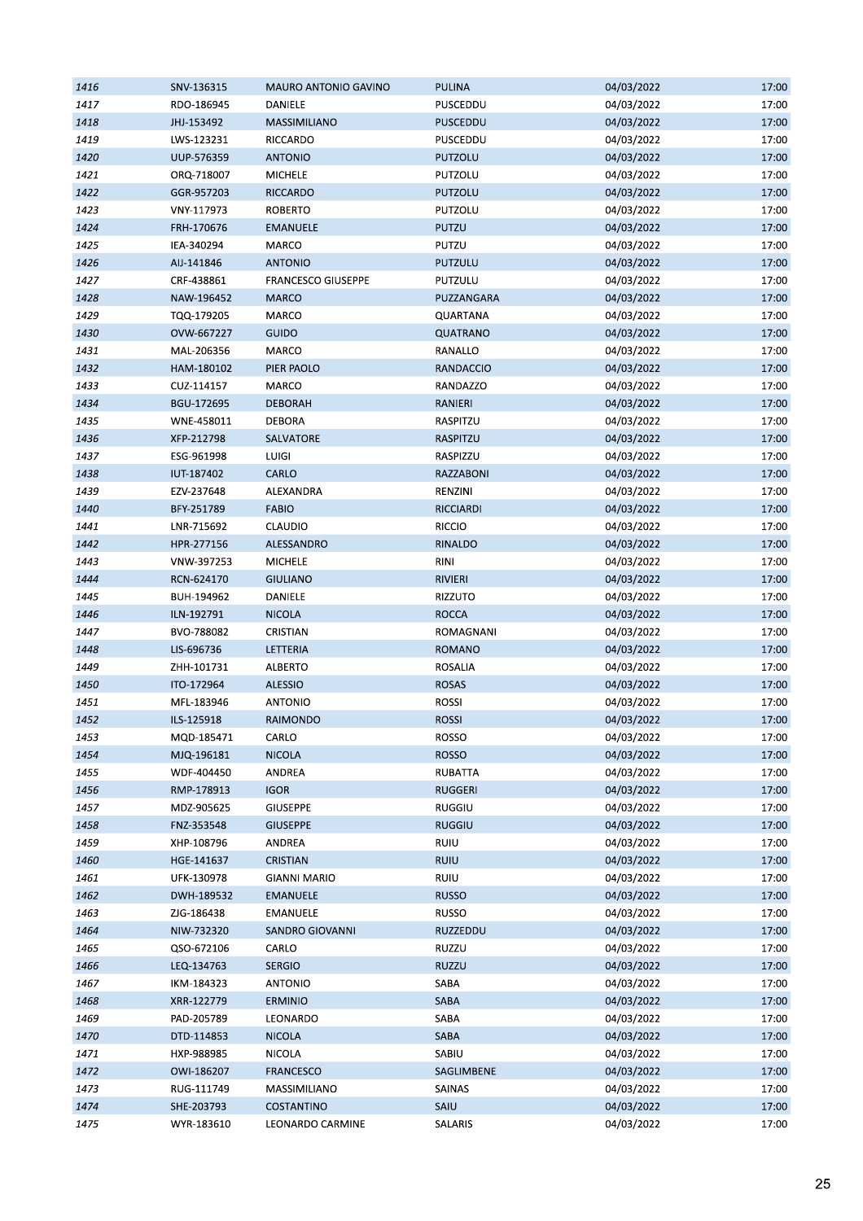| 1416 | SNV-136315 | MAURO ANTONIO GAVINO      | <b>PULINA</b>  | 04/03/2022 | 17:00 |
|------|------------|---------------------------|----------------|------------|-------|
| 1417 | RDO-186945 | DANIELE                   | PUSCEDDU       | 04/03/2022 | 17:00 |
| 1418 | JHJ-153492 | <b>MASSIMILIANO</b>       | PUSCEDDU       | 04/03/2022 | 17:00 |
| 1419 | LWS-123231 | RICCARDO                  | PUSCEDDU       | 04/03/2022 | 17:00 |
| 1420 | UUP-576359 | <b>ANTONIO</b>            | PUTZOLU        | 04/03/2022 | 17:00 |
| 1421 | ORQ-718007 | <b>MICHELE</b>            | PUTZOLU        | 04/03/2022 | 17:00 |
| 1422 | GGR-957203 | RICCARDO                  | PUTZOLU        | 04/03/2022 | 17:00 |
| 1423 | VNY-117973 | <b>ROBERTO</b>            | PUTZOLU        | 04/03/2022 | 17:00 |
| 1424 | FRH-170676 | <b>EMANUELE</b>           | PUTZU          | 04/03/2022 | 17:00 |
| 1425 | IEA-340294 | MARCO                     | PUTZU          | 04/03/2022 | 17:00 |
| 1426 | AIJ-141846 | <b>ANTONIO</b>            | PUTZULU        | 04/03/2022 | 17:00 |
| 1427 | CRF-438861 | <b>FRANCESCO GIUSEPPE</b> | PUTZULU        | 04/03/2022 | 17:00 |
| 1428 | NAW-196452 | <b>MARCO</b>              | PUZZANGARA     | 04/03/2022 | 17:00 |
| 1429 | TQQ-179205 | MARCO                     | QUARTANA       | 04/03/2022 | 17:00 |
| 1430 | OVW-667227 | GUIDO                     | QUATRANO       | 04/03/2022 | 17:00 |
|      |            | MARCO                     |                |            | 17:00 |
| 1431 | MAL-206356 |                           | RANALLO        | 04/03/2022 |       |
| 1432 | HAM-180102 | PIER PAOLO                | RANDACCIO      | 04/03/2022 | 17:00 |
| 1433 | CUZ-114157 | MARCO                     | RANDAZZO       | 04/03/2022 | 17:00 |
| 1434 | BGU-172695 | <b>DEBORAH</b>            | RANIERI        | 04/03/2022 | 17:00 |
| 1435 | WNE-458011 | <b>DEBORA</b>             | RASPITZU       | 04/03/2022 | 17:00 |
| 1436 | XFP-212798 | SALVATORE                 | RASPITZU       | 04/03/2022 | 17:00 |
| 1437 | ESG-961998 | <b>LUIGI</b>              | RASPIZZU       | 04/03/2022 | 17:00 |
| 1438 | IUT-187402 | CARLO                     | RAZZABONI      | 04/03/2022 | 17:00 |
| 1439 | EZV-237648 | ALEXANDRA                 | RENZINI        | 04/03/2022 | 17:00 |
| 1440 | BFY-251789 | <b>FABIO</b>              | RICCIARDI      | 04/03/2022 | 17:00 |
| 1441 | LNR-715692 | <b>CLAUDIO</b>            | <b>RICCIO</b>  | 04/03/2022 | 17:00 |
| 1442 | HPR-277156 | ALESSANDRO                | RINALDO        | 04/03/2022 | 17:00 |
| 1443 | VNW-397253 | <b>MICHELE</b>            | <b>RINI</b>    | 04/03/2022 | 17:00 |
| 1444 | RCN-624170 | <b>GIULIANO</b>           | <b>RIVIERI</b> | 04/03/2022 | 17:00 |
| 1445 | BUH-194962 | DANIELE                   | RIZZUTO        | 04/03/2022 | 17:00 |
| 1446 | ILN-192791 | <b>NICOLA</b>             | <b>ROCCA</b>   | 04/03/2022 | 17:00 |
| 1447 | BVO-788082 | CRISTIAN                  | ROMAGNANI      | 04/03/2022 | 17:00 |
| 1448 | LIS-696736 | LETTERIA                  | <b>ROMANO</b>  | 04/03/2022 | 17:00 |
| 1449 | ZHH-101731 | ALBERTO                   | <b>ROSALIA</b> | 04/03/2022 | 17:00 |
| 1450 | ITO-172964 | ALESSIO                   | <b>ROSAS</b>   | 04/03/2022 | 17:00 |
| 1451 | MFL-183946 | <b>ANTONIO</b>            | <b>ROSSI</b>   | 04/03/2022 | 17:00 |
| 1452 | ILS-125918 | RAIMONDO                  | <b>ROSSI</b>   | 04/03/2022 | 17:00 |
| 1453 | MQD-185471 | CARLO                     | ROSSO          | 04/03/2022 | 17:00 |
| 1454 | MJQ-196181 | <b>NICOLA</b>             | <b>ROSSO</b>   | 04/03/2022 | 17:00 |
| 1455 | WDF-404450 | ANDREA                    | <b>RUBATTA</b> | 04/03/2022 | 17:00 |
| 1456 | RMP-178913 | <b>IGOR</b>               | <b>RUGGERI</b> | 04/03/2022 | 17:00 |
| 1457 | MDZ-905625 | <b>GIUSEPPE</b>           | <b>RUGGIU</b>  | 04/03/2022 | 17:00 |
| 1458 | FNZ-353548 | <b>GIUSEPPE</b>           | <b>RUGGIU</b>  | 04/03/2022 | 17:00 |
| 1459 | XHP-108796 | ANDREA                    | RUIU           | 04/03/2022 | 17:00 |
| 1460 | HGE-141637 | <b>CRISTIAN</b>           | <b>RUIU</b>    | 04/03/2022 | 17:00 |
| 1461 | UFK-130978 | <b>GIANNI MARIO</b>       | RUIU           | 04/03/2022 | 17:00 |
| 1462 | DWH-189532 | <b>EMANUELE</b>           | <b>RUSSO</b>   | 04/03/2022 | 17:00 |
| 1463 | ZJG-186438 | <b>EMANUELE</b>           | <b>RUSSO</b>   | 04/03/2022 | 17:00 |
|      |            | SANDRO GIOVANNI           | RUZZEDDU       | 04/03/2022 |       |
| 1464 | NIW-732320 |                           |                |            | 17:00 |
| 1465 | QSO-672106 | CARLO                     | RUZZU          | 04/03/2022 | 17:00 |
| 1466 | LEQ-134763 | <b>SERGIO</b>             | RUZZU          | 04/03/2022 | 17:00 |
| 1467 | IKM-184323 | <b>ANTONIO</b>            | SABA           | 04/03/2022 | 17:00 |
| 1468 | XRR-122779 | <b>ERMINIO</b>            | SABA           | 04/03/2022 | 17:00 |
| 1469 | PAD-205789 | LEONARDO                  | SABA           | 04/03/2022 | 17:00 |
| 1470 | DTD-114853 | <b>NICOLA</b>             | SABA           | 04/03/2022 | 17:00 |
| 1471 | HXP-988985 | <b>NICOLA</b>             | SABIU          | 04/03/2022 | 17:00 |
| 1472 | OWI-186207 | <b>FRANCESCO</b>          | SAGLIMBENE     | 04/03/2022 | 17:00 |
| 1473 | RUG-111749 | MASSIMILIANO              | SAINAS         | 04/03/2022 | 17:00 |
| 1474 | SHE-203793 | COSTANTINO                | SAIU           | 04/03/2022 | 17:00 |
| 1475 | WYR-183610 | LEONARDO CARMINE          | SALARIS        | 04/03/2022 | 17:00 |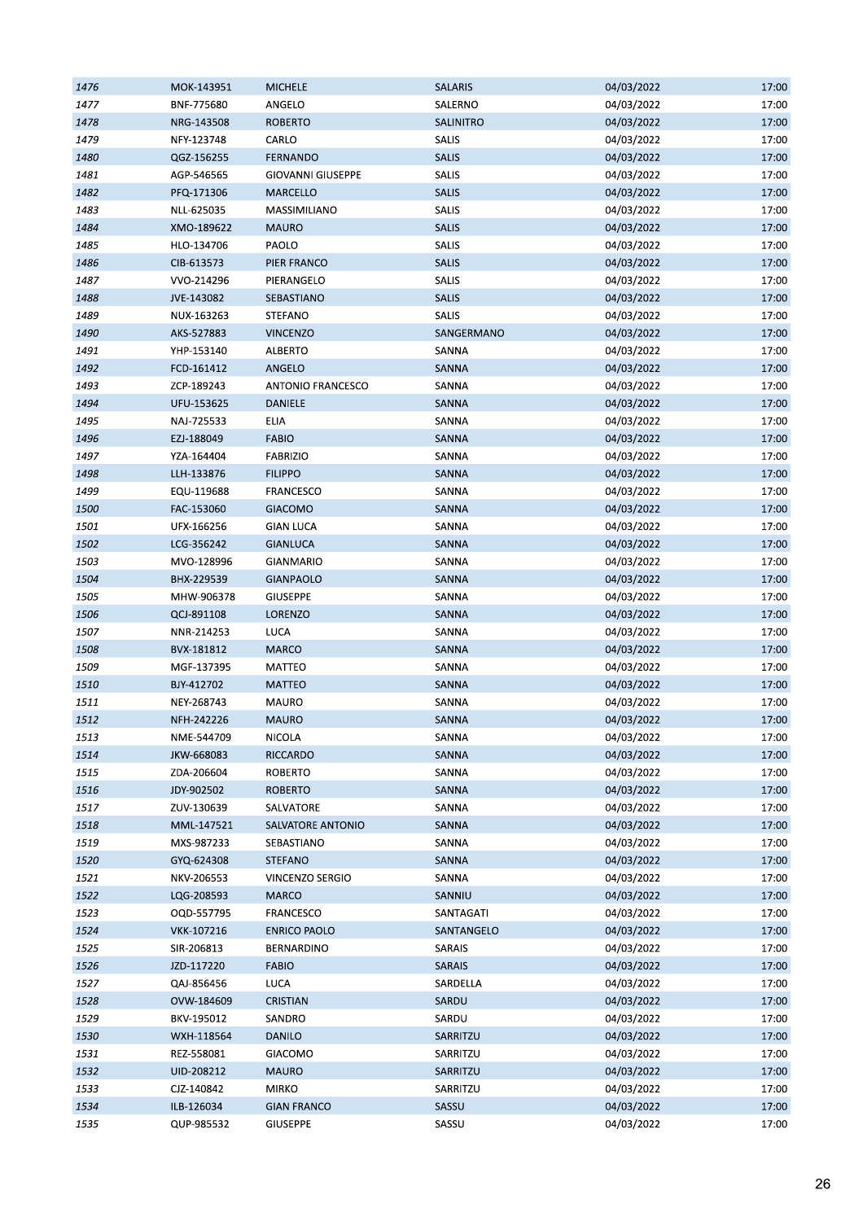| 1476 | MOK-143951 | <b>MICHELE</b>           | <b>SALARIS</b> | 04/03/2022               | 17:00 |
|------|------------|--------------------------|----------------|--------------------------|-------|
| 1477 | BNF-775680 | ANGELO                   | SALERNO        | 04/03/2022               | 17:00 |
| 1478 | NRG-143508 | <b>ROBERTO</b>           | SALINITRO      | 04/03/2022               | 17:00 |
| 1479 | NFY-123748 | CARLO                    | SALIS          | 04/03/2022               | 17:00 |
| 1480 | QGZ-156255 | FERNANDO                 | SALIS          | 04/03/2022               | 17:00 |
| 1481 | AGP-546565 | <b>GIOVANNI GIUSEPPE</b> | SALIS          | 04/03/2022               | 17:00 |
| 1482 | PFQ-171306 | MARCELLO                 | <b>SALIS</b>   | 04/03/2022               | 17:00 |
| 1483 | NLL-625035 | MASSIMILIANO             | SALIS          | 04/03/2022               | 17:00 |
| 1484 | XMO-189622 | <b>MAURO</b>             | <b>SALIS</b>   | 04/03/2022               | 17:00 |
| 1485 | HLO-134706 | PAOLO                    | SALIS          | 04/03/2022               | 17:00 |
| 1486 | CIB-613573 | PIER FRANCO              | SALIS          | 04/03/2022               | 17:00 |
| 1487 | VVO-214296 | PIERANGELO               | SALIS          | 04/03/2022               | 17:00 |
| 1488 | JVE-143082 | SEBASTIANO               | SALIS          | 04/03/2022               | 17:00 |
| 1489 | NUX-163263 | <b>STEFANO</b>           | SALIS          | 04/03/2022               | 17:00 |
| 1490 | AKS-527883 | <b>VINCENZO</b>          | SANGERMANO     | 04/03/2022               | 17:00 |
|      |            |                          |                |                          |       |
| 1491 | YHP-153140 | <b>ALBERTO</b>           | SANNA<br>SANNA | 04/03/2022<br>04/03/2022 | 17:00 |
| 1492 | FCD-161412 | ANGELO                   |                |                          | 17:00 |
| 1493 | ZCP-189243 | <b>ANTONIO FRANCESCO</b> | SANNA          | 04/03/2022               | 17:00 |
| 1494 | UFU-153625 | DANIELE                  | SANNA          | 04/03/2022               | 17:00 |
| 1495 | NAJ-725533 | <b>ELIA</b>              | SANNA          | 04/03/2022               | 17:00 |
| 1496 | EZJ-188049 | <b>FABIO</b>             | SANNA          | 04/03/2022               | 17:00 |
| 1497 | YZA-164404 | <b>FABRIZIO</b>          | SANNA          | 04/03/2022               | 17:00 |
| 1498 | LLH-133876 | <b>FILIPPO</b>           | SANNA          | 04/03/2022               | 17:00 |
| 1499 | EQU-119688 | FRANCESCO                | SANNA          | 04/03/2022               | 17:00 |
| 1500 | FAC-153060 | <b>GIACOMO</b>           | SANNA          | 04/03/2022               | 17:00 |
| 1501 | UFX-166256 | <b>GIAN LUCA</b>         | SANNA          | 04/03/2022               | 17:00 |
| 1502 | LCG-356242 | <b>GIANLUCA</b>          | SANNA          | 04/03/2022               | 17:00 |
| 1503 | MVO-128996 | GIANMARIO                | SANNA          | 04/03/2022               | 17:00 |
| 1504 | BHX-229539 | <b>GIANPAOLO</b>         | SANNA          | 04/03/2022               | 17:00 |
| 1505 | MHW-906378 | GIUSEPPE                 | SANNA          | 04/03/2022               | 17:00 |
| 1506 | QCJ-891108 | LORENZO                  | SANNA          | 04/03/2022               | 17:00 |
| 1507 | NNR-214253 | LUCA                     | SANNA          | 04/03/2022               | 17:00 |
| 1508 | BVX-181812 | <b>MARCO</b>             | SANNA          | 04/03/2022               | 17:00 |
| 1509 | MGF-137395 | MATTEO                   | SANNA          | 04/03/2022               | 17:00 |
| 1510 | BJY-412702 | <b>MATTEO</b>            | SANNA          | 04/03/2022               | 17:00 |
| 1511 | NEY-268743 | <b>MAURO</b>             | SANNA          | 04/03/2022               | 17:00 |
| 1512 | NFH-242226 | <b>MAURO</b>             | SANNA          | 04/03/2022               | 17:00 |
| 1513 | NME-544709 | NICOLA                   | SANNA          | 04/03/2022               | 17:00 |
| 1514 | JKW-668083 | <b>RICCARDO</b>          | SANNA          | 04/03/2022               | 17:00 |
| 1515 | ZDA-206604 | <b>ROBERTO</b>           | SANNA          | 04/03/2022               | 17:00 |
| 1516 | JDY-902502 | <b>ROBERTO</b>           | SANNA          | 04/03/2022               | 17:00 |
| 1517 | ZUV-130639 | SALVATORE                | SANNA          | 04/03/2022               | 17:00 |
| 1518 | MML-147521 | SALVATORE ANTONIO        | SANNA          | 04/03/2022               | 17:00 |
| 1519 | MXS-987233 | SEBASTIANO               | SANNA          | 04/03/2022               | 17:00 |
| 1520 | GYQ-624308 | <b>STEFANO</b>           | SANNA          | 04/03/2022               | 17:00 |
|      |            | <b>VINCENZO SERGIO</b>   |                |                          |       |
| 1521 | NKV-206553 |                          | SANNA          | 04/03/2022               | 17:00 |
| 1522 | LQG-208593 | <b>MARCO</b>             | SANNIU         | 04/03/2022               | 17:00 |
| 1523 | OQD-557795 | FRANCESCO                | SANTAGATI      | 04/03/2022               | 17:00 |
| 1524 | VKK-107216 | <b>ENRICO PAOLO</b>      | SANTANGELO     | 04/03/2022               | 17:00 |
| 1525 | SIR-206813 | BERNARDINO               | SARAIS         | 04/03/2022               | 17:00 |
| 1526 | JZD-117220 | <b>FABIO</b>             | <b>SARAIS</b>  | 04/03/2022               | 17:00 |
| 1527 | QAJ-856456 | LUCA                     | SARDELLA       | 04/03/2022               | 17:00 |
| 1528 | OVW-184609 | <b>CRISTIAN</b>          | SARDU          | 04/03/2022               | 17:00 |
| 1529 | BKV-195012 | SANDRO                   | SARDU          | 04/03/2022               | 17:00 |
| 1530 | WXH-118564 | DANILO                   | SARRITZU       | 04/03/2022               | 17:00 |
| 1531 | REZ-558081 | GIACOMO                  | SARRITZU       | 04/03/2022               | 17:00 |
| 1532 | UID-208212 | <b>MAURO</b>             | SARRITZU       | 04/03/2022               | 17:00 |
| 1533 | CJZ-140842 | <b>MIRKO</b>             | SARRITZU       | 04/03/2022               | 17:00 |
| 1534 | ILB-126034 | <b>GIAN FRANCO</b>       | SASSU          | 04/03/2022               | 17:00 |
| 1535 | QUP-985532 | GIUSEPPE                 | SASSU          | 04/03/2022               | 17:00 |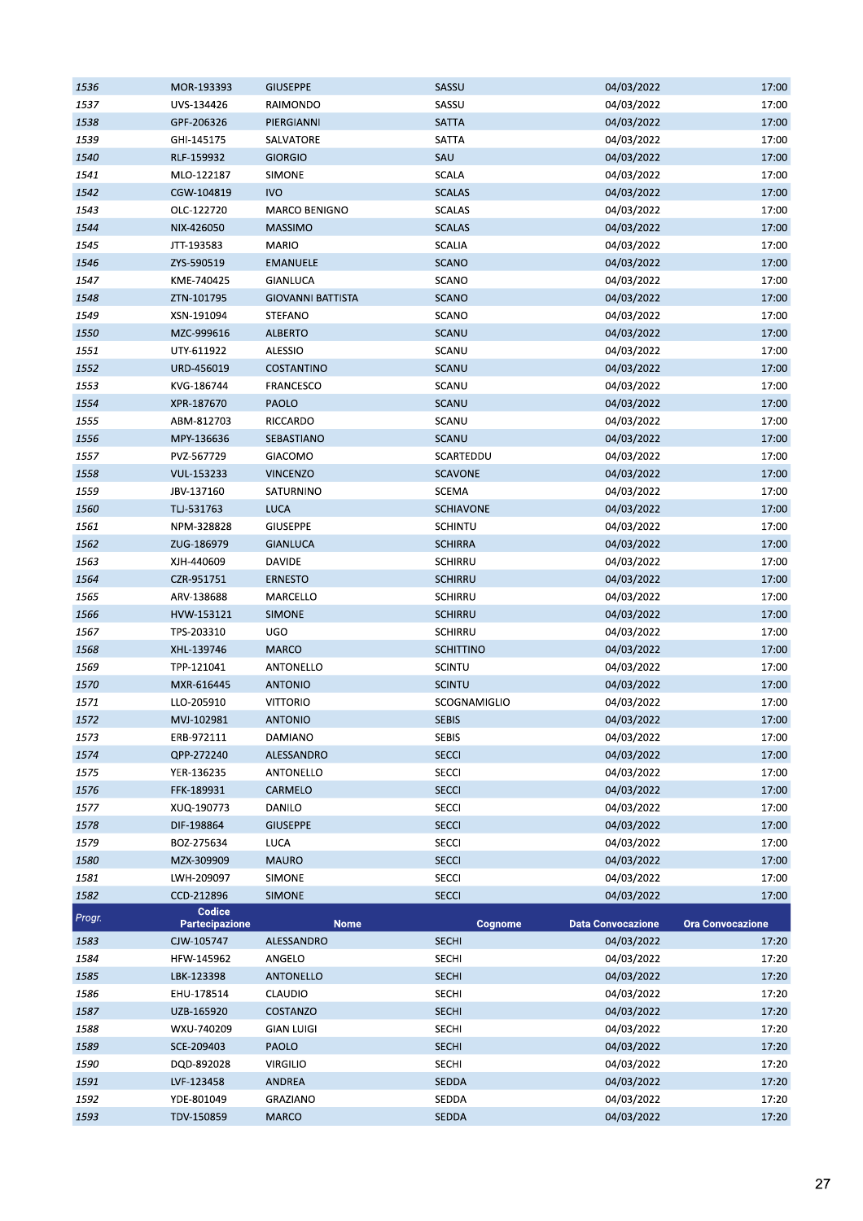| 1536   | MOR-193393                      | <b>GIUSEPPE</b>          | SASSU            | 04/03/2022               | 17:00                   |
|--------|---------------------------------|--------------------------|------------------|--------------------------|-------------------------|
| 1537   | UVS-134426                      | RAIMONDO                 | SASSU            | 04/03/2022               | 17:00                   |
| 1538   | GPF-206326                      | PIERGIANNI               | <b>SATTA</b>     | 04/03/2022               | 17:00                   |
| 1539   | GHI-145175                      | SALVATORE                | SATTA            | 04/03/2022               | 17:00                   |
| 1540   | RLF-159932                      | <b>GIORGIO</b>           | SAU              | 04/03/2022               | 17:00                   |
| 1541   | MLO-122187                      | <b>SIMONE</b>            | SCALA            | 04/03/2022               | 17:00                   |
| 1542   | CGW-104819                      | <b>IVO</b>               | <b>SCALAS</b>    | 04/03/2022               | 17:00                   |
| 1543   | OLC-122720                      | MARCO BENIGNO            | <b>SCALAS</b>    | 04/03/2022               | 17:00                   |
| 1544   | NIX-426050                      | <b>MASSIMO</b>           | <b>SCALAS</b>    | 04/03/2022               | 17:00                   |
| 1545   | JTT-193583                      | <b>MARIO</b>             | <b>SCALIA</b>    | 04/03/2022               | 17:00                   |
| 1546   | ZYS-590519                      | <b>EMANUELE</b>          | <b>SCANO</b>     | 04/03/2022               | 17:00                   |
| 1547   | KME-740425                      | GIANLUCA                 | SCANO            | 04/03/2022               | 17:00                   |
| 1548   | ZTN-101795                      | <b>GIOVANNI BATTISTA</b> | <b>SCANO</b>     | 04/03/2022               | 17:00                   |
| 1549   |                                 | STEFANO                  | SCANO            | 04/03/2022               | 17:00                   |
|        | XSN-191094                      |                          |                  |                          |                         |
| 1550   | MZC-999616                      | <b>ALBERTO</b>           | <b>SCANU</b>     | 04/03/2022               | 17:00                   |
| 1551   | UTY-611922                      | ALESSIO                  | SCANU            | 04/03/2022               | 17:00                   |
| 1552   | URD-456019                      | COSTANTINO               | <b>SCANU</b>     | 04/03/2022               | 17:00                   |
| 1553   | KVG-186744                      | FRANCESCO                | SCANU            | 04/03/2022               | 17:00                   |
| 1554   | XPR-187670                      | PAOLO                    | <b>SCANU</b>     | 04/03/2022               | 17:00                   |
| 1555   | ABM-812703                      | RICCARDO                 | SCANU            | 04/03/2022               | 17:00                   |
| 1556   | MPY-136636                      | SEBASTIANO               | <b>SCANU</b>     | 04/03/2022               | 17:00                   |
| 1557   | PVZ-567729                      | GIACOMO                  | SCARTEDDU        | 04/03/2022               | 17:00                   |
| 1558   | VUL-153233                      | <b>VINCENZO</b>          | <b>SCAVONE</b>   | 04/03/2022               | 17:00                   |
| 1559   | JBV-137160                      | SATURNINO                | SCEMA            | 04/03/2022               | 17:00                   |
| 1560   | TLJ-531763                      | LUCA                     | <b>SCHIAVONE</b> | 04/03/2022               | 17:00                   |
| 1561   | NPM-328828                      | <b>GIUSEPPE</b>          | <b>SCHINTU</b>   | 04/03/2022               | 17:00                   |
| 1562   | ZUG-186979                      | <b>GIANLUCA</b>          | <b>SCHIRRA</b>   | 04/03/2022               | 17:00                   |
| 1563   | XJH-440609                      | DAVIDE                   | <b>SCHIRRU</b>   | 04/03/2022               | 17:00                   |
| 1564   | CZR-951751                      | <b>ERNESTO</b>           | SCHIRRU          | 04/03/2022               | 17:00                   |
| 1565   | ARV-138688                      | MARCELLO                 | SCHIRRU          | 04/03/2022               | 17:00                   |
| 1566   | HVW-153121                      | <b>SIMONE</b>            | <b>SCHIRRU</b>   | 04/03/2022               | 17:00                   |
| 1567   | TPS-203310                      | UGO                      | SCHIRRU          | 04/03/2022               | 17:00                   |
| 1568   | XHL-139746                      | <b>MARCO</b>             | <b>SCHITTINO</b> | 04/03/2022               | 17:00                   |
| 1569   | TPP-121041                      | ANTONELLO                | <b>SCINTU</b>    | 04/03/2022               | 17:00                   |
| 1570   | MXR-616445                      | <b>ANTONIO</b>           | <b>SCINTU</b>    | 04/03/2022               | 17:00                   |
| 1571   | LLO-205910                      | <b>VITTORIO</b>          | SCOGNAMIGLIO     | 04/03/2022               | 17:00                   |
| 1572   | MVJ-102981                      | <b>ANTONIO</b>           | <b>SEBIS</b>     | 04/03/2022               | 17:00                   |
| 1573   | ERB-972111                      | DAMIANO                  | <b>SEBIS</b>     | 04/03/2022               | 17:00                   |
| 1574   | QPP-272240                      | ALESSANDRO               | <b>SECCI</b>     | 04/03/2022               | 17:00                   |
| 1575   | YER-136235                      | ANTONELLO                | SECCI            | 04/03/2022               | 17:00                   |
|        | FFK-189931                      | CARMELO                  | <b>SECCI</b>     | 04/03/2022               | 17:00                   |
| 1576   |                                 |                          |                  |                          |                         |
| 1577   | XUQ-190773                      | DANILO                   | <b>SECCI</b>     | 04/03/2022               | 17:00                   |
| 1578   | DIF-198864                      | <b>GIUSEPPE</b>          | <b>SECCI</b>     | 04/03/2022               | 17:00                   |
| 1579   | BOZ-275634                      | <b>LUCA</b>              | <b>SECCI</b>     | 04/03/2022               | 17:00                   |
| 1580   | MZX-309909                      | <b>MAURO</b>             | <b>SECCI</b>     | 04/03/2022               | 17:00                   |
| 1581   | LWH-209097                      | SIMONE                   | SECCI            | 04/03/2022               | 17:00                   |
| 1582   | CCD-212896                      | <b>SIMONE</b>            | <b>SECCI</b>     | 04/03/2022               | 17:00                   |
| Progr. | Codice<br><b>Partecipazione</b> | <b>Nome</b>              | Cognome          | <b>Data Convocazione</b> | <b>Ora Convocazione</b> |
| 1583   | CJW-105747                      | ALESSANDRO               | <b>SECHI</b>     | 04/03/2022               | 17:20                   |
| 1584   | HFW-145962                      | ANGELO                   | <b>SECHI</b>     | 04/03/2022               | 17:20                   |
| 1585   | LBK-123398                      | ANTONELLO                | <b>SECHI</b>     | 04/03/2022               | 17:20                   |
| 1586   | EHU-178514                      | CLAUDIO                  | <b>SECHI</b>     | 04/03/2022               | 17:20                   |
| 1587   | UZB-165920                      | COSTANZO                 | <b>SECHI</b>     | 04/03/2022               | 17:20                   |
| 1588   | WXU-740209                      | <b>GIAN LUIGI</b>        | <b>SECHI</b>     | 04/03/2022               | 17:20                   |
| 1589   | SCE-209403                      | PAOLO                    | <b>SECHI</b>     | 04/03/2022               | 17:20                   |
| 1590   | DQD-892028                      | <b>VIRGILIO</b>          | <b>SECHI</b>     | 04/03/2022               | 17:20                   |
| 1591   | LVF-123458                      | ANDREA                   | <b>SEDDA</b>     | 04/03/2022               | 17:20                   |
| 1592   | YDE-801049                      | GRAZIANO                 | SEDDA            | 04/03/2022               | 17:20                   |
| 1593   | TDV-150859                      | <b>MARCO</b>             | <b>SEDDA</b>     | 04/03/2022               | 17:20                   |
|        |                                 |                          |                  |                          |                         |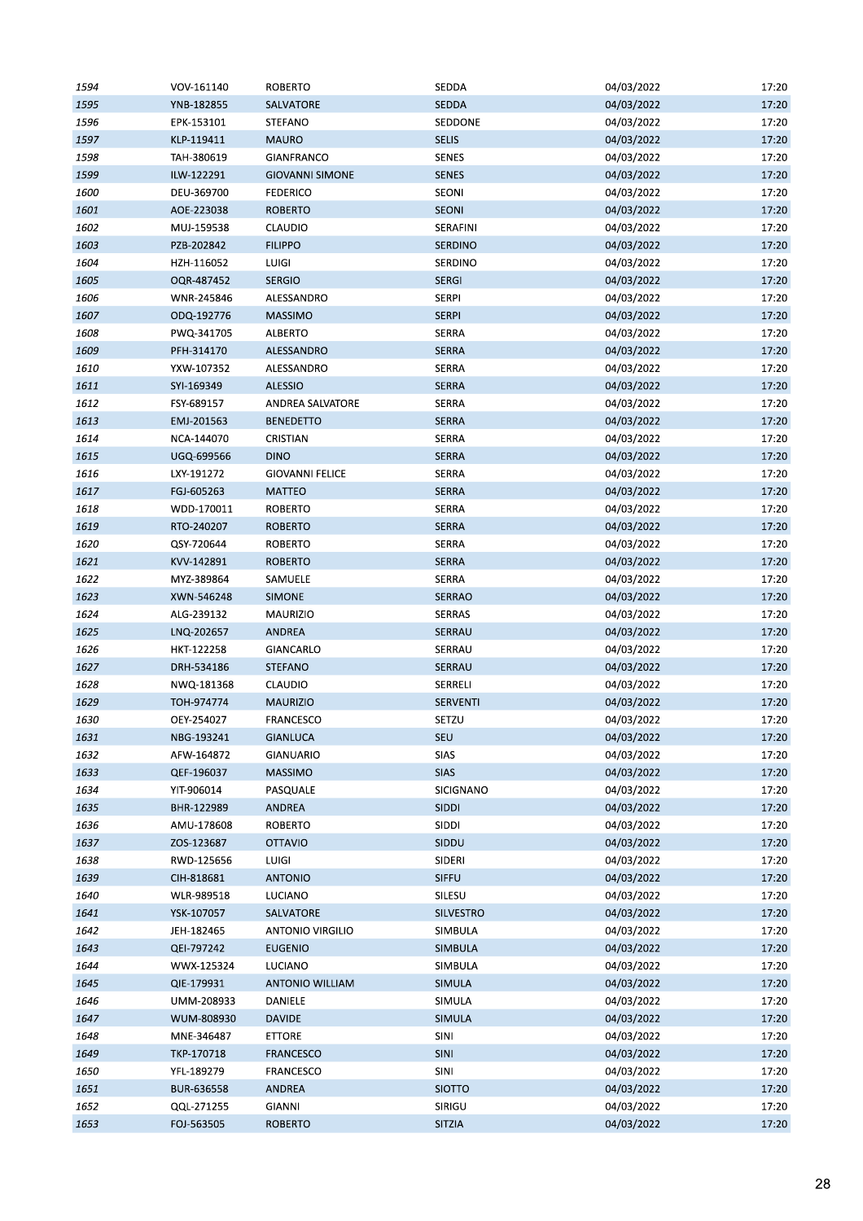| 1594 | VOV-161140 | <b>ROBERTO</b>          | SEDDA            | 04/03/2022 | 17:20 |
|------|------------|-------------------------|------------------|------------|-------|
| 1595 | YNB-182855 | SALVATORE               | <b>SEDDA</b>     | 04/03/2022 | 17:20 |
| 1596 | EPK-153101 | STEFANO                 | SEDDONE          | 04/03/2022 | 17:20 |
| 1597 | KLP-119411 | <b>MAURO</b>            | <b>SELIS</b>     | 04/03/2022 | 17:20 |
| 1598 | TAH-380619 | GIANFRANCO              | SENES            | 04/03/2022 | 17:20 |
| 1599 | ILW-122291 | <b>GIOVANNI SIMONE</b>  | <b>SENES</b>     | 04/03/2022 | 17:20 |
| 1600 | DEU-369700 | <b>FEDERICO</b>         | SEONI            | 04/03/2022 | 17:20 |
| 1601 | AOE-223038 | <b>ROBERTO</b>          | SEONI            | 04/03/2022 | 17:20 |
| 1602 | MUJ-159538 | CLAUDIO                 | SERAFINI         | 04/03/2022 | 17:20 |
| 1603 | PZB-202842 | <b>FILIPPO</b>          | <b>SERDINO</b>   | 04/03/2022 | 17:20 |
| 1604 | HZH-116052 | LUIGI                   | SERDINO          | 04/03/2022 | 17:20 |
| 1605 | OQR-487452 | <b>SERGIO</b>           | <b>SERGI</b>     | 04/03/2022 | 17:20 |
| 1606 | WNR-245846 | ALESSANDRO              | <b>SERPI</b>     | 04/03/2022 | 17:20 |
| 1607 | ODQ-192776 | <b>MASSIMO</b>          | SERPI            | 04/03/2022 | 17:20 |
| 1608 | PWQ-341705 | <b>ALBERTO</b>          | <b>SERRA</b>     | 04/03/2022 | 17:20 |
| 1609 | PFH-314170 | ALESSANDRO              | <b>SERRA</b>     | 04/03/2022 | 17:20 |
| 1610 | YXW-107352 | ALESSANDRO              | <b>SERRA</b>     | 04/03/2022 | 17:20 |
|      |            |                         | <b>SERRA</b>     |            |       |
| 1611 | SYI-169349 | <b>ALESSIO</b>          |                  | 04/03/2022 | 17:20 |
| 1612 | FSY-689157 | ANDREA SALVATORE        | <b>SERRA</b>     | 04/03/2022 | 17:20 |
| 1613 | EMJ-201563 | <b>BENEDETTO</b>        | <b>SERRA</b>     | 04/03/2022 | 17:20 |
| 1614 | NCA-144070 | CRISTIAN                | <b>SERRA</b>     | 04/03/2022 | 17:20 |
| 1615 | UGQ-699566 | <b>DINO</b>             | <b>SERRA</b>     | 04/03/2022 | 17:20 |
| 1616 | LXY-191272 | <b>GIOVANNI FELICE</b>  | SERRA            | 04/03/2022 | 17:20 |
| 1617 | FGJ-605263 | <b>MATTEO</b>           | <b>SERRA</b>     | 04/03/2022 | 17:20 |
| 1618 | WDD-170011 | <b>ROBERTO</b>          | <b>SERRA</b>     | 04/03/2022 | 17:20 |
| 1619 | RTO-240207 | <b>ROBERTO</b>          | <b>SERRA</b>     | 04/03/2022 | 17:20 |
| 1620 | QSY-720644 | ROBERTO                 | SERRA            | 04/03/2022 | 17:20 |
| 1621 | KVV-142891 | <b>ROBERTO</b>          | <b>SERRA</b>     | 04/03/2022 | 17:20 |
| 1622 | MYZ-389864 | SAMUELE                 | <b>SERRA</b>     | 04/03/2022 | 17:20 |
| 1623 | XWN-546248 | <b>SIMONE</b>           | <b>SERRAO</b>    | 04/03/2022 | 17:20 |
| 1624 | ALG-239132 | <b>MAURIZIO</b>         | <b>SERRAS</b>    | 04/03/2022 | 17:20 |
| 1625 | LNQ-202657 | <b>ANDREA</b>           | SERRAU           | 04/03/2022 | 17:20 |
| 1626 | HKT-122258 | GIANCARLO               | SERRAU           | 04/03/2022 | 17:20 |
| 1627 | DRH-534186 | <b>STEFANO</b>          | SERRAU           | 04/03/2022 | 17:20 |
| 1628 | NWQ-181368 | CLAUDIO                 | SERRELI          | 04/03/2022 | 17:20 |
| 1629 | TOH-974774 | <b>MAURIZIO</b>         | SERVENTI         | 04/03/2022 | 17:20 |
| 1630 | OEY-254027 | <b>FRANCESCO</b>        | SETZU            | 04/03/2022 | 17:20 |
| 1631 | NBG-193241 | <b>GIANLUCA</b>         | SEU              | 04/03/2022 | 17:20 |
| 1632 | AFW-164872 | GIANUARIO               | SIAS             | 04/03/2022 | 17:20 |
| 1633 | QEF-196037 | <b>MASSIMO</b>          | <b>SIAS</b>      | 04/03/2022 | 17:20 |
| 1634 | YIT-906014 | PASQUALE                | SICIGNANO        | 04/03/2022 | 17:20 |
| 1635 | BHR-122989 | ANDREA                  | <b>SIDDI</b>     | 04/03/2022 | 17:20 |
| 1636 | AMU-178608 | <b>ROBERTO</b>          | <b>SIDDI</b>     | 04/03/2022 | 17:20 |
| 1637 | ZOS-123687 | <b>OTTAVIO</b>          | SIDDU            | 04/03/2022 | 17:20 |
| 1638 | RWD-125656 | LUIGI                   | SIDERI           | 04/03/2022 | 17:20 |
| 1639 | CIH-818681 | <b>ANTONIO</b>          | <b>SIFFU</b>     | 04/03/2022 | 17:20 |
| 1640 | WLR-989518 | LUCIANO                 | SILESU           | 04/03/2022 | 17:20 |
| 1641 | YSK-107057 | SALVATORE               | <b>SILVESTRO</b> | 04/03/2022 | 17:20 |
| 1642 | JEH-182465 | <b>ANTONIO VIRGILIO</b> | SIMBULA          | 04/03/2022 | 17:20 |
| 1643 | QEI-797242 | <b>EUGENIO</b>          | SIMBULA          | 04/03/2022 | 17:20 |
| 1644 | WWX-125324 | LUCIANO                 | SIMBULA          | 04/03/2022 | 17:20 |
| 1645 | QIE-179931 | <b>ANTONIO WILLIAM</b>  | <b>SIMULA</b>    | 04/03/2022 | 17:20 |
| 1646 | UMM-208933 | DANIELE                 | SIMULA           | 04/03/2022 | 17:20 |
|      |            |                         |                  |            |       |
| 1647 | WUM-808930 | <b>DAVIDE</b>           | SIMULA           | 04/03/2022 | 17:20 |
| 1648 | MNE-346487 | <b>ETTORE</b>           | SINI             | 04/03/2022 | 17:20 |
| 1649 | TKP-170718 | <b>FRANCESCO</b>        | SINI             | 04/03/2022 | 17:20 |
| 1650 | YFL-189279 | <b>FRANCESCO</b>        | SINI             | 04/03/2022 | 17:20 |
| 1651 | BUR-636558 | <b>ANDREA</b>           | <b>SIOTTO</b>    | 04/03/2022 | 17:20 |
| 1652 | QQL-271255 | GIANNI                  | SIRIGU           | 04/03/2022 | 17:20 |
| 1653 | FOJ-563505 | <b>ROBERTO</b>          | SITZIA           | 04/03/2022 | 17:20 |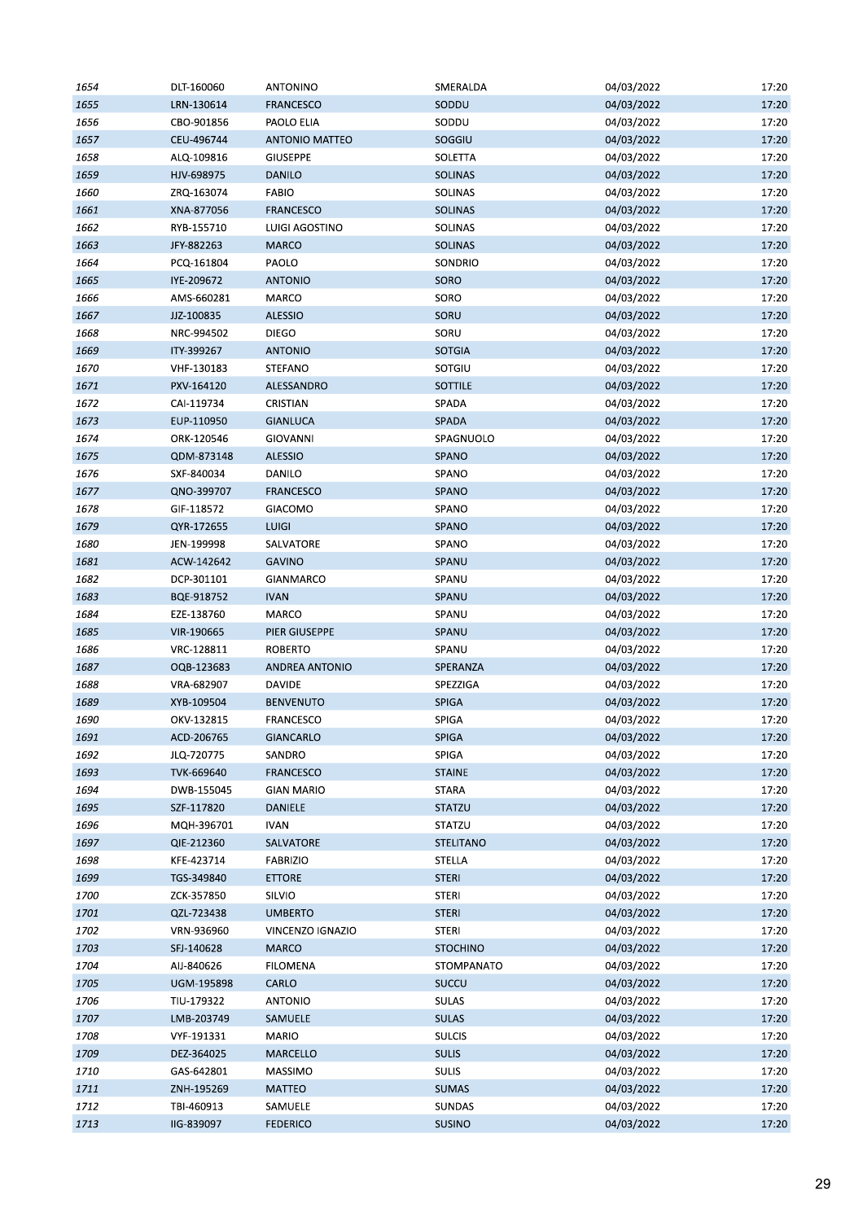| 1654 | DLT-160060 | <b>ANTONINO</b>       | SMERALDA         | 04/03/2022 | 17:20 |
|------|------------|-----------------------|------------------|------------|-------|
| 1655 | LRN-130614 | <b>FRANCESCO</b>      | SODDU            | 04/03/2022 | 17:20 |
| 1656 | CBO-901856 | PAOLO ELIA            | SODDU            | 04/03/2022 | 17:20 |
| 1657 | CEU-496744 | <b>ANTONIO MATTEO</b> | SOGGIU           | 04/03/2022 | 17:20 |
| 1658 | ALQ-109816 | <b>GIUSEPPE</b>       | SOLETTA          | 04/03/2022 | 17:20 |
| 1659 | HJV-698975 | DANILO                | <b>SOLINAS</b>   | 04/03/2022 | 17:20 |
| 1660 | ZRQ-163074 | <b>FABIO</b>          | <b>SOLINAS</b>   | 04/03/2022 | 17:20 |
| 1661 | XNA-877056 | <b>FRANCESCO</b>      | SOLINAS          | 04/03/2022 | 17:20 |
| 1662 | RYB-155710 | LUIGI AGOSTINO        | SOLINAS          | 04/03/2022 | 17:20 |
| 1663 | JFY-882263 | <b>MARCO</b>          | <b>SOLINAS</b>   | 04/03/2022 | 17:20 |
| 1664 | PCQ-161804 | PAOLO                 | SONDRIO          | 04/03/2022 | 17:20 |
| 1665 | IYE-209672 | <b>ANTONIO</b>        | SORO             | 04/03/2022 | 17:20 |
| 1666 | AMS-660281 | MARCO                 | SORO             | 04/03/2022 | 17:20 |
| 1667 | JJZ-100835 | <b>ALESSIO</b>        | SORU             | 04/03/2022 | 17:20 |
| 1668 |            | <b>DIEGO</b>          | SORU             |            | 17:20 |
|      | NRC-994502 |                       |                  | 04/03/2022 |       |
| 1669 | ITY-399267 | <b>ANTONIO</b>        | <b>SOTGIA</b>    | 04/03/2022 | 17:20 |
| 1670 | VHF-130183 | STEFANO               | SOTGIU           | 04/03/2022 | 17:20 |
| 1671 | PXV-164120 | ALESSANDRO            | SOTTILE          | 04/03/2022 | 17:20 |
| 1672 | CAI-119734 | CRISTIAN              | SPADA            | 04/03/2022 | 17:20 |
| 1673 | EUP-110950 | <b>GIANLUCA</b>       | <b>SPADA</b>     | 04/03/2022 | 17:20 |
| 1674 | ORK-120546 | <b>GIOVANNI</b>       | SPAGNUOLO        | 04/03/2022 | 17:20 |
| 1675 | QDM-873148 | <b>ALESSIO</b>        | <b>SPANO</b>     | 04/03/2022 | 17:20 |
| 1676 | SXF-840034 | DANILO                | SPANO            | 04/03/2022 | 17:20 |
| 1677 | QNO-399707 | <b>FRANCESCO</b>      | <b>SPANO</b>     | 04/03/2022 | 17:20 |
| 1678 | GIF-118572 | GIACOMO               | SPANO            | 04/03/2022 | 17:20 |
| 1679 | QYR-172655 | <b>LUIGI</b>          | SPANO            | 04/03/2022 | 17:20 |
| 1680 | JEN-199998 | SALVATORE             | SPANO            | 04/03/2022 | 17:20 |
| 1681 | ACW-142642 | <b>GAVINO</b>         | SPANU            | 04/03/2022 | 17:20 |
| 1682 | DCP-301101 | GIANMARCO             | SPANU            | 04/03/2022 | 17:20 |
| 1683 | BQE-918752 | <b>IVAN</b>           | SPANU            | 04/03/2022 | 17:20 |
| 1684 | EZE-138760 | MARCO                 | SPANU            | 04/03/2022 | 17:20 |
| 1685 | VIR-190665 | PIER GIUSEPPE         | SPANU            | 04/03/2022 | 17:20 |
| 1686 | VRC-128811 | <b>ROBERTO</b>        | SPANU            | 04/03/2022 | 17:20 |
| 1687 | OQB-123683 | <b>ANDREA ANTONIO</b> | SPERANZA         | 04/03/2022 | 17:20 |
| 1688 | VRA-682907 | <b>DAVIDE</b>         | SPEZZIGA         | 04/03/2022 | 17:20 |
| 1689 | XYB-109504 | <b>BENVENUTO</b>      | <b>SPIGA</b>     | 04/03/2022 | 17:20 |
| 1690 | OKV-132815 | <b>FRANCESCO</b>      | SPIGA            | 04/03/2022 | 17:20 |
| 1691 | ACD-206765 | <b>GIANCARLO</b>      | <b>SPIGA</b>     | 04/03/2022 | 17:20 |
| 1692 | JLQ-720775 | SANDRO                | SPIGA            | 04/03/2022 | 17:20 |
| 1693 | TVK-669640 | FRANCESCO             | <b>STAINE</b>    | 04/03/2022 | 17:20 |
| 1694 | DWB-155045 | <b>GIAN MARIO</b>     | <b>STARA</b>     | 04/03/2022 | 17:20 |
| 1695 |            |                       | <b>STATZU</b>    | 04/03/2022 | 17:20 |
|      | SZF-117820 | DANIELE               |                  |            |       |
| 1696 | MQH-396701 | <b>IVAN</b>           | STATZU           | 04/03/2022 | 17:20 |
| 1697 | QIE-212360 | SALVATORE             | <b>STELITANO</b> | 04/03/2022 | 17:20 |
| 1698 | KFE-423714 | <b>FABRIZIO</b>       | STELLA           | 04/03/2022 | 17:20 |
| 1699 | TGS-349840 | <b>ETTORE</b>         | <b>STERI</b>     | 04/03/2022 | 17:20 |
| 1700 | ZCK-357850 | SILVIO                | <b>STERI</b>     | 04/03/2022 | 17:20 |
| 1701 | QZL-723438 | <b>UMBERTO</b>        | <b>STERI</b>     | 04/03/2022 | 17:20 |
| 1702 | VRN-936960 | VINCENZO IGNAZIO      | <b>STERI</b>     | 04/03/2022 | 17:20 |
| 1703 | SFJ-140628 | <b>MARCO</b>          | <b>STOCHINO</b>  | 04/03/2022 | 17:20 |
| 1704 | AIJ-840626 | <b>FILOMENA</b>       | STOMPANATO       | 04/03/2022 | 17:20 |
| 1705 | UGM-195898 | CARLO                 | <b>SUCCU</b>     | 04/03/2022 | 17:20 |
| 1706 | TIU-179322 | <b>ANTONIO</b>        | <b>SULAS</b>     | 04/03/2022 | 17:20 |
| 1707 | LMB-203749 | SAMUELE               | <b>SULAS</b>     | 04/03/2022 | 17:20 |
| 1708 | VYF-191331 | <b>MARIO</b>          | <b>SULCIS</b>    | 04/03/2022 | 17:20 |
| 1709 | DEZ-364025 | MARCELLO              | <b>SULIS</b>     | 04/03/2022 | 17:20 |
| 1710 | GAS-642801 | MASSIMO               | <b>SULIS</b>     | 04/03/2022 | 17:20 |
| 1711 | ZNH-195269 | MATTEO                | <b>SUMAS</b>     | 04/03/2022 | 17:20 |
| 1712 | TBI-460913 | SAMUELE               | <b>SUNDAS</b>    | 04/03/2022 | 17:20 |
| 1713 | IIG-839097 | <b>FEDERICO</b>       | <b>SUSINO</b>    | 04/03/2022 | 17:20 |
|      |            |                       |                  |            |       |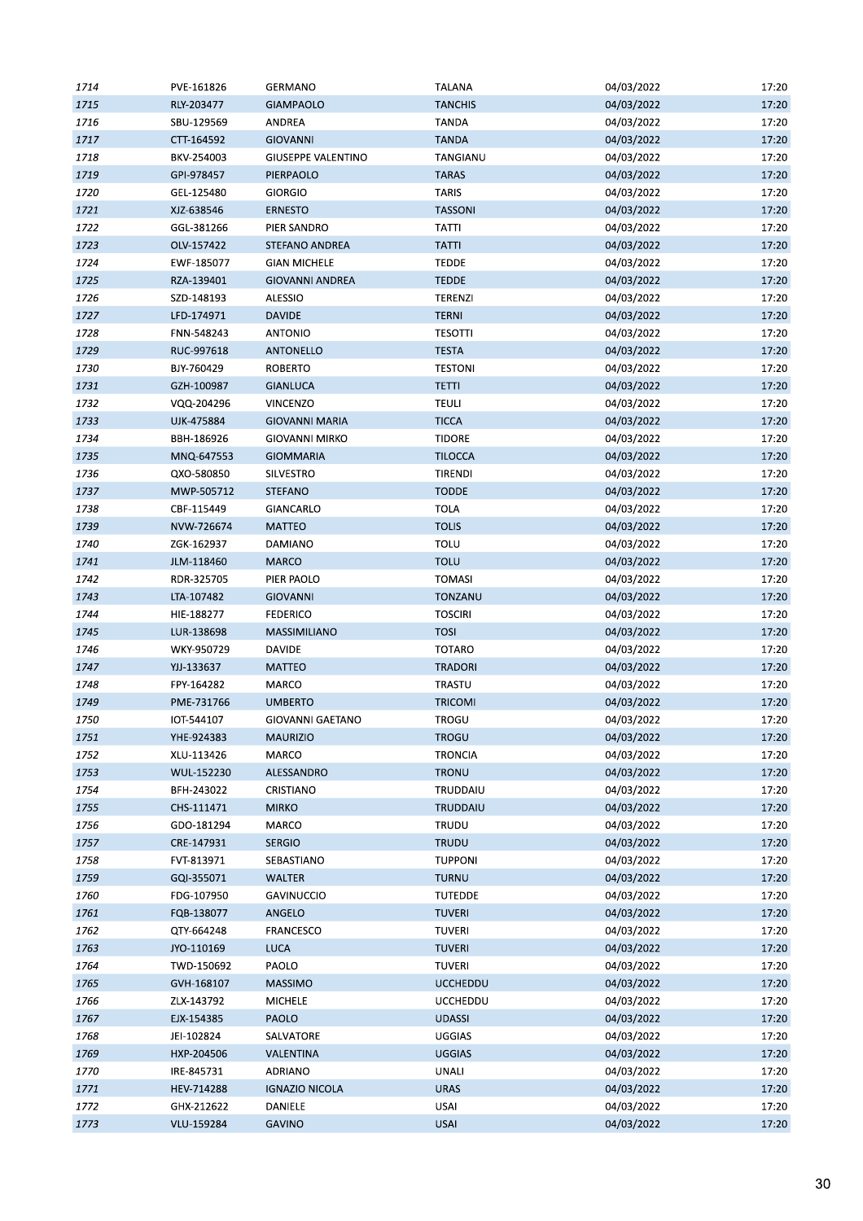| 1714 | PVE-161826 | <b>GERMANO</b>            | <b>TALANA</b>   | 04/03/2022 | 17:20 |
|------|------------|---------------------------|-----------------|------------|-------|
| 1715 | RLY-203477 | <b>GIAMPAOLO</b>          | <b>TANCHIS</b>  | 04/03/2022 | 17:20 |
| 1716 | SBU-129569 | ANDREA                    | <b>TANDA</b>    | 04/03/2022 | 17:20 |
| 1717 | CTT-164592 | <b>GIOVANNI</b>           | <b>TANDA</b>    | 04/03/2022 | 17:20 |
| 1718 | BKV-254003 | <b>GIUSEPPE VALENTINO</b> | TANGIANU        | 04/03/2022 | 17:20 |
| 1719 | GPI-978457 | PIERPAOLO                 | <b>TARAS</b>    | 04/03/2022 | 17:20 |
| 1720 | GEL-125480 | <b>GIORGIO</b>            | <b>TARIS</b>    | 04/03/2022 | 17:20 |
| 1721 | XJZ-638546 | <b>ERNESTO</b>            | <b>TASSONI</b>  | 04/03/2022 | 17:20 |
| 1722 | GGL-381266 | PIER SANDRO               | TATTI           | 04/03/2022 | 17:20 |
| 1723 | OLV-157422 | <b>STEFANO ANDREA</b>     | <b>TATTI</b>    | 04/03/2022 | 17:20 |
| 1724 | EWF-185077 | <b>GIAN MICHELE</b>       | <b>TEDDE</b>    | 04/03/2022 | 17:20 |
| 1725 | RZA-139401 | <b>GIOVANNI ANDREA</b>    | <b>TEDDE</b>    | 04/03/2022 | 17:20 |
| 1726 | SZD-148193 | ALESSIO                   | <b>TERENZI</b>  | 04/03/2022 | 17:20 |
| 1727 | LFD-174971 | <b>DAVIDE</b>             | <b>TERNI</b>    | 04/03/2022 | 17:20 |
| 1728 | FNN-548243 | <b>ANTONIO</b>            | <b>TESOTTI</b>  | 04/03/2022 | 17:20 |
| 1729 | RUC-997618 | ANTONELLO                 | <b>TESTA</b>    | 04/03/2022 | 17:20 |
| 1730 | BJY-760429 | <b>ROBERTO</b>            | <b>TESTONI</b>  | 04/03/2022 | 17:20 |
| 1731 | GZH-100987 | <b>GIANLUCA</b>           | <b>TETTI</b>    | 04/03/2022 | 17:20 |
| 1732 | VQQ-204296 |                           | <b>TEULI</b>    |            | 17:20 |
|      |            | <b>VINCENZO</b>           |                 | 04/03/2022 |       |
| 1733 | UJK-475884 | <b>GIOVANNI MARIA</b>     | <b>TICCA</b>    | 04/03/2022 | 17:20 |
| 1734 | BBH-186926 | <b>GIOVANNI MIRKO</b>     | <b>TIDORE</b>   | 04/03/2022 | 17:20 |
| 1735 | MNQ-647553 | <b>GIOMMARIA</b>          | <b>TILOCCA</b>  | 04/03/2022 | 17:20 |
| 1736 | QXO-580850 | SILVESTRO                 | TIRENDI         | 04/03/2022 | 17:20 |
| 1737 | MWP-505712 | <b>STEFANO</b>            | <b>TODDE</b>    | 04/03/2022 | 17:20 |
| 1738 | CBF-115449 | GIANCARLO                 | <b>TOLA</b>     | 04/03/2022 | 17:20 |
| 1739 | NVW-726674 | <b>MATTEO</b>             | <b>TOLIS</b>    | 04/03/2022 | 17:20 |
| 1740 | ZGK-162937 | DAMIANO                   | TOLU            | 04/03/2022 | 17:20 |
| 1741 | JLM-118460 | <b>MARCO</b>              | <b>TOLU</b>     | 04/03/2022 | 17:20 |
| 1742 | RDR-325705 | PIER PAOLO                | <b>TOMASI</b>   | 04/03/2022 | 17:20 |
| 1743 | LTA-107482 | <b>GIOVANNI</b>           | TONZANU         | 04/03/2022 | 17:20 |
| 1744 | HIE-188277 | <b>FEDERICO</b>           | <b>TOSCIRI</b>  | 04/03/2022 | 17:20 |
| 1745 | LUR-138698 | MASSIMILIANO              | <b>TOSI</b>     | 04/03/2022 | 17:20 |
| 1746 | WKY-950729 | <b>DAVIDE</b>             | <b>TOTARO</b>   | 04/03/2022 | 17:20 |
| 1747 | YJJ-133637 | <b>MATTEO</b>             | <b>TRADORI</b>  | 04/03/2022 | 17:20 |
| 1748 | FPY-164282 | MARCO                     | TRASTU          | 04/03/2022 | 17:20 |
| 1749 | PME-731766 | <b>UMBERTO</b>            | <b>TRICOMI</b>  | 04/03/2022 | 17:20 |
| 1750 | IOT-544107 | <b>GIOVANNI GAETANO</b>   | <b>TROGU</b>    | 04/03/2022 | 17:20 |
| 1751 | YHE-924383 | <b>MAURIZIO</b>           | <b>TROGU</b>    | 04/03/2022 | 17:20 |
| 1752 | XLU-113426 | <b>MARCO</b>              | <b>TRONCIA</b>  | 04/03/2022 | 17:20 |
| 1753 | WUL-152230 | ALESSANDRO                | <b>TRONU</b>    | 04/03/2022 | 17:20 |
| 1754 | BFH-243022 | CRISTIANO                 | TRUDDAIU        | 04/03/2022 | 17:20 |
| 1755 | CHS-111471 | <b>MIRKO</b>              | TRUDDAIU        | 04/03/2022 | 17:20 |
| 1756 | GDO-181294 | MARCO                     | TRUDU           | 04/03/2022 | 17:20 |
| 1757 | CRE-147931 | <b>SERGIO</b>             | <b>TRUDU</b>    | 04/03/2022 | 17:20 |
| 1758 | FVT-813971 | SEBASTIANO                | <b>TUPPONI</b>  | 04/03/2022 | 17:20 |
| 1759 | GQI-355071 | <b>WALTER</b>             | <b>TURNU</b>    | 04/03/2022 | 17:20 |
| 1760 | FDG-107950 | <b>GAVINUCCIO</b>         | <b>TUTEDDE</b>  | 04/03/2022 | 17:20 |
| 1761 | FQB-138077 | ANGELO                    | <b>TUVERI</b>   | 04/03/2022 | 17:20 |
| 1762 | QTY-664248 | FRANCESCO                 | <b>TUVERI</b>   | 04/03/2022 | 17:20 |
| 1763 | JYO-110169 | LUCA                      | <b>TUVERI</b>   | 04/03/2022 | 17:20 |
| 1764 | TWD-150692 | PAOLO                     | <b>TUVERI</b>   | 04/03/2022 | 17:20 |
| 1765 | GVH-168107 | <b>MASSIMO</b>            | <b>UCCHEDDU</b> | 04/03/2022 | 17:20 |
| 1766 | ZLX-143792 | <b>MICHELE</b>            | <b>UCCHEDDU</b> | 04/03/2022 | 17:20 |
| 1767 | EJX-154385 | PAOLO                     | <b>UDASSI</b>   | 04/03/2022 | 17:20 |
|      |            |                           | UGGIAS          | 04/03/2022 |       |
| 1768 | JEI-102824 | SALVATORE                 |                 |            | 17:20 |
| 1769 | HXP-204506 | VALENTINA                 | <b>UGGIAS</b>   | 04/03/2022 | 17:20 |
| 1770 | IRE-845731 | <b>ADRIANO</b>            | UNALI           | 04/03/2022 | 17:20 |
| 1771 | HEV-714288 | <b>IGNAZIO NICOLA</b>     | <b>URAS</b>     | 04/03/2022 | 17:20 |
| 1772 | GHX-212622 | DANIELE                   | USAI            | 04/03/2022 | 17:20 |
| 1773 | VLU-159284 | <b>GAVINO</b>             | <b>USAI</b>     | 04/03/2022 | 17:20 |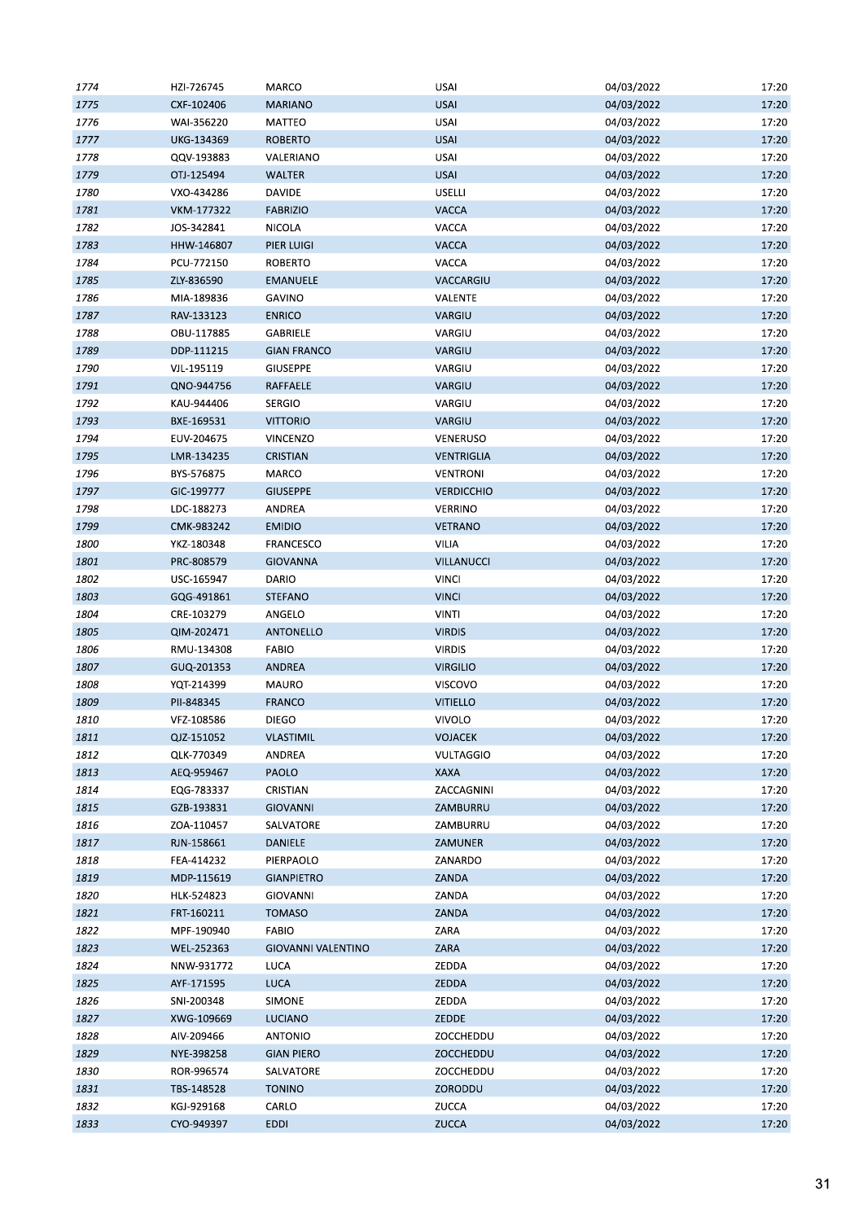| 1774 | HZI-726745        | MARCO                     | <b>USAI</b>       | 04/03/2022 | 17:20 |
|------|-------------------|---------------------------|-------------------|------------|-------|
| 1775 | CXF-102406        | <b>MARIANO</b>            | <b>USAI</b>       | 04/03/2022 | 17:20 |
| 1776 | WAI-356220        | MATTEO                    | <b>USAI</b>       | 04/03/2022 | 17:20 |
| 1777 | UKG-134369        | <b>ROBERTO</b>            | <b>USAI</b>       | 04/03/2022 | 17:20 |
| 1778 | QQV-193883        | VALERIANO                 | USAI              | 04/03/2022 | 17:20 |
| 1779 | OTJ-125494        | <b>WALTER</b>             | <b>USAI</b>       | 04/03/2022 | 17:20 |
| 1780 | VXO-434286        | DAVIDE                    | USELLI            | 04/03/2022 | 17:20 |
| 1781 | <b>VKM-177322</b> | <b>FABRIZIO</b>           | VACCA             | 04/03/2022 | 17:20 |
| 1782 | JOS-342841        | NICOLA                    | VACCA             | 04/03/2022 | 17:20 |
| 1783 | HHW-146807        | PIER LUIGI                | <b>VACCA</b>      | 04/03/2022 | 17:20 |
| 1784 | PCU-772150        | <b>ROBERTO</b>            | VACCA             | 04/03/2022 | 17:20 |
| 1785 | ZLY-836590        | <b>EMANUELE</b>           | VACCARGIU         | 04/03/2022 | 17:20 |
| 1786 | MIA-189836        | <b>GAVINO</b>             | VALENTE           | 04/03/2022 | 17:20 |
| 1787 | RAV-133123        | <b>ENRICO</b>             | VARGIU            | 04/03/2022 | 17:20 |
| 1788 |                   | GABRIELE                  | VARGIU            | 04/03/2022 | 17:20 |
|      | OBU-117885        |                           |                   |            |       |
| 1789 | DDP-111215        | <b>GIAN FRANCO</b>        | VARGIU            | 04/03/2022 | 17:20 |
| 1790 | VJL-195119        | <b>GIUSEPPE</b>           | VARGIU            | 04/03/2022 | 17:20 |
| 1791 | QNO-944756        | RAFFAELE                  | VARGIU            | 04/03/2022 | 17:20 |
| 1792 | KAU-944406        | <b>SERGIO</b>             | VARGIU            | 04/03/2022 | 17:20 |
| 1793 | BXE-169531        | <b>VITTORIO</b>           | VARGIU            | 04/03/2022 | 17:20 |
| 1794 | EUV-204675        | VINCENZO                  | VENERUSO          | 04/03/2022 | 17:20 |
| 1795 | LMR-134235        | <b>CRISTIAN</b>           | VENTRIGLIA        | 04/03/2022 | 17:20 |
| 1796 | BYS-576875        | MARCO                     | <b>VENTRONI</b>   | 04/03/2022 | 17:20 |
| 1797 | GIC-199777        | <b>GIUSEPPE</b>           | <b>VERDICCHIO</b> | 04/03/2022 | 17:20 |
| 1798 | LDC-188273        | ANDREA                    | VERRINO           | 04/03/2022 | 17:20 |
| 1799 | CMK-983242        | <b>EMIDIO</b>             | <b>VETRANO</b>    | 04/03/2022 | 17:20 |
| 1800 | YKZ-180348        | FRANCESCO                 | VILIA             | 04/03/2022 | 17:20 |
| 1801 | PRC-808579        | <b>GIOVANNA</b>           | <b>VILLANUCCI</b> | 04/03/2022 | 17:20 |
| 1802 | USC-165947        | DARIO                     | <b>VINCI</b>      | 04/03/2022 | 17:20 |
| 1803 | GQG-491861        | <b>STEFANO</b>            | <b>VINCI</b>      | 04/03/2022 | 17:20 |
| 1804 | CRE-103279        | ANGELO                    | <b>VINTI</b>      | 04/03/2022 | 17:20 |
| 1805 | QIM-202471        | ANTONELLO                 | <b>VIRDIS</b>     | 04/03/2022 | 17:20 |
| 1806 | RMU-134308        | <b>FABIO</b>              | <b>VIRDIS</b>     | 04/03/2022 | 17:20 |
| 1807 | GUQ-201353        | ANDREA                    | <b>VIRGILIO</b>   | 04/03/2022 | 17:20 |
| 1808 | YQT-214399        | MAURO                     | VISCOVO           | 04/03/2022 | 17:20 |
| 1809 | PII-848345        | <b>FRANCO</b>             | <b>VITIELLO</b>   | 04/03/2022 | 17:20 |
| 1810 | VFZ-108586        | <b>DIEGO</b>              | <b>VIVOLO</b>     | 04/03/2022 | 17:20 |
| 1811 | QJZ-151052        | <b>VLASTIMIL</b>          | <b>VOJACEK</b>    | 04/03/2022 | 17:20 |
| 1812 | QLK-770349        | ANDREA                    | <b>VULTAGGIO</b>  | 04/03/2022 | 17:20 |
| 1813 | AEQ-959467        | PAOLO                     | XAXA              | 04/03/2022 | 17:20 |
| 1814 | EQG-783337        | CRISTIAN                  | ZACCAGNINI        | 04/03/2022 | 17:20 |
| 1815 | GZB-193831        | <b>GIOVANNI</b>           | ZAMBURRU          | 04/03/2022 | 17:20 |
|      | ZOA-110457        |                           |                   |            | 17:20 |
| 1816 |                   | SALVATORE                 | ZAMBURRU          | 04/03/2022 |       |
| 1817 | RJN-158661        | DANIELE                   | ZAMUNER           | 04/03/2022 | 17:20 |
| 1818 | FEA-414232        | PIERPAOLO                 | ZANARDO           | 04/03/2022 | 17:20 |
| 1819 | MDP-115619        | <b>GIANPIETRO</b>         | ZANDA             | 04/03/2022 | 17:20 |
| 1820 | HLK-524823        | <b>GIOVANNI</b>           | ZANDA             | 04/03/2022 | 17:20 |
| 1821 | FRT-160211        | <b>TOMASO</b>             | ZANDA             | 04/03/2022 | 17:20 |
| 1822 | MPF-190940        | <b>FABIO</b>              | ZARA              | 04/03/2022 | 17:20 |
| 1823 | WEL-252363        | <b>GIOVANNI VALENTINO</b> | ZARA              | 04/03/2022 | 17:20 |
| 1824 | NNW-931772        | LUCA                      | ZEDDA             | 04/03/2022 | 17:20 |
| 1825 | AYF-171595        | LUCA                      | ZEDDA             | 04/03/2022 | 17:20 |
| 1826 | SNI-200348        | SIMONE                    | ZEDDA             | 04/03/2022 | 17:20 |
| 1827 | XWG-109669        | <b>LUCIANO</b>            | ZEDDE             | 04/03/2022 | 17:20 |
| 1828 | AIV-209466        | <b>ANTONIO</b>            | ZOCCHEDDU         | 04/03/2022 | 17:20 |
| 1829 | NYE-398258        | <b>GIAN PIERO</b>         | ZOCCHEDDU         | 04/03/2022 | 17:20 |
| 1830 | ROR-996574        | SALVATORE                 | ZOCCHEDDU         | 04/03/2022 | 17:20 |
| 1831 | TBS-148528        | <b>TONINO</b>             | ZORODDU           | 04/03/2022 | 17:20 |
| 1832 | KGJ-929168        | CARLO                     | ZUCCA             | 04/03/2022 | 17:20 |
| 1833 | CYO-949397        | <b>EDDI</b>               | ZUCCA             | 04/03/2022 | 17:20 |